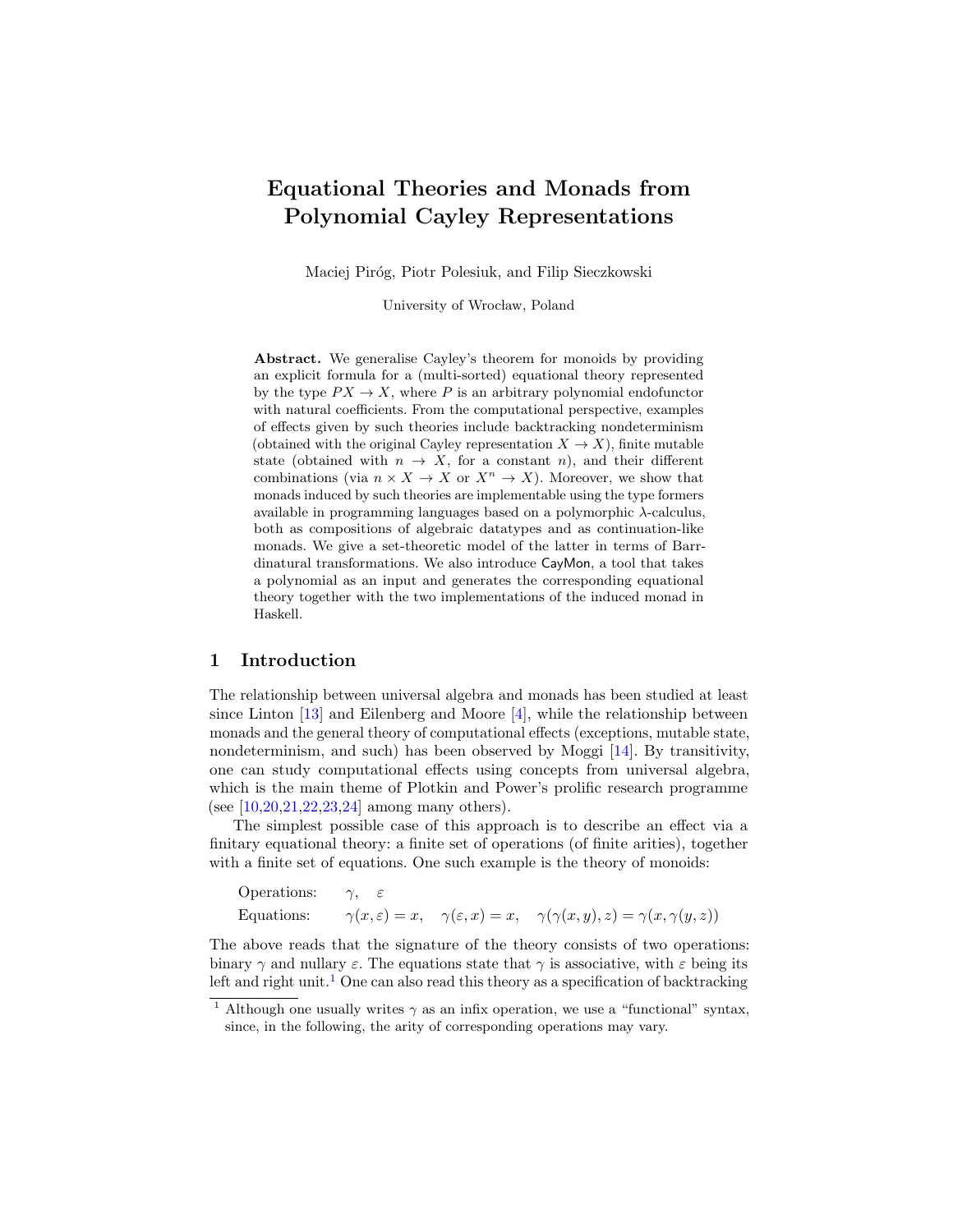# Equational Theories and Monads from Polynomial Cayley Representations

Maciej Piróg, Piotr Polesiuk, and Filip Sieczkowski

University of Wrocław, Poland

Abstract. We generalise Cayley's theorem for monoids by providing an explicit formula for a (multi-sorted) equational theory represented by the type  $PX \to X$ , where P is an arbitrary polynomial endofunctor with natural coefficients. From the computational perspective, examples of effects given by such theories include backtracking nondeterminism (obtained with the original Cayley representation  $X \to X$ ), finite mutable state (obtained with  $n \to X$ , for a constant n), and their different combinations (via  $n \times X \to X$  or  $X^n \to X$ ). Moreover, we show that monads induced by such theories are implementable using the type formers available in programming languages based on a polymorphic  $\lambda$ -calculus, both as compositions of algebraic datatypes and as continuation-like monads. We give a set-theoretic model of the latter in terms of Barrdinatural transformations. We also introduce CayMon, a tool that takes a polynomial as an input and generates the corresponding equational theory together with the two implementations of the induced monad in Haskell.

#### 1 Introduction

The relationship between universal algebra and monads has been studied at least since Linton [\[13\]](#page-15-0) and Eilenberg and Moore [\[4\]](#page-15-1), while the relationship between monads and the general theory of computational effects (exceptions, mutable state, nondeterminism, and such) has been observed by Moggi [\[14\]](#page-15-2). By transitivity, one can study computational effects using concepts from universal algebra, which is the main theme of Plotkin and Power's prolific research programme (see  $[10, 20, 21, 22, 23, 24]$  $[10, 20, 21, 22, 23, 24]$  $[10, 20, 21, 22, 23, 24]$  $[10, 20, 21, 22, 23, 24]$  $[10, 20, 21, 22, 23, 24]$  $[10, 20, 21, 22, 23, 24]$  among many others).

The simplest possible case of this approach is to describe an effect via a finitary equational theory: a finite set of operations (of finite arities), together with a finite set of equations. One such example is the theory of monoids:

```
Operations: γ, ε
Equations: \gamma(x, \varepsilon) = x, \gamma(\varepsilon, x) = x, \gamma(\gamma(x, y), z) = \gamma(x, \gamma(y, z))
```
The above reads that the signature of the theory consists of two operations: binary  $\gamma$  and nullary  $\varepsilon$ . The equations state that  $\gamma$  is associative, with  $\varepsilon$  being its left and right unit.<sup>[1](#page-0-0)</sup> One can also read this theory as a specification of backtracking

<span id="page-0-0"></span><sup>&</sup>lt;sup>1</sup> Although one usually writes  $\gamma$  as an infix operation, we use a "functional" syntax, since, in the following, the arity of corresponding operations may vary.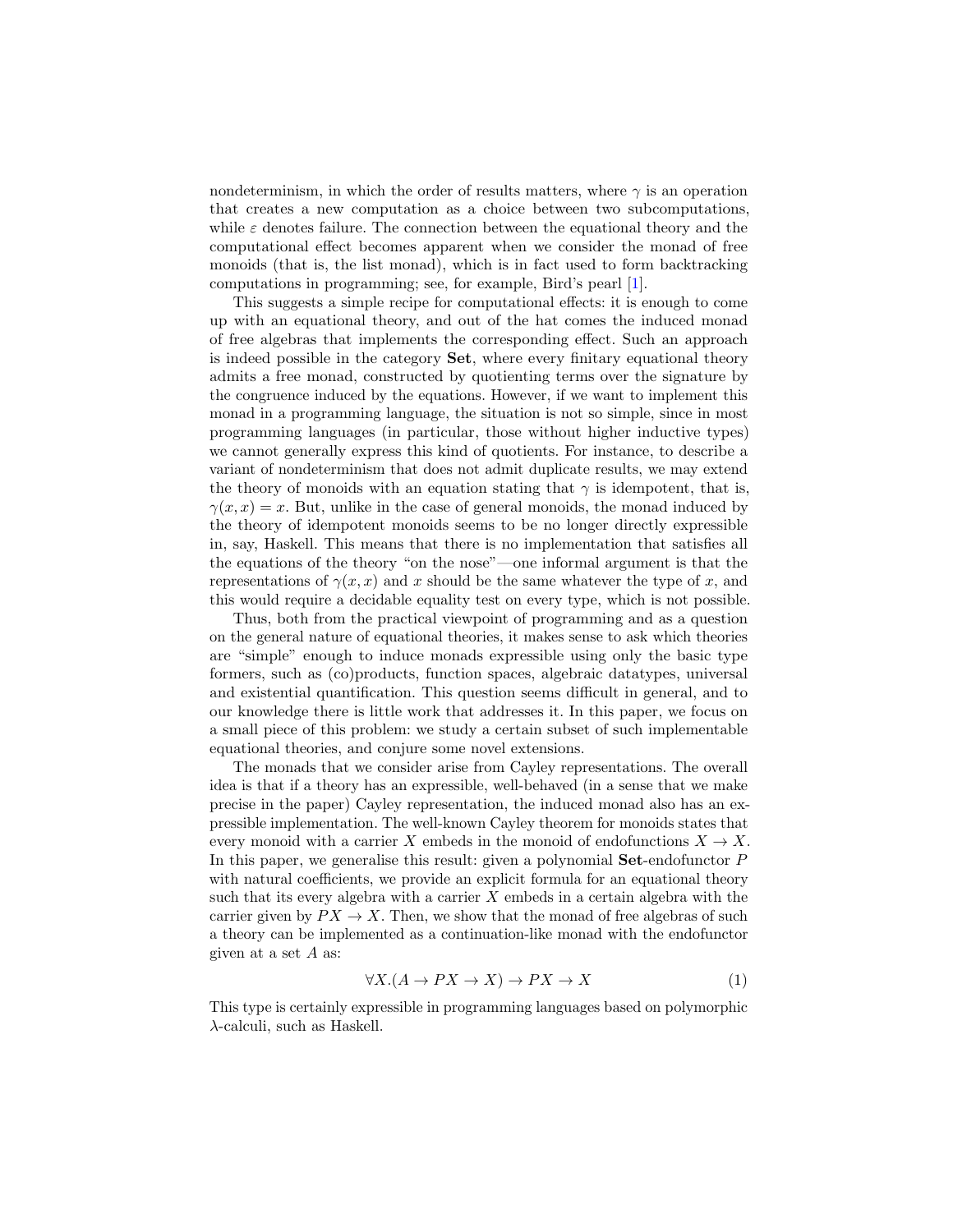nondeterminism, in which the order of results matters, where  $\gamma$  is an operation that creates a new computation as a choice between two subcomputations, while  $\varepsilon$  denotes failure. The connection between the equational theory and the computational effect becomes apparent when we consider the monad of free monoids (that is, the list monad), which is in fact used to form backtracking computations in programming; see, for example, Bird's pearl [\[1\]](#page-15-4).

This suggests a simple recipe for computational effects: it is enough to come up with an equational theory, and out of the hat comes the induced monad of free algebras that implements the corresponding effect. Such an approach is indeed possible in the category Set, where every finitary equational theory admits a free monad, constructed by quotienting terms over the signature by the congruence induced by the equations. However, if we want to implement this monad in a programming language, the situation is not so simple, since in most programming languages (in particular, those without higher inductive types) we cannot generally express this kind of quotients. For instance, to describe a variant of nondeterminism that does not admit duplicate results, we may extend the theory of monoids with an equation stating that  $\gamma$  is idempotent, that is,  $\gamma(x, x) = x$ . But, unlike in the case of general monoids, the monad induced by the theory of idempotent monoids seems to be no longer directly expressible in, say, Haskell. This means that there is no implementation that satisfies all the equations of the theory "on the nose"—one informal argument is that the representations of  $\gamma(x, x)$  and x should be the same whatever the type of x, and this would require a decidable equality test on every type, which is not possible.

Thus, both from the practical viewpoint of programming and as a question on the general nature of equational theories, it makes sense to ask which theories are "simple" enough to induce monads expressible using only the basic type formers, such as (co)products, function spaces, algebraic datatypes, universal and existential quantification. This question seems difficult in general, and to our knowledge there is little work that addresses it. In this paper, we focus on a small piece of this problem: we study a certain subset of such implementable equational theories, and conjure some novel extensions.

The monads that we consider arise from Cayley representations. The overall idea is that if a theory has an expressible, well-behaved (in a sense that we make precise in the paper) Cayley representation, the induced monad also has an expressible implementation. The well-known Cayley theorem for monoids states that every monoid with a carrier X embeds in the monoid of endofunctions  $X \to X$ . In this paper, we generalise this result: given a polynomial Set-endofunctor P with natural coefficients, we provide an explicit formula for an equational theory such that its every algebra with a carrier  $X$  embeds in a certain algebra with the carrier given by  $PX \to X$ . Then, we show that the monad of free algebras of such a theory can be implemented as a continuation-like monad with the endofunctor given at a set A as:

<span id="page-1-0"></span>
$$
\forall X. (A \to PX \to X) \to PX \to X \tag{1}
$$

This type is certainly expressible in programming languages based on polymorphic  $\lambda$ -calculi, such as Haskell.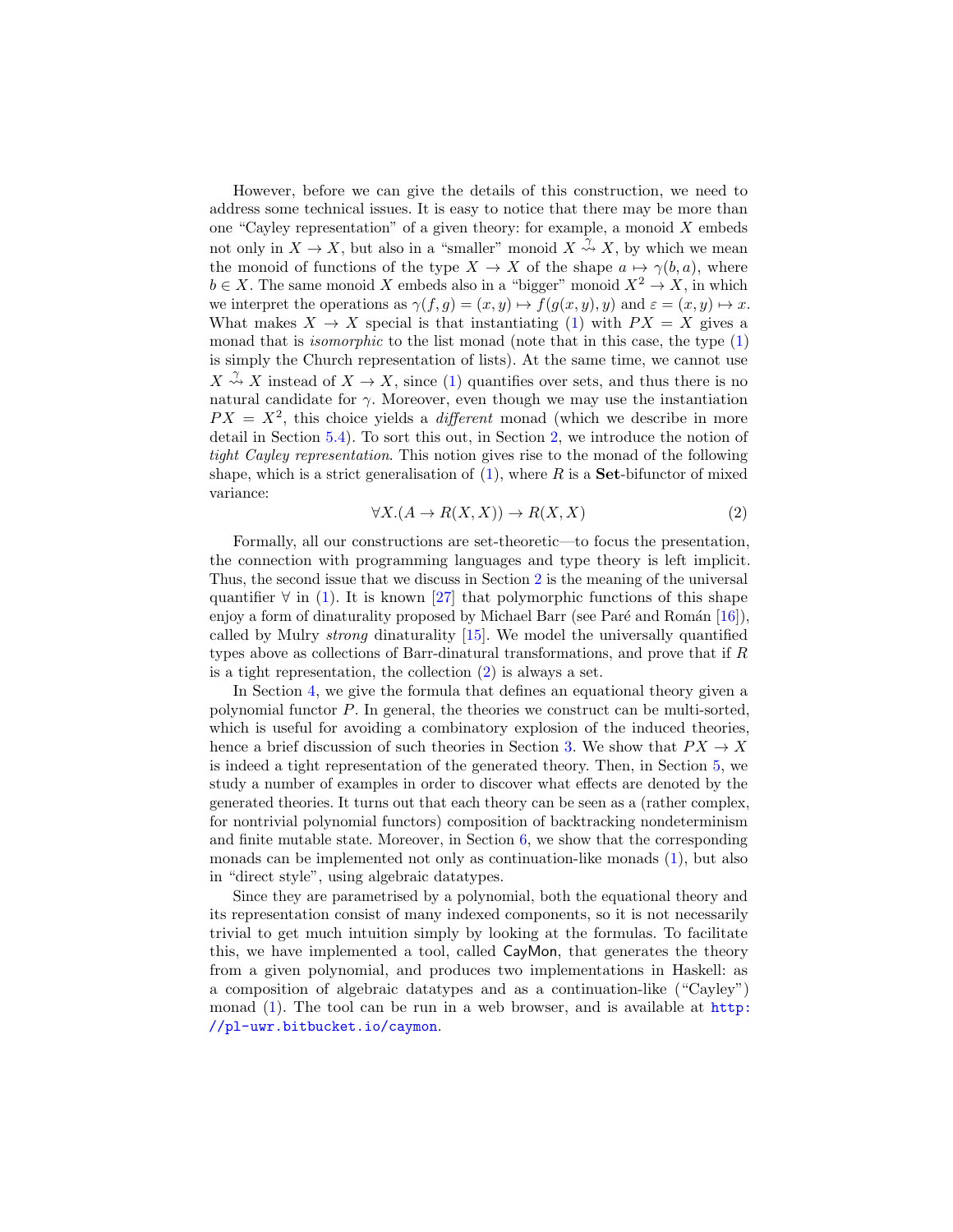However, before we can give the details of this construction, we need to address some technical issues. It is easy to notice that there may be more than one "Cayley representation" of a given theory: for example, a monoid  $X$  embeds not only in  $X \to X$ , but also in a "smaller" monoid  $X \stackrel{\gamma}{\rightsquigarrow} X$ , by which we mean the monoid of functions of the type  $X \to X$  of the shape  $a \mapsto \gamma(b, a)$ , where  $b \in X$ . The same monoid X embeds also in a "bigger" monoid  $X^2 \to X$ , in which we interpret the operations as  $\gamma(f,g) = (x,y) \mapsto f(g(x,y), y)$  and  $\varepsilon = (x,y) \mapsto x$ . What makes  $X \to X$  special is that instantiating [\(1\)](#page-1-0) with  $PX = X$  gives a monad that is *isomorphic* to the list monad (note that in this case, the type  $(1)$ ) is simply the Church representation of lists). At the same time, we cannot use  $X \stackrel{\gamma}{\rightsquigarrow} X$  instead of  $X \rightarrow X$ , since [\(1\)](#page-1-0) quantifies over sets, and thus there is no natural candidate for  $\gamma$ . Moreover, even though we may use the instantiation  $PX = X^2$ , this choice yields a *different* monad (which we describe in more detail in Section [5.4\)](#page-12-0). To sort this out, in Section [2,](#page-3-0) we introduce the notion of tight Cayley representation. This notion gives rise to the monad of the following shape, which is a strict generalisation of  $(1)$ , where R is a **Set**-bifunctor of mixed variance:

<span id="page-2-0"></span>
$$
\forall X. (A \to R(X, X)) \to R(X, X) \tag{2}
$$

Formally, all our constructions are set-theoretic—to focus the presentation, the connection with programming languages and type theory is left implicit. Thus, the second issue that we discuss in Section [2](#page-3-0) is the meaning of the universal quantifier  $\forall$  in [\(1\)](#page-1-0). It is known [\[27\]](#page-16-5) that polymorphic functions of this shape enjoy a form of dinaturality proposed by Michael Barr (see Paré and Román [\[16\]](#page-15-5)), called by Mulry strong dinaturality [\[15\]](#page-15-6). We model the universally quantified types above as collections of Barr-dinatural transformations, and prove that if R is a tight representation, the collection  $(2)$  is always a set.

In Section [4,](#page-6-0) we give the formula that defines an equational theory given a polynomial functor P. In general, the theories we construct can be multi-sorted, which is useful for avoiding a combinatory explosion of the induced theories, hence a brief discussion of such theories in Section [3.](#page-5-0) We show that  $PX \to X$ is indeed a tight representation of the generated theory. Then, in Section [5,](#page-9-0) we study a number of examples in order to discover what effects are denoted by the generated theories. It turns out that each theory can be seen as a (rather complex, for nontrivial polynomial functors) composition of backtracking nondeterminism and finite mutable state. Moreover, in Section  $6$ , we show that the corresponding monads can be implemented not only as continuation-like monads [\(1\)](#page-1-0), but also in "direct style", using algebraic datatypes.

Since they are parametrised by a polynomial, both the equational theory and its representation consist of many indexed components, so it is not necessarily trivial to get much intuition simply by looking at the formulas. To facilitate this, we have implemented a tool, called CayMon, that generates the theory from a given polynomial, and produces two implementations in Haskell: as a composition of algebraic datatypes and as a continuation-like ("Cayley") monad  $(1)$ . The tool can be run in a web browser, and is available at  $http://http://www.$  $http://http://www.$ [//pl-uwr.bitbucket.io/caymon](http://pl-uwr.bitbucket.io/caymon).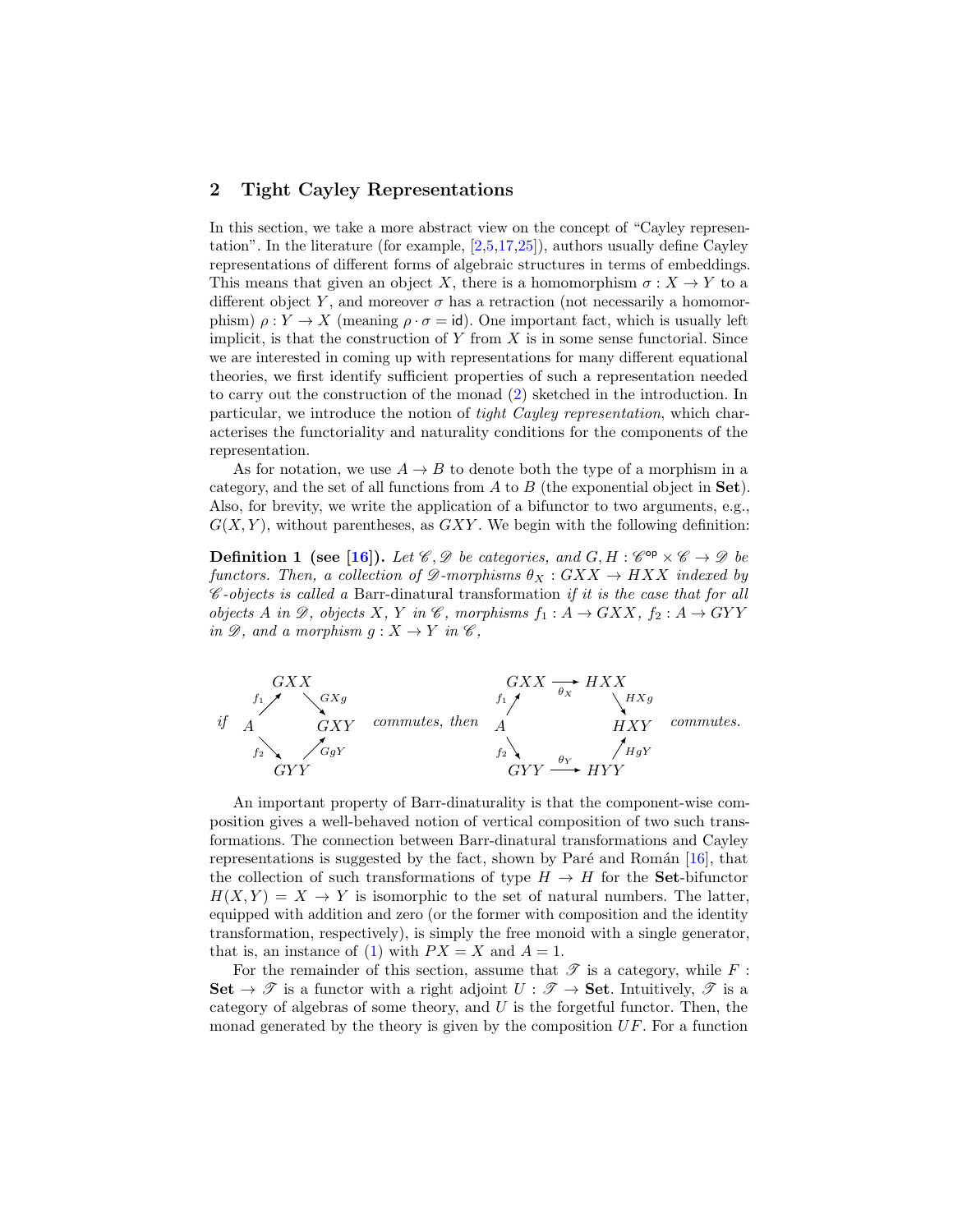### <span id="page-3-0"></span>2 Tight Cayley Representations

In this section, we take a more abstract view on the concept of "Cayley representation". In the literature (for example, [\[2,](#page-15-7)[5,](#page-15-8)[17](#page-16-6)[,25\]](#page-16-7)), authors usually define Cayley representations of different forms of algebraic structures in terms of embeddings. This means that given an object X, there is a homomorphism  $\sigma: X \to Y$  to a different object Y, and moreover  $\sigma$  has a retraction (not necessarily a homomorphism)  $\rho: Y \to X$  (meaning  $\rho \cdot \sigma = id$ ). One important fact, which is usually left implicit, is that the construction of  $Y$  from  $X$  is in some sense functorial. Since we are interested in coming up with representations for many different equational theories, we first identify sufficient properties of such a representation needed to carry out the construction of the monad [\(2\)](#page-2-0) sketched in the introduction. In particular, we introduce the notion of tight Cayley representation, which characterises the functoriality and naturality conditions for the components of the representation.

As for notation, we use  $A \to B$  to denote both the type of a morphism in a category, and the set of all functions from  $A$  to  $B$  (the exponential object in  $\mathbf{Set}$ ). Also, for brevity, we write the application of a bifunctor to two arguments, e.g.,  $G(X, Y)$ , without parentheses, as  $GXY$ . We begin with the following definition:

**Definition 1** (see [\[16\]](#page-15-5)). Let  $\mathscr{C}, \mathscr{D}$  be categories, and  $G, H : \mathscr{C}^{\mathsf{op}} \times \mathscr{C} \to \mathscr{D}$  be functors. Then, a collection of  $\mathscr{D}$ -morphisms  $\theta_X : GXX \to HXX$  indexed by  $\mathscr C$ -objects is called a Barr-dinatural transformation if it is the case that for all objects A in  $\mathscr{D}$ , objects X, Y in  $\mathscr{C}$ , morphisms  $f_1: A \to GXX$ ,  $f_2: A \to GYY$ in  $\mathscr{D}$ , and a morphism  $g: X \to Y$  in  $\mathscr{C}$ ,



An important property of Barr-dinaturality is that the component-wise composition gives a well-behaved notion of vertical composition of two such transformations. The connection between Barr-dinatural transformations and Cayley representations is suggested by the fact, shown by Paré and Román  $[16]$ , that the collection of such transformations of type  $H \to H$  for the **Set**-bifunctor  $H(X, Y) = X \rightarrow Y$  is isomorphic to the set of natural numbers. The latter, equipped with addition and zero (or the former with composition and the identity transformation, respectively), is simply the free monoid with a single generator, that is, an instance of [\(1\)](#page-1-0) with  $PX = X$  and  $A = 1$ .

For the remainder of this section, assume that  $\mathscr T$  is a category, while F: Set  $\rightarrow \mathscr{T}$  is a functor with a right adjoint  $U : \mathscr{T} \rightarrow$  Set. Intuitively,  $\mathscr{T}$  is a category of algebras of some theory, and  $U$  is the forgetful functor. Then, the monad generated by the theory is given by the composition  $UF$ . For a function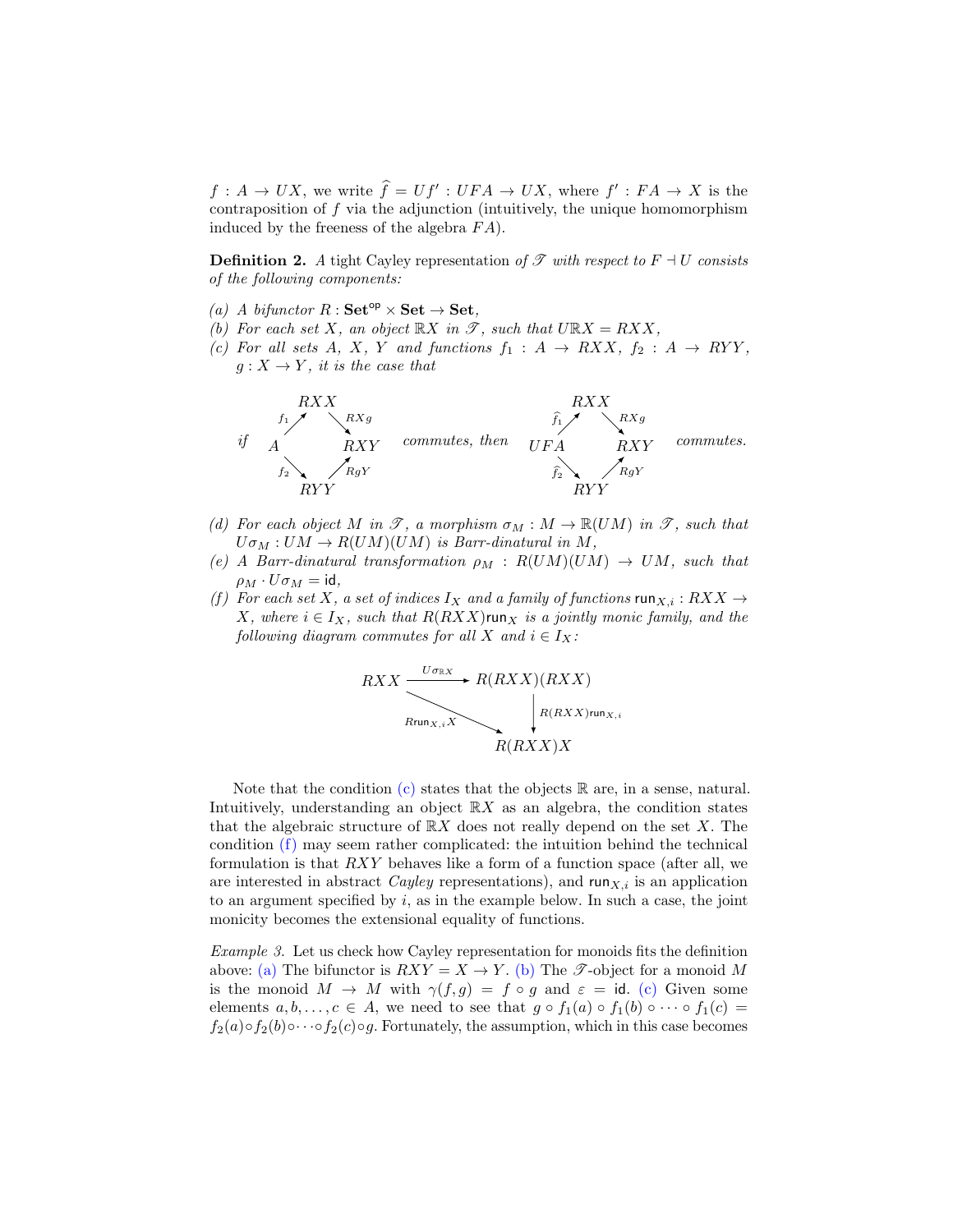$f : A \to UX$ , we write  $\hat{f} = Uf' : UFA \to UX$ , where  $f' : FA \to X$  is the contraposition of  $f$  via the adjunction (intuitively, the unique homomorphism induced by the freeness of the algebra  $FA$ ).

<span id="page-4-6"></span>**Definition 2.** A tight Cayley representation of  $\mathscr T$  with respect to  $F \dashv U$  consists of the following components:

- <span id="page-4-2"></span>(a) A bifunctor  $R : \mathbf{Set}^{\mathsf{op}} \times \mathbf{Set} \to \mathbf{Set}$ ,
- <span id="page-4-3"></span>(b) For each set X, an object  $\mathbb{R}X$  in  $\mathscr{T}$ , such that  $U\mathbb{R}X = RXX$ ,
- <span id="page-4-0"></span>(c) For all sets A, X, Y and functions  $f_1: A \rightarrow RXX$ ,  $f_2: A \rightarrow RYY$ ,  $g: X \to Y$ , it is the case that



- <span id="page-4-4"></span>(d) For each object M in  $\mathscr{T}$ , a morphism  $\sigma_M : M \to \mathbb{R}(UM)$  in  $\mathscr{T}$ , such that  $U\sigma_M: UM \to R(UM)(UM)$  is Barr-dinatural in M,
- <span id="page-4-5"></span>(e) A Barr-dinatural transformation  $\rho_M : R(UM)(UM) \to UM$ , such that  $\rho_M \cdot U \sigma_M = id,$
- <span id="page-4-1"></span>(f) For each set X, a set of indices  $I_X$  and a family of functions  $\text{run}_{X,i}: RXX \rightarrow$ X, where  $i \in I_X$ , such that  $R(RXX)$ run<sub>X</sub> is a jointly monic family, and the following diagram commutes for all X and  $i \in I_X$ :



Note that the condition  $(c)$  states that the objects  $\mathbb R$  are, in a sense, natural. Intuitively, understanding an object  $\mathbb{R}X$  as an algebra, the condition states that the algebraic structure of  $\mathbb{R}X$  does not really depend on the set X. The condition [\(f\)](#page-4-1) may seem rather complicated: the intuition behind the technical formulation is that RXY behaves like a form of a function space (after all, we are interested in abstract Cayley representations), and  $\text{run}_{X,i}$  is an application to an argument specified by  $i$ , as in the example below. In such a case, the joint monicity becomes the extensional equality of functions.

Example 3. Let us check how Cayley representation for monoids fits the definition above: [\(a\)](#page-4-2) The bifunctor is  $RXY = X \rightarrow Y$ . [\(b\)](#page-4-3) The  $\mathscr{T}$ -object for a monoid M is the monoid  $M \to M$  with  $\gamma(f,g) = f \circ g$  and  $\varepsilon = id$ . [\(c\)](#page-4-0) Given some elements  $a, b, \ldots, c \in A$ , we need to see that  $g \circ f_1(a) \circ f_1(b) \circ \cdots \circ f_1(c) =$  $f_2(a) \circ f_2(b) \circ \cdots \circ f_2(c) \circ g$ . Fortunately, the assumption, which in this case becomes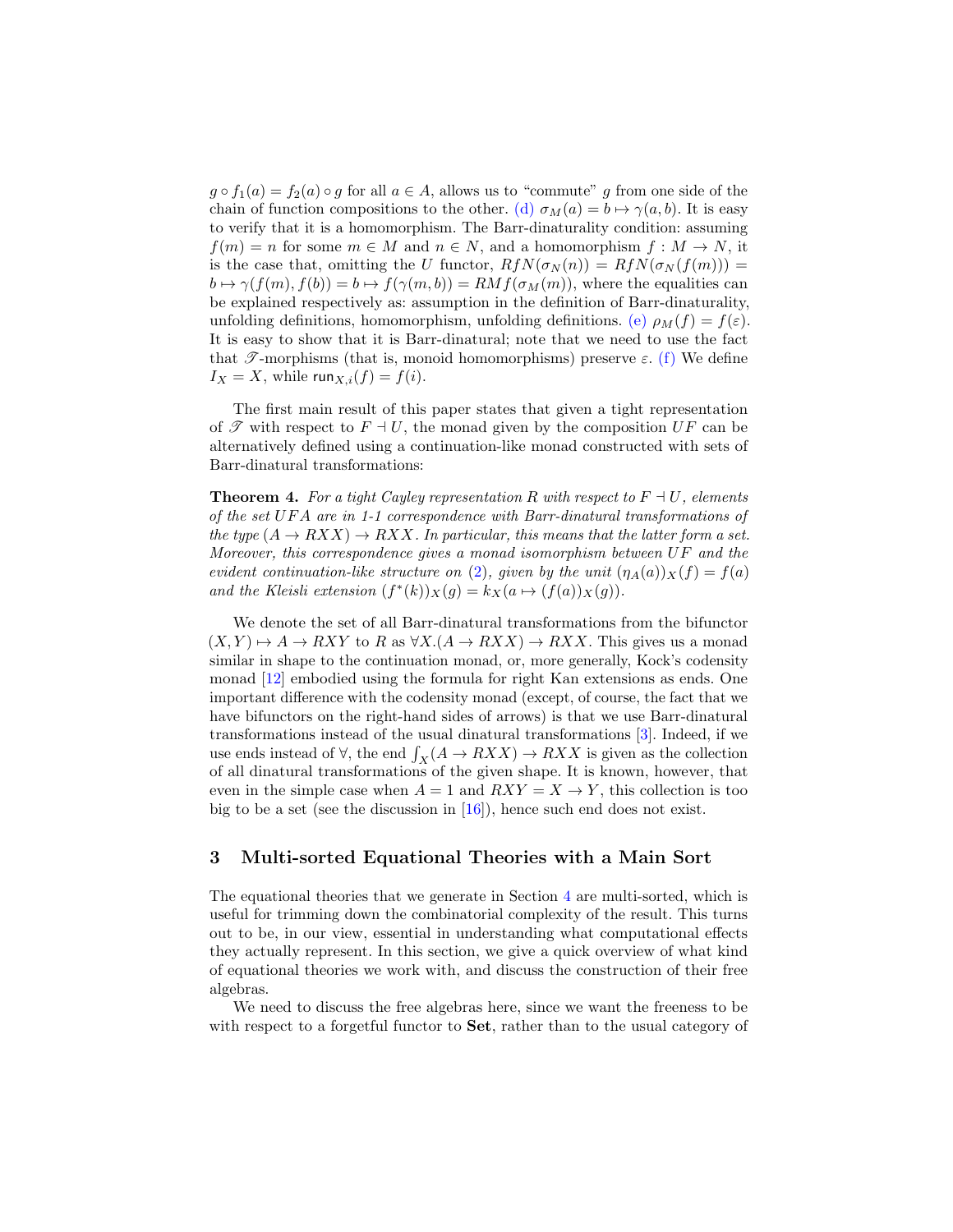$g \circ f_1(a) = f_2(a) \circ g$  for all  $a \in A$ , allows us to "commute" g from one side of the chain of function compositions to the other. [\(d\)](#page-4-4)  $\sigma_M(a) = b \mapsto \gamma(a, b)$ . It is easy to verify that it is a homomorphism. The Barr-dinaturality condition: assuming  $f(m) = n$  for some  $m \in M$  and  $n \in N$ , and a homomorphism  $f : M \to N$ , it is the case that, omitting the U functor,  $RfN(\sigma_N(n)) = RfN(\sigma_N(f(m)))$  $b \mapsto \gamma(f(m), f(b)) = b \mapsto f(\gamma(m, b)) = RM f(\sigma_M(m))$ , where the equalities can be explained respectively as: assumption in the definition of Barr-dinaturality, unfolding definitions, homomorphism, unfolding definitions. [\(e\)](#page-4-5)  $\rho_M(f) = f(\varepsilon)$ . It is easy to show that it is Barr-dinatural; note that we need to use the fact that  $\mathscr{T}$ -morphisms (that is, monoid homomorphisms) preserve  $\varepsilon$ . [\(f\)](#page-4-1) We define  $I_X = X$ , while run $X_{i}(f) = f(i)$ .

The first main result of this paper states that given a tight representation of  $\mathscr T$  with respect to  $F \dashv U$ , the monad given by the composition UF can be alternatively defined using a continuation-like monad constructed with sets of Barr-dinatural transformations:

<span id="page-5-1"></span>**Theorem 4.** For a tight Cayley representation R with respect to  $F \dashv U$ , elements of the set UF A are in 1-1 correspondence with Barr-dinatural transformations of the type  $(A \to RXX) \to RXX$ . In particular, this means that the latter form a set. Moreover, this correspondence gives a monad isomorphism between UF and the evident continuation-like structure on [\(2\)](#page-2-0), given by the unit  $(\eta_A(a))_X(f) = f(a)$ and the Kleisli extension  $(f^*(k))_X(g) = k_X(a \mapsto (f(a))_X(g)).$ 

We denote the set of all Barr-dinatural transformations from the bifunctor  $(X, Y) \mapsto A \to RXY$  to R as  $\forall X.(A \to RXX) \to RXX$ . This gives us a monad similar in shape to the continuation monad, or, more generally, Kock's codensity monad [\[12\]](#page-15-9) embodied using the formula for right Kan extensions as ends. One important difference with the codensity monad (except, of course, the fact that we have bifunctors on the right-hand sides of arrows) is that we use Barr-dinatural transformations instead of the usual dinatural transformations [\[3\]](#page-15-10). Indeed, if we use ends instead of  $\forall$ , the end  $\int_X (A \to RXX) \to RXX$  is given as the collection of all dinatural transformations of the given shape. It is known, however, that even in the simple case when  $A = 1$  and  $RXY = X \rightarrow Y$ , this collection is too big to be a set (see the discussion in [\[16\]](#page-15-5)), hence such end does not exist.

### <span id="page-5-0"></span>3 Multi-sorted Equational Theories with a Main Sort

The equational theories that we generate in Section [4](#page-6-0) are multi-sorted, which is useful for trimming down the combinatorial complexity of the result. This turns out to be, in our view, essential in understanding what computational effects they actually represent. In this section, we give a quick overview of what kind of equational theories we work with, and discuss the construction of their free algebras.

We need to discuss the free algebras here, since we want the freeness to be with respect to a forgetful functor to **Set**, rather than to the usual category of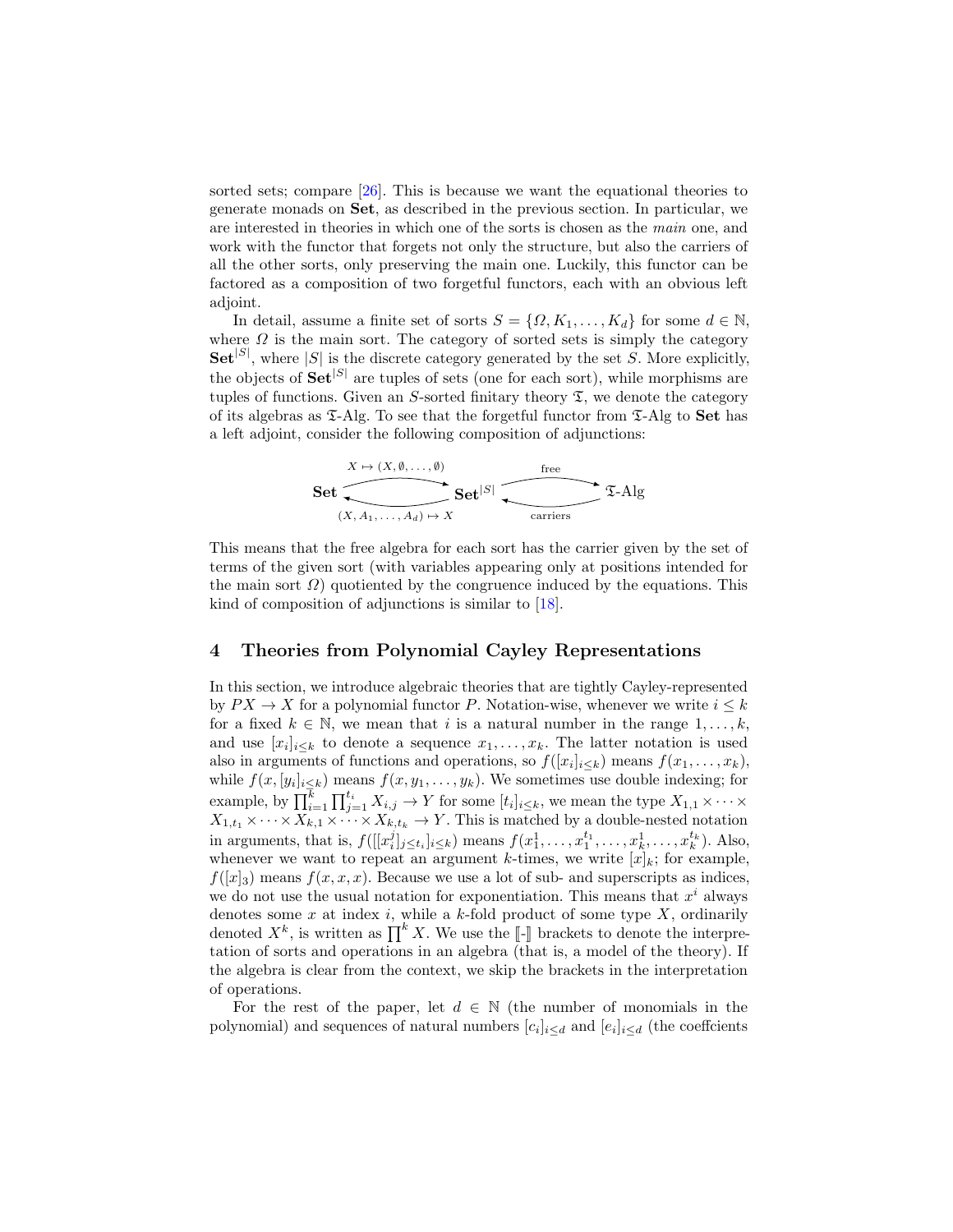sorted sets; compare  $\langle 26 \rangle$ . This is because we want the equational theories to generate monads on Set, as described in the previous section. In particular, we are interested in theories in which one of the sorts is chosen as the main one, and work with the functor that forgets not only the structure, but also the carriers of all the other sorts, only preserving the main one. Luckily, this functor can be factored as a composition of two forgetful functors, each with an obvious left adjoint.

In detail, assume a finite set of sorts  $S = \{Q, K_1, \ldots, K_d\}$  for some  $d \in \mathbb{N}$ , where  $\Omega$  is the main sort. The category of sorted sets is simply the category Set<sup>[S]</sup>, where  $|S|$  is the discrete category generated by the set S. More explicitly, the objects of  $\mathbf{Set}^{[S]}$  are tuples of sets (one for each sort), while morphisms are tuples of functions. Given an S-sorted finitary theory  $\mathfrak{T}$ , we denote the category of its algebras as  $\Sigma$ -Alg. To see that the forgetful functor from  $\Sigma$ -Alg to **Set** has a left adjoint, consider the following composition of adjunctions:



This means that the free algebra for each sort has the carrier given by the set of terms of the given sort (with variables appearing only at positions intended for the main sort  $\Omega$ ) quotiented by the congruence induced by the equations. This kind of composition of adjunctions is similar to [\[18\]](#page-16-9).

#### <span id="page-6-0"></span>4 Theories from Polynomial Cayley Representations

In this section, we introduce algebraic theories that are tightly Cayley-represented by  $PX \to X$  for a polynomial functor P. Notation-wise, whenever we write  $i \leq k$ for a fixed  $k \in \mathbb{N}$ , we mean that i is a natural number in the range  $1, \ldots, k$ , and use  $[x_i]_{i\leq k}$  to denote a sequence  $x_1, \ldots, x_k$ . The latter notation is used also in arguments of functions and operations, so  $f([x_i]_{i\leq k})$  means  $f(x_1,\ldots,x_k)$ , while  $f(x, [y_i]_{i \leq k})$  means  $f(x, y_1, \ldots, y_k)$ . We sometimes use double indexing; for example, by  $\prod_{i=1}^k \prod_{j=1}^{t_i} X_{i,j} \to Y$  for some  $[t_i]_{i \leq k}$ , we mean the type  $X_{1,1} \times \cdots \times$  $X_{1,t_1} \times \cdots \times X_{k,1} \times \cdots \times X_{k,t_k} \to Y$ . This is matched by a double-nested notation in arguments, that is,  $f([[x_i^j]_{j\leq t_i}]_{i\leq k})$  means  $f(x_1^1, ..., x_1^{t_1}, ..., x_k^1, ..., x_k^{t_k})$ . Also, whenever we want to repeat an argument k-times, we write  $[x]_k$ ; for example,  $f([x]_3)$  means  $f(x, x, x)$ . Because we use a lot of sub- and superscripts as indices, we do not use the usual notation for exponentiation. This means that  $x^i$  always denotes some  $x$  at index  $i$ , while a  $k$ -fold product of some type  $X$ , ordinarily denoted  $X^k$ , is written as  $\prod^k X$ . We use the  $\llbracket \cdot \rrbracket$  brackets to denote the interpre-<br>tation of sorts and operations in an algebra (that is, a model of the theory). If tation of sorts and operations in an algebra (that is, a model of the theory). If the algebra is clear from the context, we skip the brackets in the interpretation of operations.

For the rest of the paper, let  $d \in \mathbb{N}$  (the number of monomials in the polynomial) and sequences of natural numbers  $[c_i]_{i \le d}$  and  $[e_i]_{i \le d}$  (the coeffcients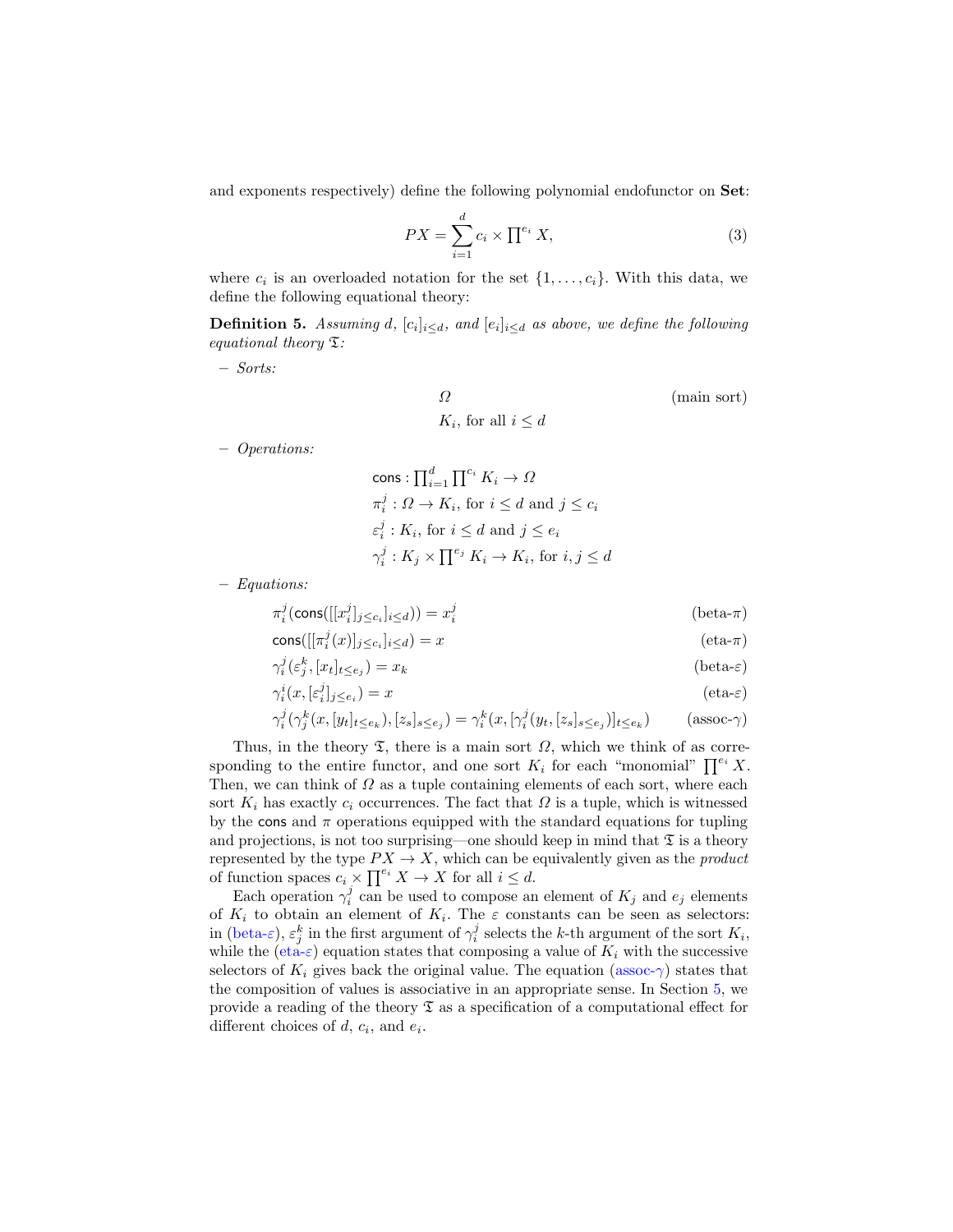and exponents respectively) define the following polynomial endofunctor on Set:

<span id="page-7-6"></span>
$$
PX = \sum_{i=1}^{d} c_i \times \prod^{e_i} X,\tag{3}
$$

where  $c_i$  is an overloaded notation for the set  $\{1, \ldots, c_i\}$ . With this data, we define the following equational theory:

<span id="page-7-3"></span>**Definition 5.** Assuming d,  $[c_i]_{i \le d}$ , and  $[e_i]_{i \le d}$  as above, we define the following equational theory  $\Sigma$ :

– Sorts:

- <span id="page-7-5"></span><span id="page-7-4"></span><span id="page-7-1"></span><span id="page-7-0"></span> $\Omega$  (main sort)  $K_i$ , for all  $i \leq d$
- Operations:

<span id="page-7-2"></span>
$$
\begin{aligned}\n\text{cons}: \prod_{i=1}^d \prod^{c_i} K_i &\to \Omega \\
\pi_i^j: \Omega &\to K_i \text{, for } i \leq d \text{ and } j \leq c_i \\
\varepsilon_i^j: K_i, \text{ for } i \leq d \text{ and } j \leq e_i \\
\gamma_i^j: K_j &\times \prod^{e_j} K_i &\to K_i \text{, for } i, j \leq d\n\end{aligned}
$$

– Equations:

$$
\pi_i^j(\text{cons}([[x_i^j]_{j \le c_i}]_{i \le d})) = x_i^j \tag{beta-\pi}
$$

$$
\text{cons}([\pi_i^j(x)]_{j \le c_i}]_{i \le d}) = x \tag{eta-\pi}
$$

$$
\gamma_i^j(\varepsilon_j^k, [x_t]_{t \le e_j}) = x_k \tag{beta-\varepsilon}
$$

$$
\gamma_i^i(x, [\varepsilon_i^j]_{j \le e_i}) = x \tag{eta- $\varepsilon$ }
$$

$$
\gamma_i^j(\gamma_j^k(x,[y_t]_{t\leq e_k}),[z_s]_{s\leq e_j}) = \gamma_i^k(x,[\gamma_i^j(y_t,[z_s]_{s\leq e_j})]_{t\leq e_k})
$$
 (assoc- $\gamma$ )

Thus, in the theory  $\mathfrak T$ , there is a main sort  $\Omega$ , which we think of as corresponding to the entire functor, and one sort  $K_i$  for each "monomial"  $\prod^{e_i} X$ . Then, we can think of  $\Omega$  as a tuple containing elements of each sort, where each sort  $K_i$  has exactly  $c_i$  occurrences. The fact that  $\Omega$  is a tuple, which is witnessed by the cons and  $\pi$  operations equipped with the standard equations for tupling and projections, is not too surprising—one should keep in mind that  $\mathfrak T$  is a theory represented by the type  $PX \to X$ , which can be equivalently given as the *product* of function spaces  $c_i \times \prod^{e_i} X \to X$  for all  $i \leq d$ .

<span id="page-7-7"></span>Each operation  $\gamma_i^j$  can be used to compose an element of  $K_j$  and  $e_j$  elements of  $K_i$  to obtain an element of  $K_i$ . The  $\varepsilon$  constants can be seen as selectors: in [\(beta-](#page-7-0)ε),  $\varepsilon_j^k$  in the first argument of  $\gamma_i^j$  selects the k-th argument of the sort  $K_i$ , while the [\(eta-](#page-7-1) $\varepsilon$ ) equation states that composing a value of  $K_i$  with the successive selectors of  $K_i$  gives back the original value. The equation [\(assoc-](#page-7-2) $\gamma$ ) states that the composition of values is associative in an appropriate sense. In Section [5,](#page-9-0) we provide a reading of the theory  $\mathfrak T$  as a specification of a computational effect for different choices of  $d, c_i$ , and  $e_i$ .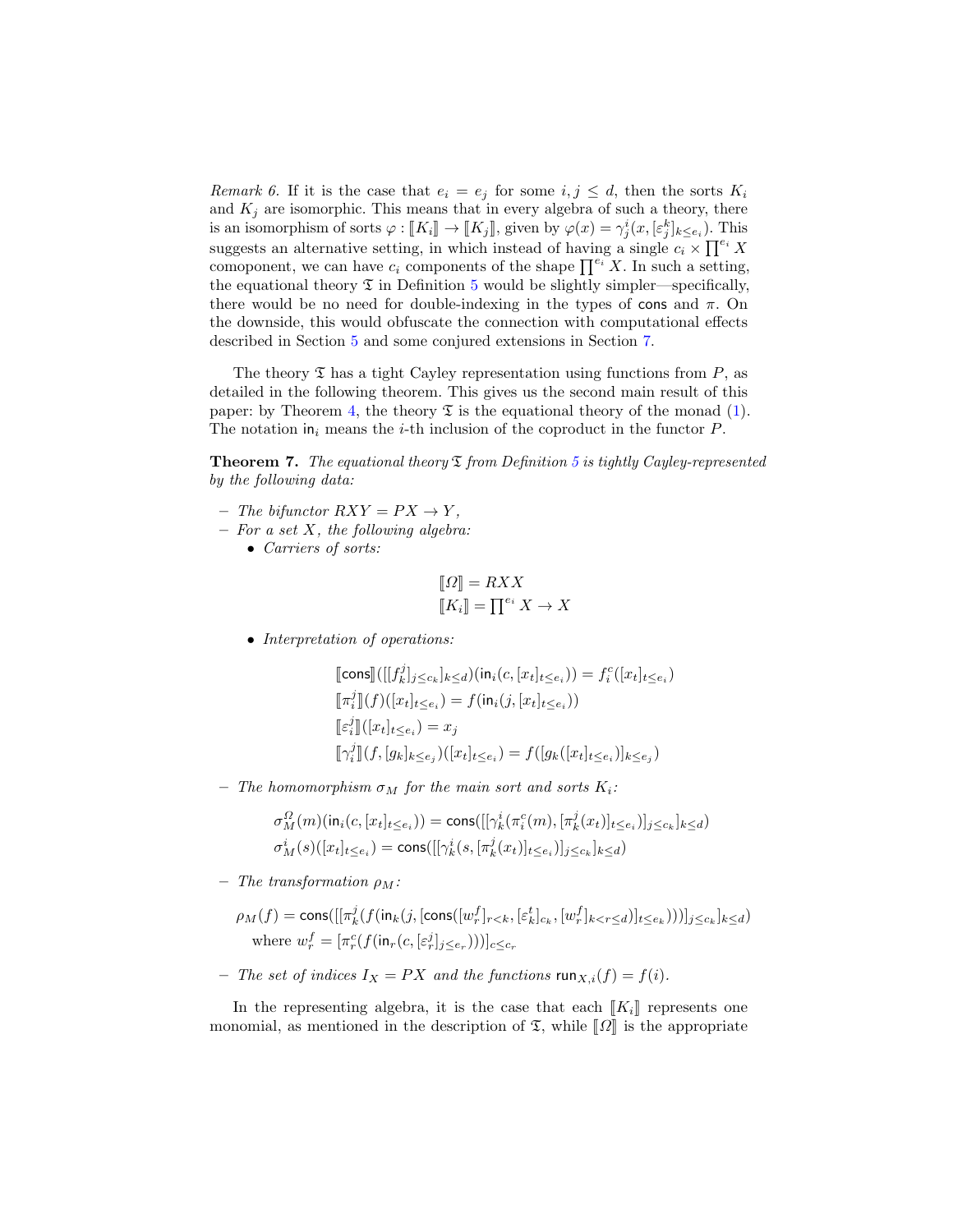Remark 6. If it is the case that  $e_i = e_j$  for some  $i, j \leq d$ , then the sorts  $K_i$ and  $K_j$  are isomorphic. This means that in every algebra of such a theory, there is an isomorphism of sorts  $\varphi: [K_i] \to [K_j]$ , given by  $\varphi(x) = \gamma_j^i(x, [\varepsilon_j^k]_{k \leq e_i})$ . This suggests an alternative setting, in which instead of having a single  $c_i \times \prod^{e_i} X$ comoponent, we can have  $c_i$  components of the shape  $\prod^{e_i} X$ . In such a setting, the equational theory  $\mathfrak T$  in Definition [5](#page-7-3) would be slightly simpler—specifically, there would be no need for double-indexing in the types of cons and  $\pi$ . On the downside, this would obfuscate the connection with computational effects described in Section [5](#page-9-0) and some conjured extensions in Section [7.](#page-13-0)

The theory  $\mathfrak T$  has a tight Cayley representation using functions from P, as detailed in the following theorem. This gives us the second main result of this paper: by Theorem [4,](#page-5-1) the theory  $\mathfrak T$  is the equational theory of the monad [\(1\)](#page-1-0). The notation in<sub>i</sub> means the *i*-th inclusion of the coproduct in the functor  $P$ .

<span id="page-8-0"></span>**Theorem 7.** The equational theory  $\mathfrak T$  from Definition [5](#page-7-3) is tightly Cayley-represented by the following data:

- The bifunctor  $RXY = PX \rightarrow Y$ ,
- $-$  For a set X, the following algebra:
	- Carriers of sorts:

$$
\begin{aligned} \llbracket \varOmega \rrbracket &= RXX \\ \llbracket K_i \rrbracket &= \prod^{e_i} X \to X \end{aligned}
$$

• Interpretation of operations:

$$
\begin{aligned}\n\text{[cons]}\n\left(\left[[f_k^j]_{j \leq c_k}\right]_{k \leq d}\right)\left(\text{in}_i(c, [x_t]_{t \leq e_i})\right) &= f_i^c\left([x_t]_{t \leq e_i}\right) \\
\left[\pi_i^j\right]\n\left(f\right)\n\left([x_t]_{t \leq e_i}\right) &= f\left(\text{in}_i(j, [x_t]_{t \leq e_i})\right) \\
\left[\varepsilon_i^j\right]\n\left([x_t]_{t \leq e_i}\right) &= x_j \\
\left[\gamma_i^j\right]\n\left(f, [g_k]_{k \leq e_j}\right)\n\left([x_t]_{t \leq e_i}\right) &= f\left([g_k([x_t]_{t \leq e_i})\right)_{k \leq e_j}\right)\n\end{aligned}
$$

– The homomorphism  $\sigma_M$  for the main sort and sorts  $K_i$ :

$$
\sigma_M^{\Omega}(m)(\text{in}_i(c,[x_t]_{t\leq e_i})) = \text{cons}([\lceil \gamma_k^i(\pi_i^c(m),[\pi_k^j(x_t)]_{t\leq e_i})\rceil_{j\leq c_k}]_{k\leq d})
$$
  

$$
\sigma_M^i(s)([x_t]_{t\leq e_i}) = \text{cons}([\lceil \gamma_k^i(s,[\pi_k^j(x_t)]_{t\leq e_i})\rceil_{j\leq c_k}]_{k\leq d})
$$

– The transformation  $\rho_M$ :

$$
\rho_M(f) = \cos([[\pi_k^j(f(\text{in}_k(j, [\text{cons}([w_r^f]_{r < k}, [\varepsilon_k^t]_{c_k}, [w_r^f]_{k < r \le d})]_{t \le e_k}]))]_{j \le c_k}]_{k \le d})
$$
\nwhere  $w_r^f = [\pi_r^c(f(\text{in}_r(c, [\varepsilon_r^j]_{j \le e_r})))]_{c \le c_r}$ 

– The set of indices  $I_X = PX$  and the functions  $\text{run}_{X,i}(f) = f(i)$ .

In the representing algebra, it is the case that each  $\llbracket K_i \rrbracket$  represents one monomial, as mentioned in the description of  $\mathfrak T$ , while  $\llbracket \Omega \rrbracket$  is the appropriate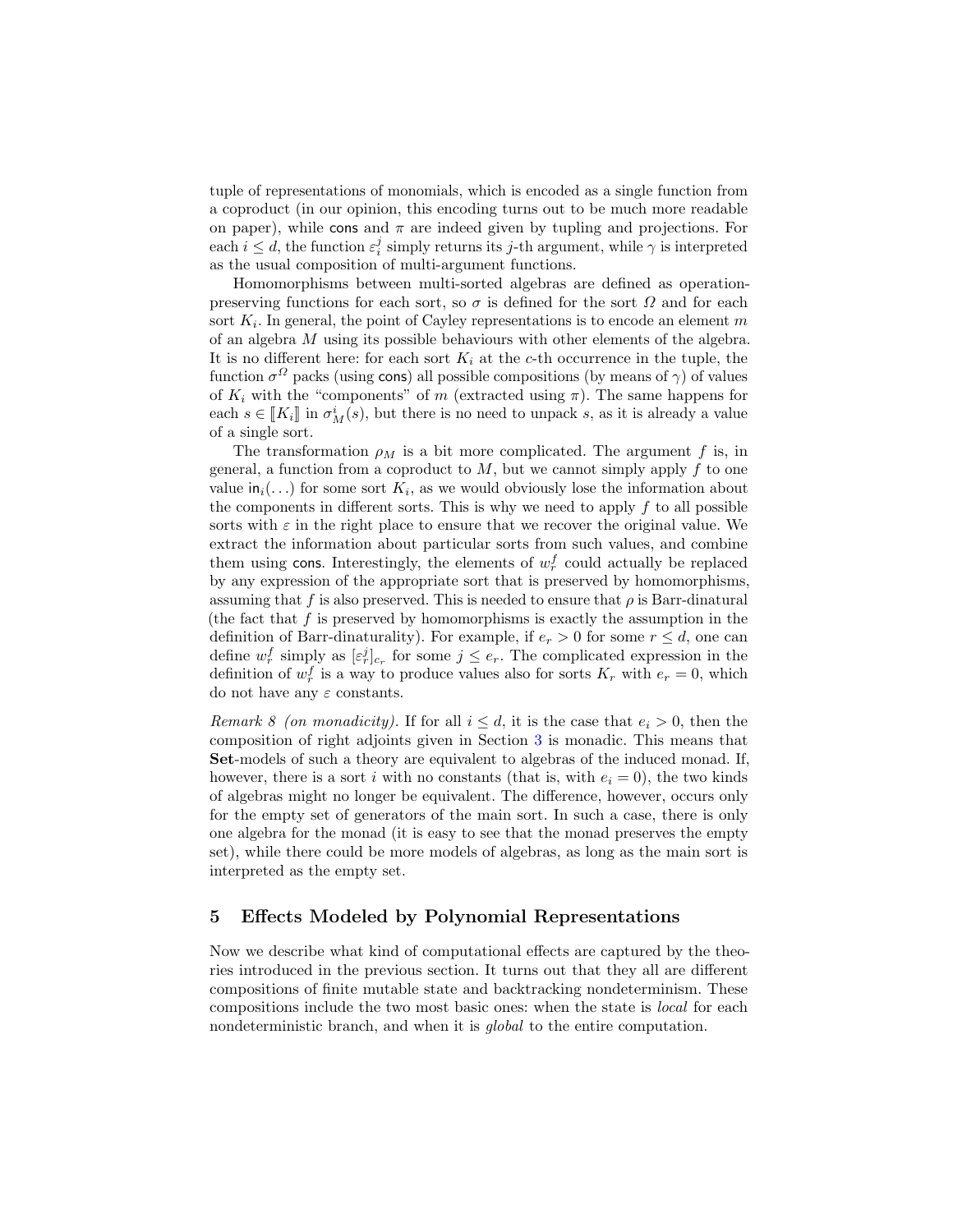tuple of representations of monomials, which is encoded as a single function from a coproduct (in our opinion, this encoding turns out to be much more readable on paper), while cons and  $\pi$  are indeed given by tupling and projections. For each  $i \leq d$ , the function  $\varepsilon_i^j$  simply returns its j-th argument, while  $\gamma$  is interpreted as the usual composition of multi-argument functions.

Homomorphisms between multi-sorted algebras are defined as operationpreserving functions for each sort, so  $\sigma$  is defined for the sort  $\Omega$  and for each sort  $K_i$ . In general, the point of Cayley representations is to encode an element m of an algebra M using its possible behaviours with other elements of the algebra. It is no different here: for each sort  $K_i$  at the c-th occurrence in the tuple, the function  $\sigma^{\Omega}$  packs (using cons) all possible compositions (by means of  $\gamma$ ) of values of  $K_i$  with the "components" of m (extracted using  $\pi$ ). The same happens for each  $s \in [K_i]$  in  $\sigma_M^i(s)$ , but there is no need to unpack s, as it is already a value<br>of a single sort of a single sort.

The transformation  $\rho_M$  is a bit more complicated. The argument f is, in general, a function from a coproduct to  $M$ , but we cannot simply apply  $f$  to one value  $\mathsf{in}_i(\ldots)$  for some sort  $K_i$ , as we would obviously lose the information about the components in different sorts. This is why we need to apply  $f$  to all possible sorts with  $\varepsilon$  in the right place to ensure that we recover the original value. We extract the information about particular sorts from such values, and combine them using cons. Interestingly, the elements of  $w_r^f$  could actually be replaced by any expression of the appropriate sort that is preserved by homomorphisms, assuming that f is also preserved. This is needed to ensure that  $\rho$  is Barr-dinatural (the fact that  $f$  is preserved by homomorphisms is exactly the assumption in the definition of Barr-dinaturality). For example, if  $e_r > 0$  for some  $r \leq d$ , one can define  $w_r^f$  simply as  $[\varepsilon_r^j]_{c_r}$  for some  $j \leq e_r$ . The complicated expression in the definition of  $w_r^f$  is a way to produce values also for sorts  $K_r$  with  $e_r = 0$ , which do not have any  $\varepsilon$  constants.

<span id="page-9-1"></span>Remark 8 (on monadicity). If for all  $i \leq d$ , it is the case that  $e_i > 0$ , then the composition of right adjoints given in Section [3](#page-5-0) is monadic. This means that Set-models of such a theory are equivalent to algebras of the induced monad. If, however, there is a sort i with no constants (that is, with  $e_i = 0$ ), the two kinds of algebras might no longer be equivalent. The difference, however, occurs only for the empty set of generators of the main sort. In such a case, there is only one algebra for the monad (it is easy to see that the monad preserves the empty set), while there could be more models of algebras, as long as the main sort is interpreted as the empty set.

#### <span id="page-9-0"></span>5 Effects Modeled by Polynomial Representations

Now we describe what kind of computational effects are captured by the theories introduced in the previous section. It turns out that they all are different compositions of finite mutable state and backtracking nondeterminism. These compositions include the two most basic ones: when the state is local for each nondeterministic branch, and when it is *global* to the entire computation.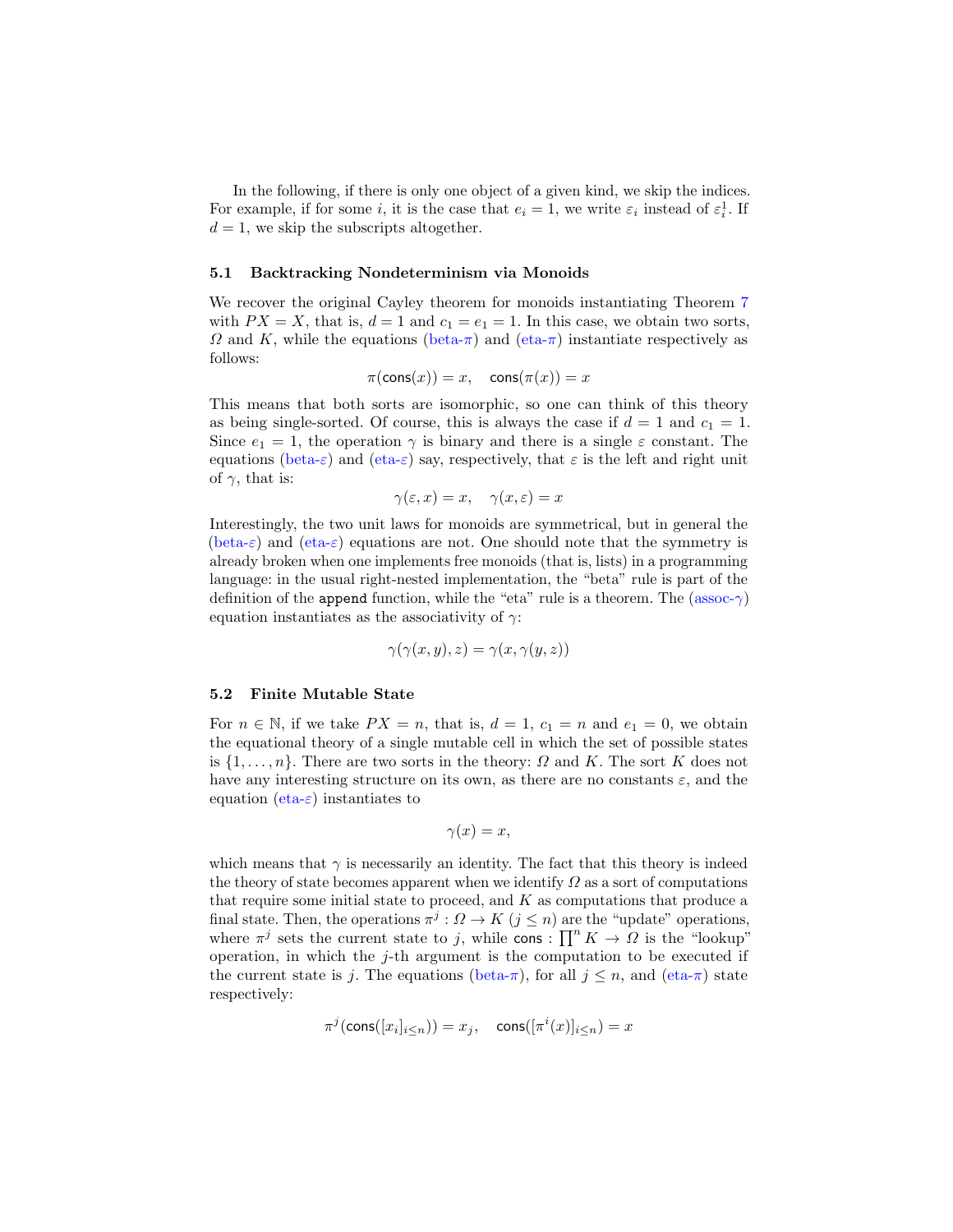In the following, if there is only one object of a given kind, we skip the indices. For example, if for some i, it is the case that  $e_i = 1$ , we write  $\varepsilon_i$  instead of  $\varepsilon_i^1$ . If  $d = 1$ , we skip the subscripts altogether.

#### 5.1 Backtracking Nondeterminism via Monoids

We recover the original Cayley theorem for monoids instantiating Theorem [7](#page-8-0) with  $PX = X$ , that is,  $d = 1$  and  $c_1 = e_1 = 1$ . In this case, we obtain two sorts,  $\Omega$  and K, while the equations [\(beta-](#page-7-4) $\pi$ ) and [\(eta-](#page-7-5) $\pi$ ) instantiate respectively as follows:

$$
\pi(\cos(x)) = x, \quad \cos(\pi(x)) = x
$$

This means that both sorts are isomorphic, so one can think of this theory as being single-sorted. Of course, this is always the case if  $d = 1$  and  $c_1 = 1$ . Since  $e_1 = 1$ , the operation  $\gamma$  is binary and there is a single  $\varepsilon$  constant. The equations [\(beta-](#page-7-0) $\varepsilon$ ) and [\(eta-](#page-7-1) $\varepsilon$ ) say, respectively, that  $\varepsilon$  is the left and right unit of  $\gamma$ , that is:

$$
\gamma(\varepsilon, x) = x, \quad \gamma(x, \varepsilon) = x
$$

Interestingly, the two unit laws for monoids are symmetrical, but in general the  $(\beta \cdot \epsilon)$  and  $(\epsilon \cdot \epsilon)$  equations are not. One should note that the symmetry is already broken when one implements free monoids (that is, lists) in a programming language: in the usual right-nested implementation, the "beta" rule is part of the definition of the append function, while the "eta" rule is a theorem. The  $(assoc-\gamma)$  $(assoc-\gamma)$ equation instantiates as the associativity of  $\gamma$ :

$$
\gamma(\gamma(x, y), z) = \gamma(x, \gamma(y, z))
$$

#### <span id="page-10-0"></span>5.2 Finite Mutable State

For  $n \in \mathbb{N}$ , if we take  $PX = n$ , that is,  $d = 1$ ,  $c_1 = n$  and  $e_1 = 0$ , we obtain the equational theory of a single mutable cell in which the set of possible states is  $\{1, \ldots, n\}$ . There are two sorts in the theory:  $\Omega$  and K. The sort K does not have any interesting structure on its own, as there are no constants  $\varepsilon$ , and the equation [\(eta-](#page-7-1) $\varepsilon$ ) instantiates to

$$
\gamma(x) = x,
$$

which means that  $\gamma$  is necessarily an identity. The fact that this theory is indeed the theory of state becomes apparent when we identify  $\Omega$  as a sort of computations that require some initial state to proceed, and  $K$  as computations that produce a final state. Then, the operations  $\pi^{j}$ :  $\Omega \to K$  ( $j \leq n$ ) are the "update" operations, where  $\pi^{j}$  sets the current state to j, while cons :  $\prod^{n} K \to \Omega$  is the "lookup" operation, in which the  $j$ -th argument is the computation to be executed if the current state is j. The equations [\(beta-](#page-7-4) $\pi$ ), for all  $j \leq n$ , and [\(eta-](#page-7-5) $\pi$ ) state respectively:

$$
\pi^j(\text{cons}([x_i]_{i\leq n})) = x_j, \quad \text{cons}([\pi^i(x)]_{i\leq n}) = x
$$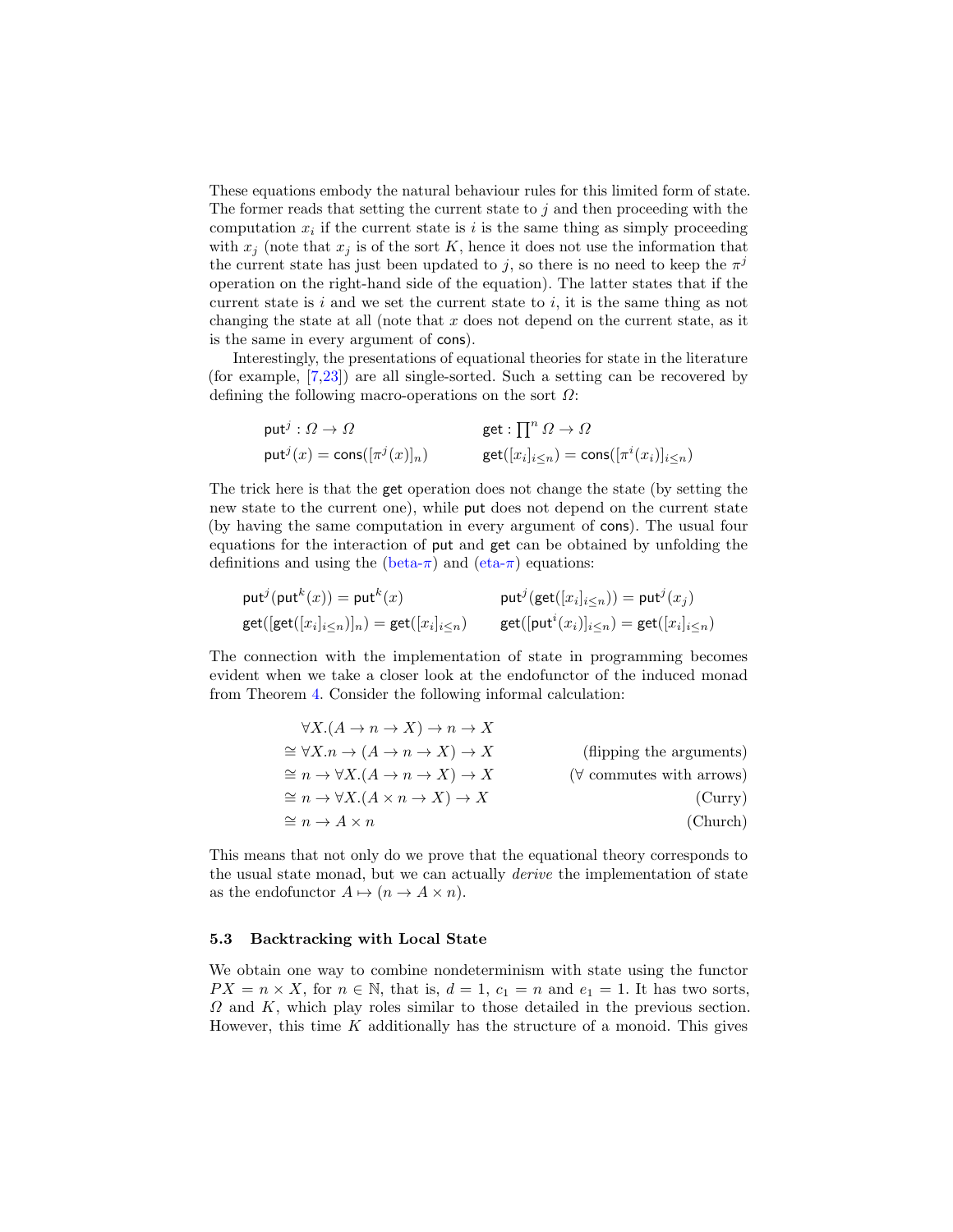These equations embody the natural behaviour rules for this limited form of state. The former reads that setting the current state to j and then proceeding with the computation  $x_i$  if the current state is i is the same thing as simply proceeding with  $x_i$  (note that  $x_j$  is of the sort K, hence it does not use the information that the current state has just been updated to j, so there is no need to keep the  $\pi^{j}$ operation on the right-hand side of the equation). The latter states that if the current state is i and we set the current state to i, it is the same thing as not changing the state at all (note that  $x$  does not depend on the current state, as it is the same in every argument of cons).

Interestingly, the presentations of equational theories for state in the literature (for example, [\[7,](#page-15-11)[23\]](#page-16-3)) are all single-sorted. Such a setting can be recovered by defining the following macro-operations on the sort  $\Omega$ :

$$
\begin{aligned} &\text{put}^j:\varOmega\to\varOmega\qquad &\text{get}:\prod^n\varOmega\to\varOmega\\ &\text{put}^j(x)=\text{cons}([\pi^j(x)]_n) &\text{get}([\boldsymbol{x}_i]_{i\leq n})=\text{cons}([\pi^i(x_i)]_{i\leq n}) \end{aligned}
$$

The trick here is that the get operation does not change the state (by setting the new state to the current one), while put does not depend on the current state (by having the same computation in every argument of cons). The usual four equations for the interaction of put and get can be obtained by unfolding the definitions and using the [\(beta-](#page-7-4) $\pi$ ) and [\(eta-](#page-7-5) $\pi$ ) equations:

$$
\begin{aligned} &\mathsf{put}^{j}(\mathsf{put}^{k}(x))=\mathsf{put}^{k}(x) &\qquad \mathsf{put}^{j}(\mathsf{get}([x_{i}]_{i\leq n}))=\mathsf{put}^{j}(x_{j})\\ &\mathsf{get}([\mathsf{get}([x_{i}]_{i\leq n})]_{n})=\mathsf{get}([x_{i}]_{i\leq n}) &\qquad \mathsf{get}([\mathsf{put}^{i}(x_{i})]_{i\leq n})=\mathsf{get}([x_{i}]_{i\leq n}) \end{aligned}
$$

The connection with the implementation of state in programming becomes evident when we take a closer look at the endofunctor of the induced monad from Theorem [4.](#page-5-1) Consider the following informal calculation:

$$
\forall X. (A \to n \to X) \to n \to X
$$
  
\n
$$
\cong \forall X. n \to (A \to n \to X) \to X
$$
 (flipping the arguments)  
\n
$$
\cong n \to \forall X. (A \times n \to X) \to X
$$
 (Y commutes with arrows)  
\n
$$
\cong n \to A \times n
$$
 (Curry)  
\n(Church)

This means that not only do we prove that the equational theory corresponds to the usual state monad, but we can actually derive the implementation of state as the endofunctor  $A \mapsto (n \to A \times n)$ .

#### <span id="page-11-0"></span>5.3 Backtracking with Local State

We obtain one way to combine nondeterminism with state using the functor  $PX = n \times X$ , for  $n \in \mathbb{N}$ , that is,  $d = 1$ ,  $c_1 = n$  and  $e_1 = 1$ . It has two sorts,  $\Omega$  and  $K$ , which play roles similar to those detailed in the previous section. However, this time  $K$  additionally has the structure of a monoid. This gives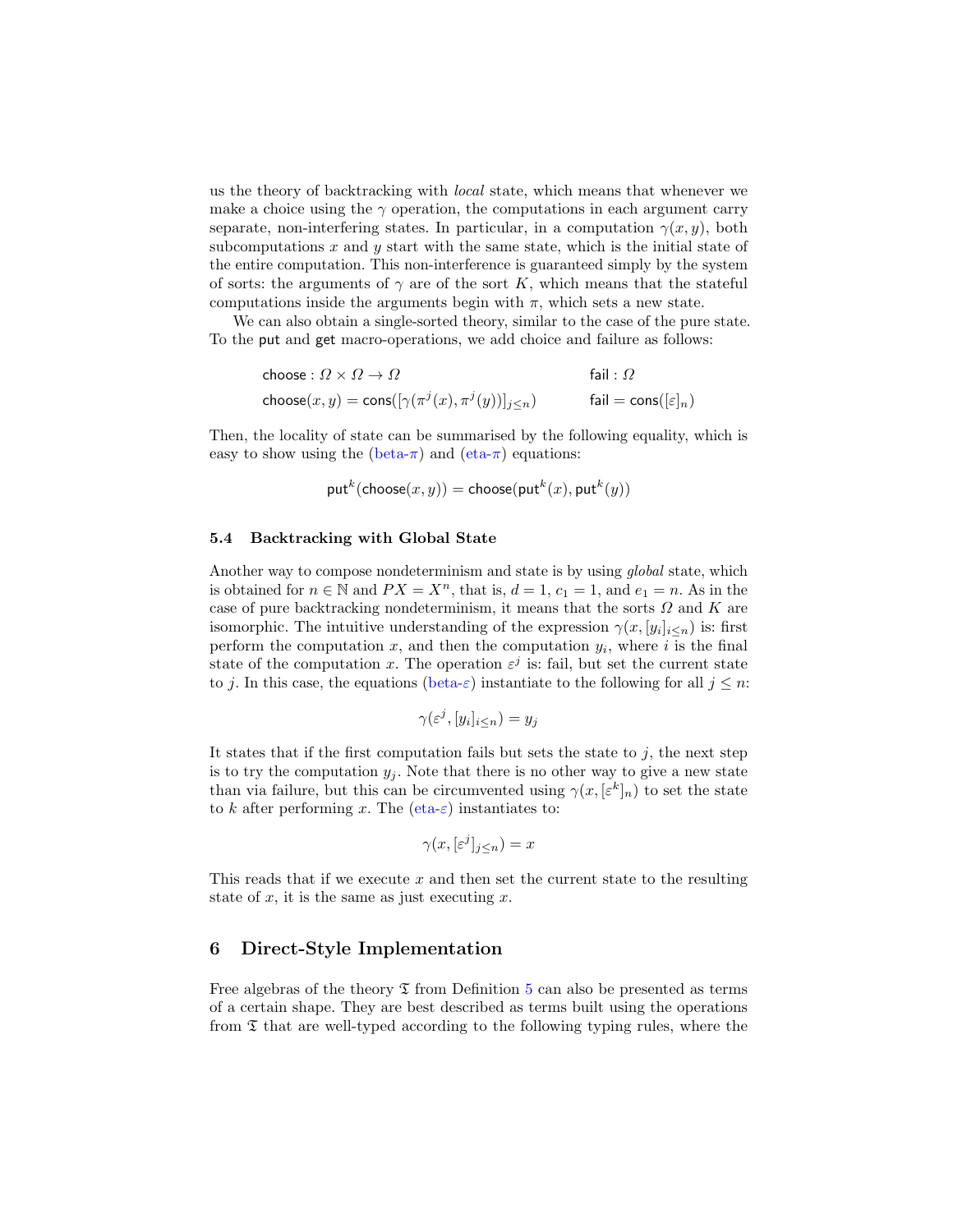us the theory of backtracking with *local* state, which means that whenever we make a choice using the  $\gamma$  operation, the computations in each argument carry separate, non-interfering states. In particular, in a computation  $\gamma(x, y)$ , both subcomputations  $x$  and  $y$  start with the same state, which is the initial state of the entire computation. This non-interference is guaranteed simply by the system of sorts: the arguments of  $\gamma$  are of the sort K, which means that the stateful computations inside the arguments begin with  $\pi$ , which sets a new state.

We can also obtain a single-sorted theory, similar to the case of the pure state. To the put and get macro-operations, we add choice and failure as follows:

$$
\begin{aligned} \text{choose}: \varOmega \times \varOmega &\to \varOmega &\qquad \text{fail}: \varOmega \\ \text{choose}(x,y) & = \text{cons}([\gamma(\pi^j(x),\pi^j(y))]_{j\leq n}) &\qquad \text{fail} = \text{cons}([\varepsilon]_n) \end{aligned}
$$

Then, the locality of state can be summarised by the following equality, which is easy to show using the [\(beta-](#page-7-4) $\pi$ ) and [\(eta-](#page-7-5) $\pi$ ) equations:

$$
put^{k}(choose(x, y)) = choose(put^{k}(x), put^{k}(y))
$$

#### <span id="page-12-0"></span>5.4 Backtracking with Global State

Another way to compose nondeterminism and state is by using global state, which is obtained for  $n \in \mathbb{N}$  and  $PX = X^n$ , that is,  $d = 1$ ,  $c_1 = 1$ , and  $e_1 = n$ . As in the case of pure backtracking nondeterminism, it means that the sorts  $\Omega$  and  $K$  are isomorphic. The intuitive understanding of the expression  $\gamma(x,[y_i]_{i\leq n})$  is: first perform the computation  $x$ , and then the computation  $y_i$ , where i is the final state of the computation x. The operation  $\varepsilon^j$  is: fail, but set the current state to j. In this case, the equations [\(beta-](#page-7-0) $\varepsilon$ ) instantiate to the following for all  $j \leq n$ :

$$
\gamma(\varepsilon^j, [y_i]_{i \le n}) = y_j
$$

It states that if the first computation fails but sets the state to  $j$ , the next step is to try the computation  $y_i$ . Note that there is no other way to give a new state than via failure, but this can be circumvented using  $\gamma(x,[\varepsilon^k]_n)$  to set the state to k after performing x. The  $(\text{eta-}\varepsilon)$  instantiates to:

$$
\gamma(x, [\varepsilon^j]_{j \le n}) = x
$$

This reads that if we execute  $x$  and then set the current state to the resulting state of  $x$ , it is the same as just executing  $x$ .

## <span id="page-12-1"></span>6 Direct-Style Implementation

Free algebras of the theory  $\mathfrak T$  from Definition [5](#page-7-3) can also be presented as terms of a certain shape. They are best described as terms built using the operations from  $\mathfrak T$  that are well-typed according to the following typing rules, where the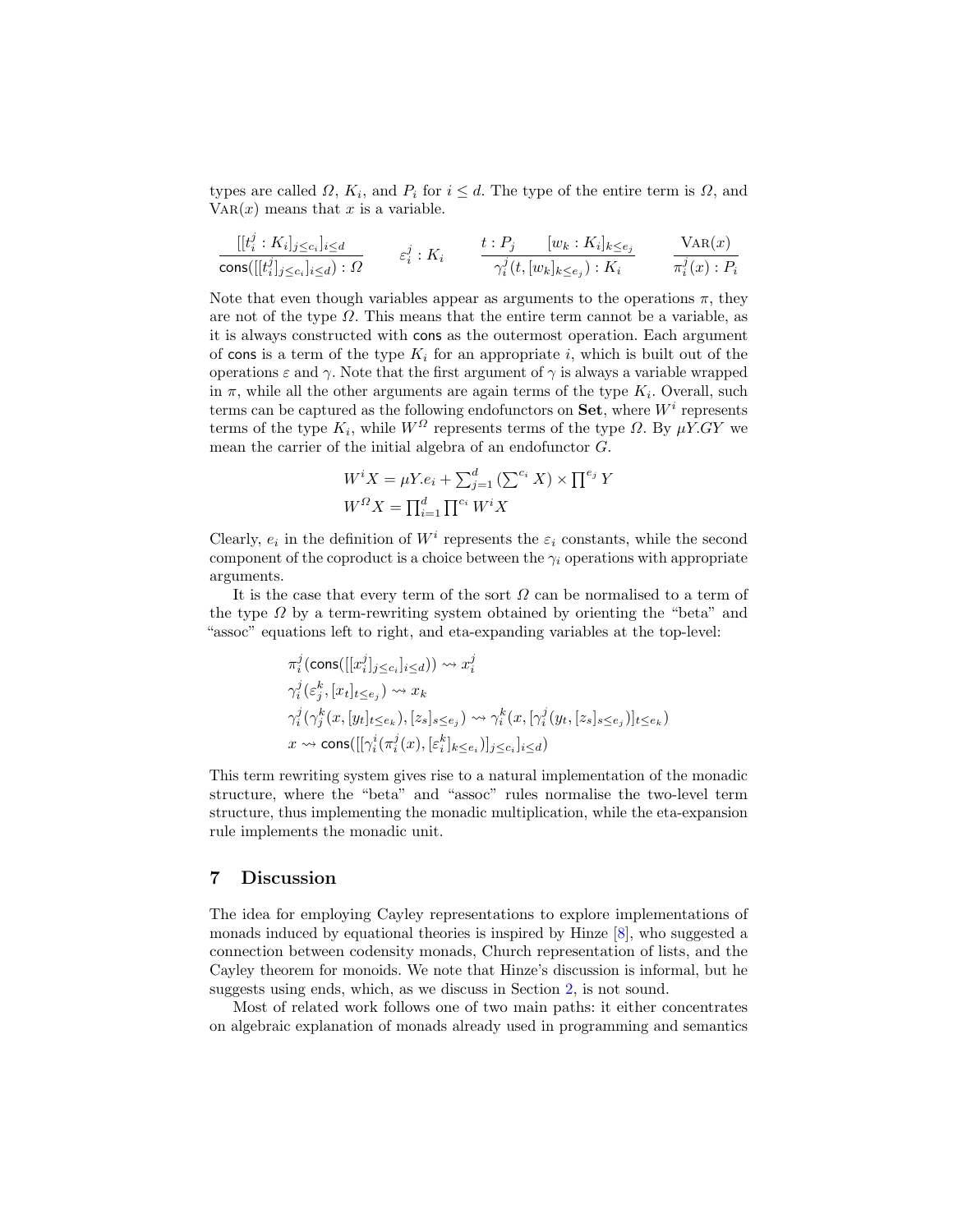types are called  $\Omega$ ,  $K_i$ , and  $P_i$  for  $i \leq d$ . The type of the entire term is  $\Omega$ , and  $VAR(x)$  means that x is a variable.

$$
\frac{[[t_i^j:K_i]_{j\leq c_i}]_{i\leq d}}{\text{cons}([[t_i^j]_{j\leq c_i}]_{i\leq d}):\Omega} \qquad \varepsilon_i^j: K_i \qquad \frac{t:P_j \qquad [w_k:K_i]_{k\leq e_j}}{\gamma_i^j(t,[w_k]_{k\leq e_j}):K_i} \qquad \frac{\text{VAR}(x)}{\pi_i^j(x):P_i}
$$

Note that even though variables appear as arguments to the operations  $\pi$ , they are not of the type  $\Omega$ . This means that the entire term cannot be a variable, as it is always constructed with cons as the outermost operation. Each argument of cons is a term of the type  $K_i$  for an appropriate i, which is built out of the operations  $\varepsilon$  and  $\gamma$ . Note that the first argument of  $\gamma$  is always a variable wrapped in  $\pi$ , while all the other arguments are again terms of the type  $K_i$ . Overall, such terms can be captured as the following endofunctors on  $\mathbf{Set}$ , where  $W^i$  represents terms of the type  $K_i$ , while  $W^{\Omega}$  represents terms of the type  $\Omega$ . By  $\mu Y.GY$  we mean the carrier of the initial algebra of an endofunctor G.

$$
W^i X = \mu Y.e_i + \sum_{j=1}^d \left(\sum^{c_i} X\right) \times \prod^{e_j} Y
$$
  

$$
W^{\Omega} X = \prod_{i=1}^d \prod^{c_i} W^i X
$$

Clearly,  $e_i$  in the definition of  $W^i$  represents the  $\varepsilon_i$  constants, while the second component of the coproduct is a choice between the  $\gamma_i$  operations with appropriate arguments.

It is the case that every term of the sort  $\Omega$  can be normalised to a term of the type  $\Omega$  by a term-rewriting system obtained by orienting the "beta" and "assoc" equations left to right, and eta-expanding variables at the top-level:

$$
\begin{aligned}\n&\pi_i^j\big(\mathrm{cons}([[x_i^j]_{j\leq c_i}]_{i\leq d})\big) \leadsto x_i^j \\
&\gamma_i^j\big(\varepsilon_j^k,[x_t]_{t\leq e_j}\big) \leadsto x_k \\
&\gamma_i^j\big(\gamma_j^k(x,[y_t]_{t\leq e_k}),[z_s]_{s\leq e_j}\big) \leadsto \gamma_i^k(x,[\gamma_i^j(y_t,[z_s]_{s\leq e_j})]_{t\leq e_k}) \\
&x \leadsto \mathrm{cons}([[\gamma_i^i(\pi_i^j(x),[\varepsilon_i^k]_{k\leq e_i})]_{j\leq c_i}]_{i\leq d})\n\end{aligned}
$$

This term rewriting system gives rise to a natural implementation of the monadic structure, where the "beta" and "assoc" rules normalise the two-level term structure, thus implementing the monadic multiplication, while the eta-expansion rule implements the monadic unit.

#### <span id="page-13-0"></span>7 Discussion

The idea for employing Cayley representations to explore implementations of monads induced by equational theories is inspired by Hinze [\[8\]](#page-15-12), who suggested a connection between codensity monads, Church representation of lists, and the Cayley theorem for monoids. We note that Hinze's discussion is informal, but he suggests using ends, which, as we discuss in Section [2,](#page-3-0) is not sound.

Most of related work follows one of two main paths: it either concentrates on algebraic explanation of monads already used in programming and semantics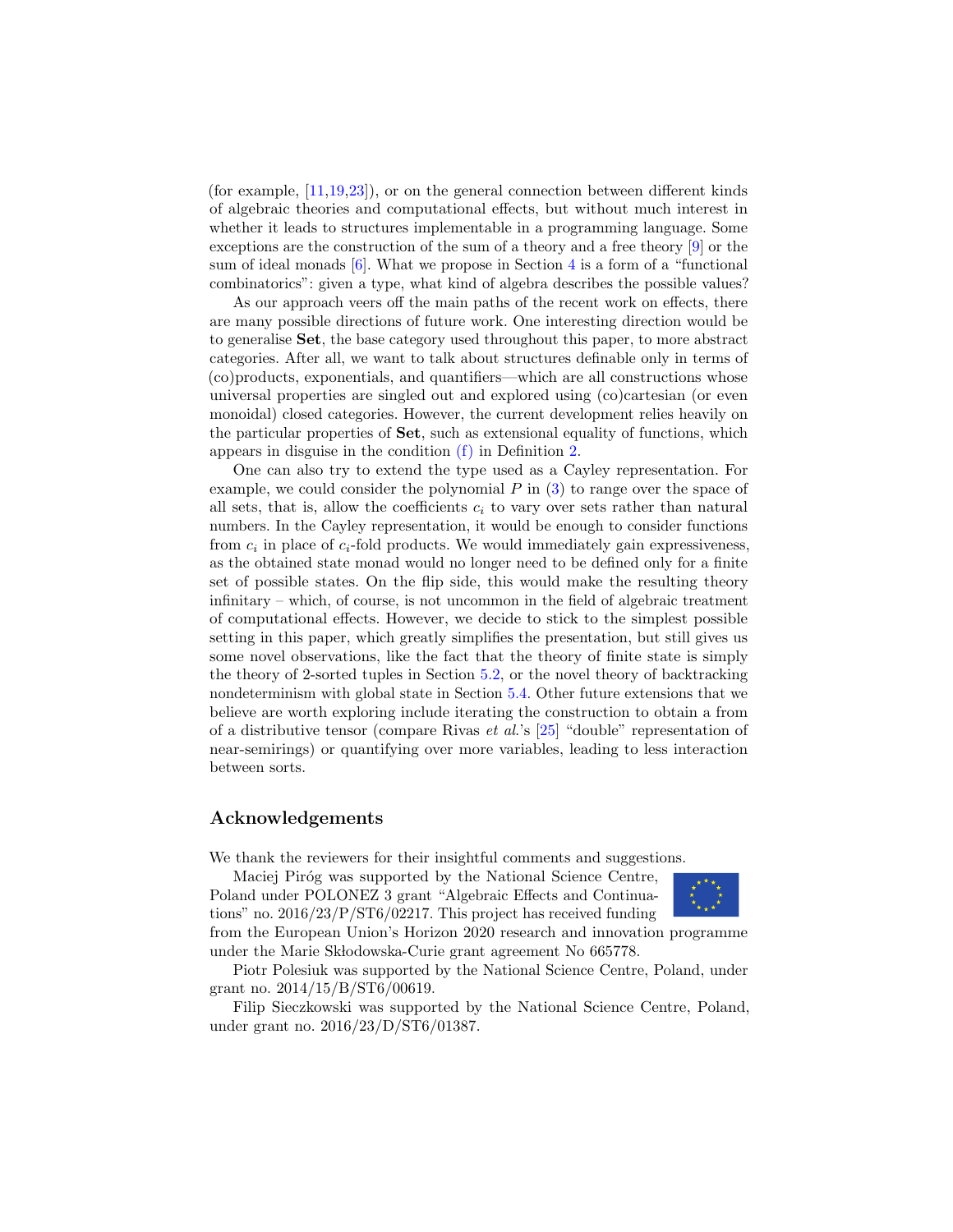(for example,  $[11,19,23]$  $[11,19,23]$  $[11,19,23]$ ), or on the general connection between different kinds of algebraic theories and computational effects, but without much interest in whether it leads to structures implementable in a programming language. Some exceptions are the construction of the sum of a theory and a free theory [\[9\]](#page-15-14) or the sum of ideal monads [\[6\]](#page-15-15). What we propose in Section [4](#page-6-0) is a form of a "functional combinatorics": given a type, what kind of algebra describes the possible values?

As our approach veers off the main paths of the recent work on effects, there are many possible directions of future work. One interesting direction would be to generalise Set, the base category used throughout this paper, to more abstract categories. After all, we want to talk about structures definable only in terms of (co)products, exponentials, and quantifiers—which are all constructions whose universal properties are singled out and explored using (co)cartesian (or even monoidal) closed categories. However, the current development relies heavily on the particular properties of Set, such as extensional equality of functions, which appears in disguise in the condition [\(f\)](#page-4-1) in Definition [2.](#page-4-6)

One can also try to extend the type used as a Cayley representation. For example, we could consider the polynomial  $P$  in  $(3)$  to range over the space of all sets, that is, allow the coefficients  $c_i$  to vary over sets rather than natural numbers. In the Cayley representation, it would be enough to consider functions from  $c_i$  in place of  $c_i$ -fold products. We would immediately gain expressiveness, as the obtained state monad would no longer need to be defined only for a finite set of possible states. On the flip side, this would make the resulting theory infinitary – which, of course, is not uncommon in the field of algebraic treatment of computational effects. However, we decide to stick to the simplest possible setting in this paper, which greatly simplifies the presentation, but still gives us some novel observations, like the fact that the theory of finite state is simply the theory of 2-sorted tuples in Section [5.2,](#page-10-0) or the novel theory of backtracking nondeterminism with global state in Section [5.4.](#page-12-0) Other future extensions that we believe are worth exploring include iterating the construction to obtain a from of a distributive tensor (compare Rivas *et al.*'s  $[25]$  "double" representation of near-semirings) or quantifying over more variables, leading to less interaction between sorts.

### Acknowledgements

We thank the reviewers for their insightful comments and suggestions.

Maciej Piróg was supported by the National Science Centre, Poland under POLONEZ 3 grant "Algebraic Effects and Continuations" no. 2016/23/P/ST6/02217. This project has received funding



from the European Union's Horizon 2020 research and innovation programme under the Marie Skłodowska-Curie grant agreement No 665778.

Piotr Polesiuk was supported by the National Science Centre, Poland, under grant no. 2014/15/B/ST6/00619.

Filip Sieczkowski was supported by the National Science Centre, Poland, under grant no. 2016/23/D/ST6/01387.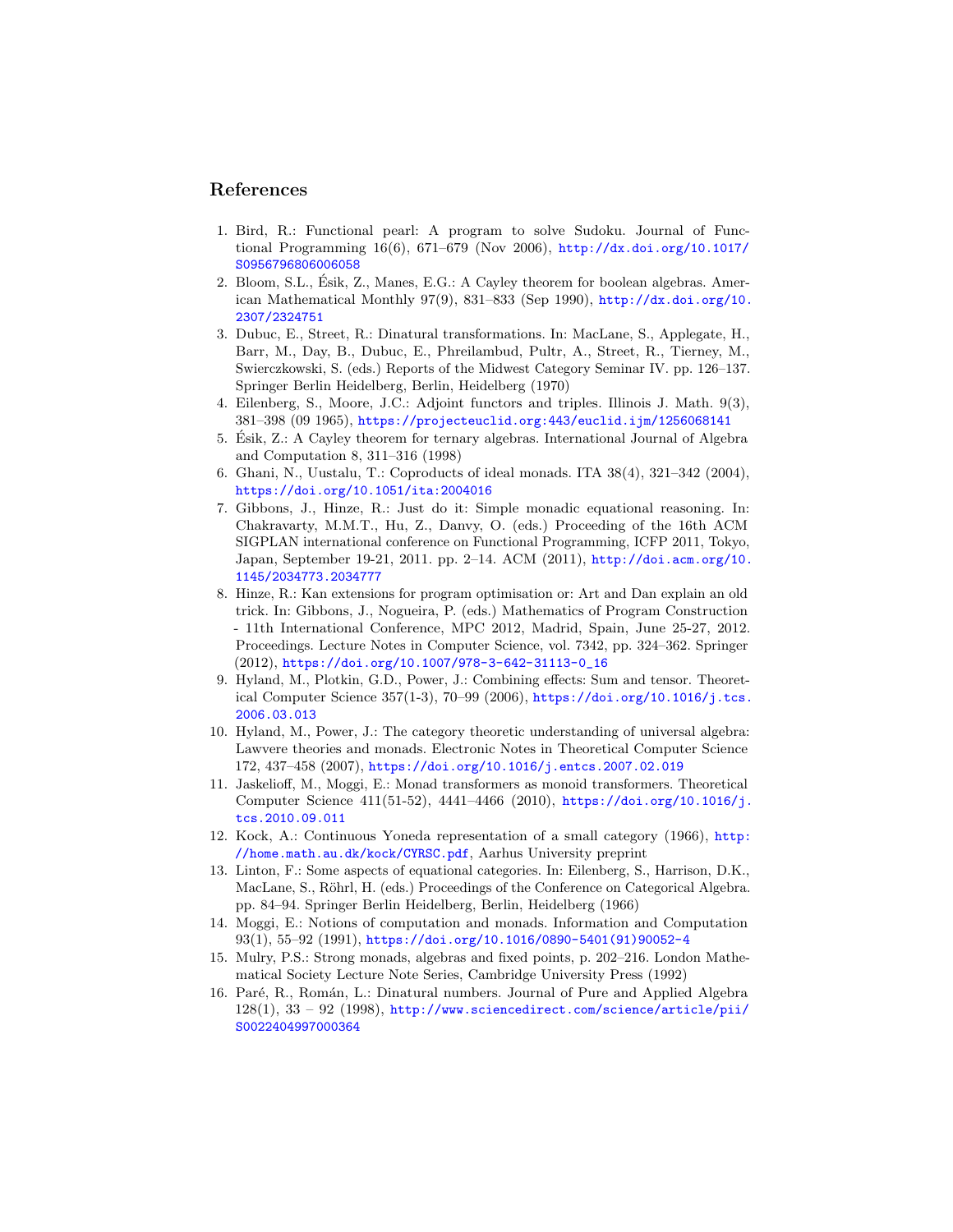#### References

- <span id="page-15-4"></span>1. Bird, R.: Functional pearl: A program to solve Sudoku. Journal of Functional Programming 16(6), 671–679 (Nov 2006), [http://dx.doi.org/10.1017/](http://dx.doi.org/10.1017/S0956796806006058) [S0956796806006058](http://dx.doi.org/10.1017/S0956796806006058)
- <span id="page-15-7"></span>2. Bloom, S.L., Esik, Z., Manes, E.G.: A Cayley theorem for boolean algebras. Amer- ´ ican Mathematical Monthly 97(9), 831–833 (Sep 1990), [http://dx.doi.org/10.](http://dx.doi.org/10.2307/2324751) [2307/2324751](http://dx.doi.org/10.2307/2324751)
- <span id="page-15-10"></span>3. Dubuc, E., Street, R.: Dinatural transformations. In: MacLane, S., Applegate, H., Barr, M., Day, B., Dubuc, E., Phreilambud, Pultr, A., Street, R., Tierney, M., Swierczkowski, S. (eds.) Reports of the Midwest Category Seminar IV. pp. 126–137. Springer Berlin Heidelberg, Berlin, Heidelberg (1970)
- <span id="page-15-1"></span>4. Eilenberg, S., Moore, J.C.: Adjoint functors and triples. Illinois J. Math. 9(3), 381–398 (09 1965), <https://projecteuclid.org:443/euclid.ijm/1256068141>
- <span id="page-15-8"></span>5. Esik, Z.: A Cayley theorem for ternary algebras. International Journal of Algebra ´ and Computation 8, 311–316 (1998)
- <span id="page-15-15"></span>6. Ghani, N., Uustalu, T.: Coproducts of ideal monads. ITA 38(4), 321–342 (2004), <https://doi.org/10.1051/ita:2004016>
- <span id="page-15-11"></span>7. Gibbons, J., Hinze, R.: Just do it: Simple monadic equational reasoning. In: Chakravarty, M.M.T., Hu, Z., Danvy, O. (eds.) Proceeding of the 16th ACM SIGPLAN international conference on Functional Programming, ICFP 2011, Tokyo, Japan, September 19-21, 2011. pp. 2–14. ACM (2011), [http://doi.acm.org/10.](http://doi.acm.org/10.1145/2034773.2034777) [1145/2034773.2034777](http://doi.acm.org/10.1145/2034773.2034777)
- <span id="page-15-12"></span>8. Hinze, R.: Kan extensions for program optimisation or: Art and Dan explain an old trick. In: Gibbons, J., Nogueira, P. (eds.) Mathematics of Program Construction - 11th International Conference, MPC 2012, Madrid, Spain, June 25-27, 2012. Proceedings. Lecture Notes in Computer Science, vol. 7342, pp. 324–362. Springer (2012), [https://doi.org/10.1007/978-3-642-31113-0\\_16](https://doi.org/10.1007/978-3-642-31113-0_16)
- <span id="page-15-14"></span>9. Hyland, M., Plotkin, G.D., Power, J.: Combining effects: Sum and tensor. Theoretical Computer Science 357(1-3), 70–99 (2006), [https://doi.org/10.1016/j.tcs.](https://doi.org/10.1016/j.tcs.2006.03.013) [2006.03.013](https://doi.org/10.1016/j.tcs.2006.03.013)
- <span id="page-15-3"></span>10. Hyland, M., Power, J.: The category theoretic understanding of universal algebra: Lawvere theories and monads. Electronic Notes in Theoretical Computer Science 172, 437–458 (2007), <https://doi.org/10.1016/j.entcs.2007.02.019>
- <span id="page-15-13"></span>11. Jaskelioff, M., Moggi, E.: Monad transformers as monoid transformers. Theoretical Computer Science 411(51-52), 4441–4466 (2010), [https://doi.org/10.1016/j.](https://doi.org/10.1016/j.tcs.2010.09.011) [tcs.2010.09.011](https://doi.org/10.1016/j.tcs.2010.09.011)
- <span id="page-15-9"></span>12. Kock, A.: Continuous Yoneda representation of a small category (1966), [http:](http://home.math.au.dk/kock/CYRSC.pdf) [//home.math.au.dk/kock/CYRSC.pdf](http://home.math.au.dk/kock/CYRSC.pdf), Aarhus University preprint
- <span id="page-15-0"></span>13. Linton, F.: Some aspects of equational categories. In: Eilenberg, S., Harrison, D.K., MacLane, S., Röhrl, H. (eds.) Proceedings of the Conference on Categorical Algebra. pp. 84–94. Springer Berlin Heidelberg, Berlin, Heidelberg (1966)
- <span id="page-15-2"></span>14. Moggi, E.: Notions of computation and monads. Information and Computation 93(1), 55–92 (1991), [https://doi.org/10.1016/0890-5401\(91\)90052-4](https://doi.org/10.1016/0890-5401(91)90052-4)
- <span id="page-15-6"></span>15. Mulry, P.S.: Strong monads, algebras and fixed points, p. 202–216. London Mathematical Society Lecture Note Series, Cambridge University Press (1992)
- <span id="page-15-5"></span>16. Paré, R., Román, L.: Dinatural numbers. Journal of Pure and Applied Algebra 128(1), 33 – 92 (1998), [http://www.sciencedirect.com/science/article/pii/](http://www.sciencedirect.com/science/article/pii/S0022404997000364) [S0022404997000364](http://www.sciencedirect.com/science/article/pii/S0022404997000364)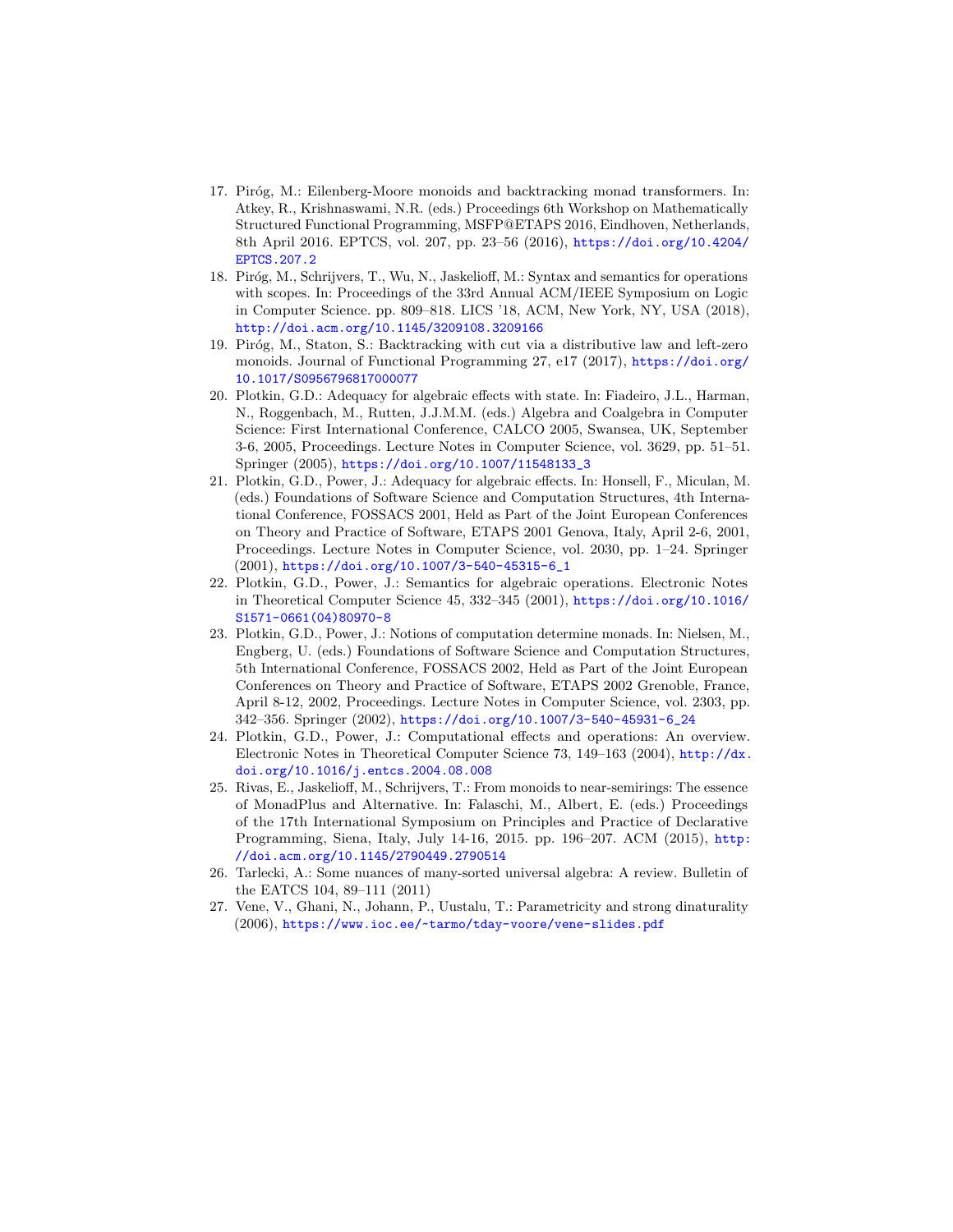- <span id="page-16-6"></span>17. Piróg, M.: Eilenberg-Moore monoids and backtracking monad transformers. In: Atkey, R., Krishnaswami, N.R. (eds.) Proceedings 6th Workshop on Mathematically Structured Functional Programming, MSFP@ETAPS 2016, Eindhoven, Netherlands, 8th April 2016. EPTCS, vol. 207, pp. 23–56 (2016), [https://doi.org/10.4204/](https://doi.org/10.4204/EPTCS.207.2) [EPTCS.207.2](https://doi.org/10.4204/EPTCS.207.2)
- <span id="page-16-9"></span>18. Piróg, M., Schrijvers, T., Wu, N., Jaskelioff, M.: Syntax and semantics for operations with scopes. In: Proceedings of the 33rd Annual ACM/IEEE Symposium on Logic in Computer Science. pp. 809–818. LICS '18, ACM, New York, NY, USA (2018), <http://doi.acm.org/10.1145/3209108.3209166>
- <span id="page-16-10"></span>19. Piróg, M., Staton, S.: Backtracking with cut via a distributive law and left-zero monoids. Journal of Functional Programming 27, e17 (2017), [https://doi.org/](https://doi.org/10.1017/S0956796817000077) [10.1017/S0956796817000077](https://doi.org/10.1017/S0956796817000077)
- <span id="page-16-0"></span>20. Plotkin, G.D.: Adequacy for algebraic effects with state. In: Fiadeiro, J.L., Harman, N., Roggenbach, M., Rutten, J.J.M.M. (eds.) Algebra and Coalgebra in Computer Science: First International Conference, CALCO 2005, Swansea, UK, September 3-6, 2005, Proceedings. Lecture Notes in Computer Science, vol. 3629, pp. 51–51. Springer (2005), [https://doi.org/10.1007/11548133\\_3](https://doi.org/10.1007/11548133_3)
- <span id="page-16-1"></span>21. Plotkin, G.D., Power, J.: Adequacy for algebraic effects. In: Honsell, F., Miculan, M. (eds.) Foundations of Software Science and Computation Structures, 4th International Conference, FOSSACS 2001, Held as Part of the Joint European Conferences on Theory and Practice of Software, ETAPS 2001 Genova, Italy, April 2-6, 2001, Proceedings. Lecture Notes in Computer Science, vol. 2030, pp. 1–24. Springer (2001), [https://doi.org/10.1007/3-540-45315-6\\_1](https://doi.org/10.1007/3-540-45315-6_1)
- <span id="page-16-2"></span>22. Plotkin, G.D., Power, J.: Semantics for algebraic operations. Electronic Notes in Theoretical Computer Science 45, 332–345 (2001), [https://doi.org/10.1016/](https://doi.org/10.1016/S1571-0661(04)80970-8) [S1571-0661\(04\)80970-8](https://doi.org/10.1016/S1571-0661(04)80970-8)
- <span id="page-16-3"></span>23. Plotkin, G.D., Power, J.: Notions of computation determine monads. In: Nielsen, M., Engberg, U. (eds.) Foundations of Software Science and Computation Structures, 5th International Conference, FOSSACS 2002, Held as Part of the Joint European Conferences on Theory and Practice of Software, ETAPS 2002 Grenoble, France, April 8-12, 2002, Proceedings. Lecture Notes in Computer Science, vol. 2303, pp. 342–356. Springer (2002), [https://doi.org/10.1007/3-540-45931-6\\_24](https://doi.org/10.1007/3-540-45931-6_24)
- <span id="page-16-4"></span>24. Plotkin, G.D., Power, J.: Computational effects and operations: An overview. Electronic Notes in Theoretical Computer Science 73, 149–163 (2004), [http://dx.](http://dx.doi.org/10.1016/j.entcs.2004.08.008) [doi.org/10.1016/j.entcs.2004.08.008](http://dx.doi.org/10.1016/j.entcs.2004.08.008)
- <span id="page-16-7"></span>25. Rivas, E., Jaskelioff, M., Schrijvers, T.: From monoids to near-semirings: The essence of MonadPlus and Alternative. In: Falaschi, M., Albert, E. (eds.) Proceedings of the 17th International Symposium on Principles and Practice of Declarative Programming, Siena, Italy, July 14-16, 2015. pp. 196–207. ACM (2015), [http:](http://doi.acm.org/10.1145/2790449.2790514) [//doi.acm.org/10.1145/2790449.2790514](http://doi.acm.org/10.1145/2790449.2790514)
- <span id="page-16-8"></span>26. Tarlecki, A.: Some nuances of many-sorted universal algebra: A review. Bulletin of the EATCS 104, 89–111 (2011)
- <span id="page-16-5"></span>27. Vene, V., Ghani, N., Johann, P., Uustalu, T.: Parametricity and strong dinaturality (2006), <https://www.ioc.ee/~tarmo/tday-voore/vene-slides.pdf>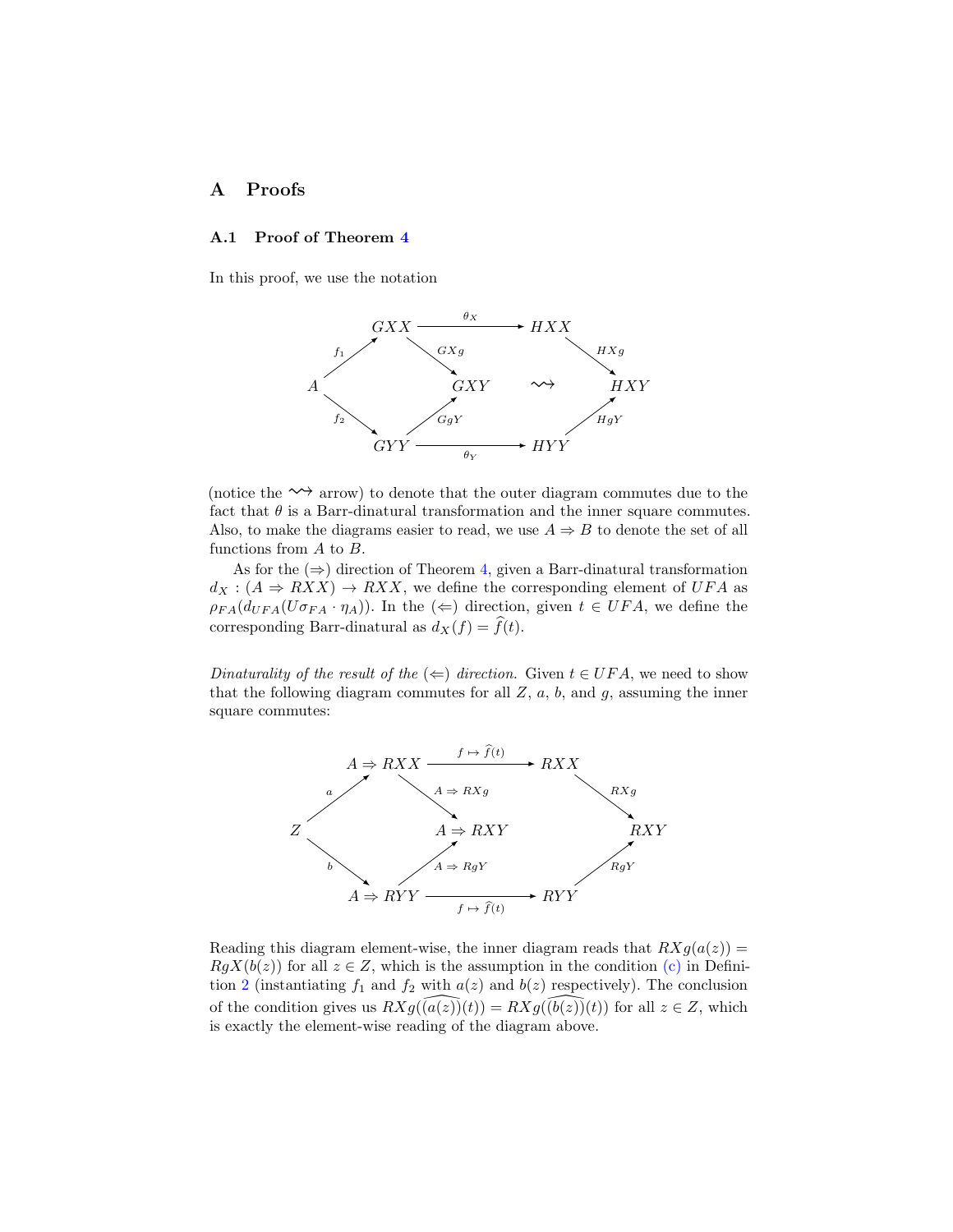## A Proofs

#### A.1 Proof of Theorem [4](#page-5-1)

In this proof, we use the notation



(notice the  $\rightsquigarrow$  arrow) to denote that the outer diagram commutes due to the fact that  $\theta$  is a Barr-dinatural transformation and the inner square commutes. Also, to make the diagrams easier to read, we use  $A \Rightarrow B$  to denote the set of all functions from A to B.

As for the  $(\Rightarrow)$  direction of Theorem [4,](#page-5-1) given a Barr-dinatural transformation  $d_X : (A \Rightarrow RXX) \rightarrow RXX$ , we define the corresponding element of UFA as  $\rho_{FA}(d_{UFA}(U\sigma_{FA}\cdot \eta_A))$ . In the  $(\Leftarrow)$  direction, given  $t \in UFA$ , we define the corresponding Barr-dinatural as  $d_X(f) = \hat{f}(t)$ .

Dinaturality of the result of the  $(\Leftarrow)$  direction. Given  $t \in UFA$ , we need to show that the following diagram commutes for all  $Z$ ,  $a$ ,  $b$ , and  $g$ , assuming the inner square commutes:



Reading this diagram element-wise, the inner diagram reads that  $RXg(a(z)) =$  $RgX(b(z))$  for all  $z \in Z$ , which is the assumption in the condition [\(c\)](#page-4-0) in Defini-tion [2](#page-4-6) (instantiating  $f_1$  and  $f_2$  with  $a(z)$  and  $b(z)$  respectively). The conclusion of the condition gives us  $RXg((a(z))(t)) = RXg((b(z))(t))$  for all  $z \in Z$ , which is exactly the element-wise reading of the diagram above.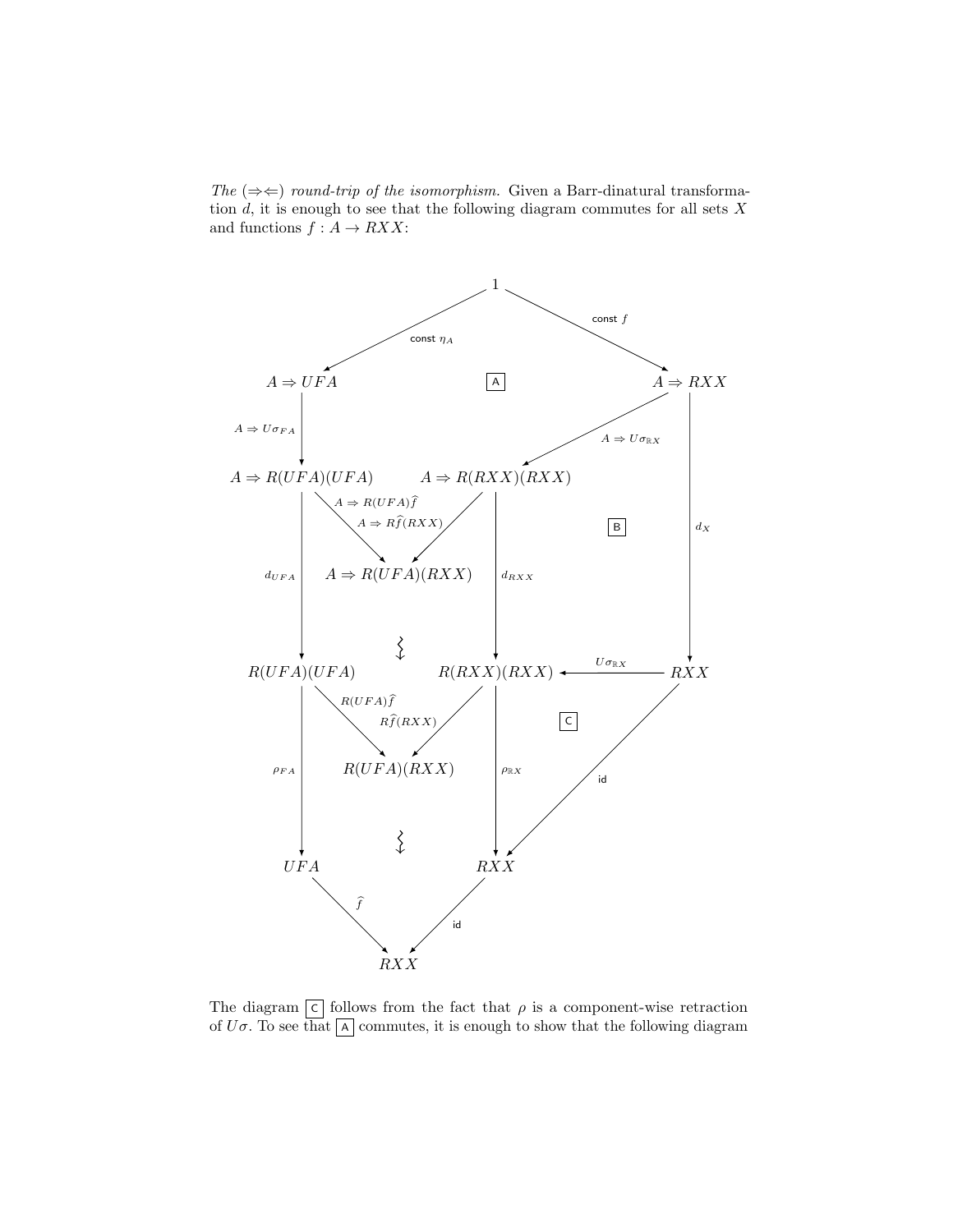The  $(\Rightarrow\Leftarrow)$  round-trip of the isomorphism. Given a Barr-dinatural transformation  $d$ , it is enough to see that the following diagram commutes for all sets  $X$ and functions  $f: A \rightarrow RXX$ :



The diagram  $\boxed{\mathsf{c}}$  follows from the fact that  $\rho$  is a component-wise retraction of  $U\sigma$ . To see that  $\boxed{A}$  commutes, it is enough to show that the following diagram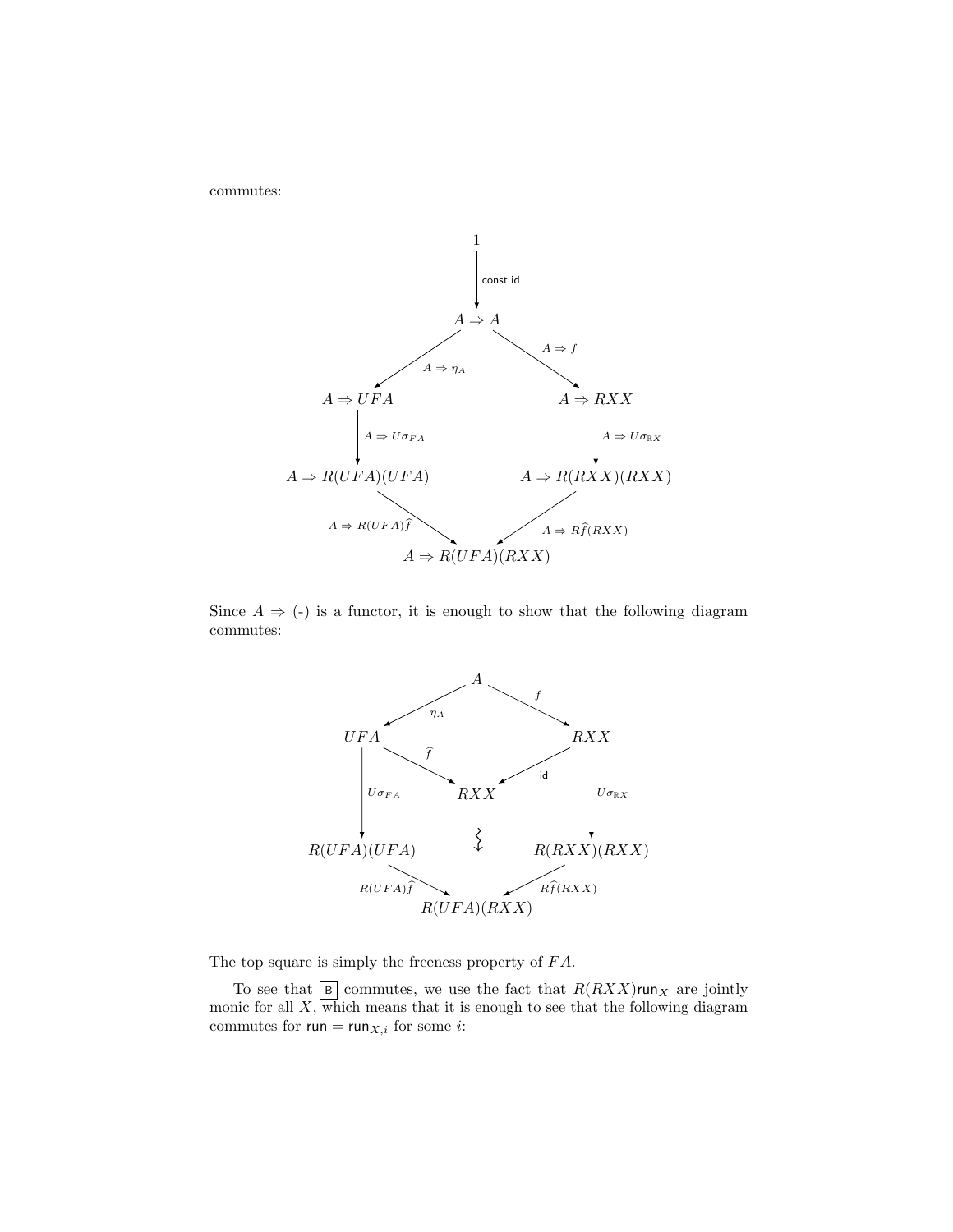commutes:



Since  $A \Rightarrow$  (-) is a functor, it is enough to show that the following diagram commutes:



The top square is simply the freeness property of  $FA$ .

To see that  $\boxed{B}$  commutes, we use the fact that  $R(RXX)$ run<sub>X</sub> are jointly monic for all  $X$ , which means that it is enough to see that the following diagram commutes for run =  $\text{run}_{X,i}$  for some *i*: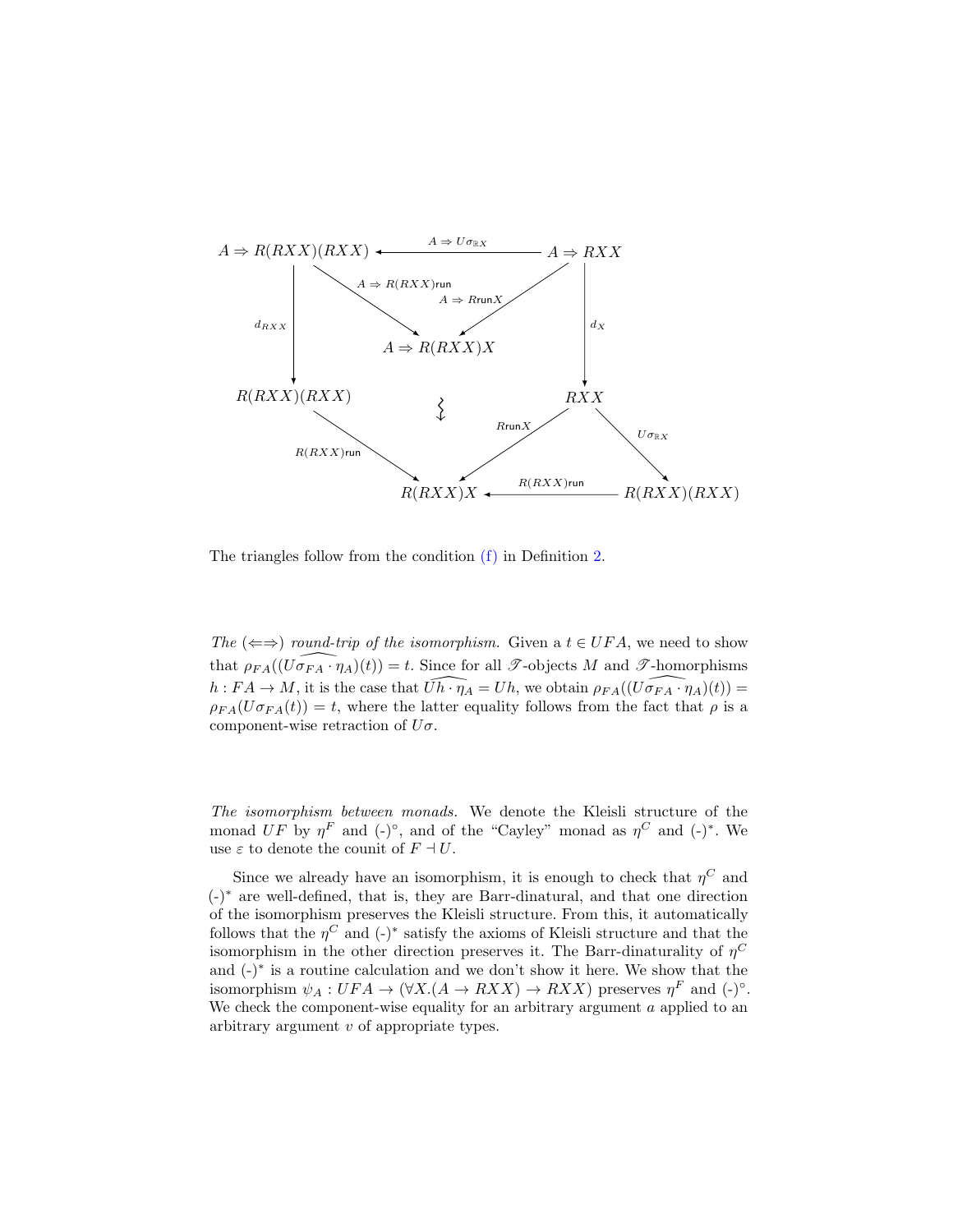

The triangles follow from the condition [\(f\)](#page-4-1) in Definition [2.](#page-4-6)

The  $(\Leftarrow \Rightarrow)$  round-trip of the isomorphism. Given a  $t \in UFA$ , we need to show that  $\rho_{FA}((U\sigma_{FA} \cdot \eta_A)(t)) = t$ . Since for all  $\mathscr{T}$ -objects M and  $\mathscr{T}$ -homorphisms  $h : FA \to M$ , it is the case that  $\widehat{Uh} \cdot \widehat{\eta}_A = Uh$ , we obtain  $\rho_{FA}((\widehat{U\sigma_{FA} \cdot \eta}_A)(t)) =$  $\rho_{FA}(U\sigma_{FA}(t))=t$ , where the latter equality follows from the fact that  $\rho$  is a component-wise retraction of  $U\sigma$ .

The isomorphism between monads. We denote the Kleisli structure of the monad UF by  $\eta^F$  and  $(\cdot)^{\circ}$ , and of the "Cayley" monad as  $\eta^C$  and  $(\cdot)^*$ . We use  $\varepsilon$  to denote the counit of  $F \dashv U$ .

Since we already have an isomorphism, it is enough to check that  $\eta^C$  and (-) <sup>∗</sup> are well-defined, that is, they are Barr-dinatural, and that one direction of the isomorphism preserves the Kleisli structure. From this, it automatically follows that the  $\eta^C$  and  $(\cdot)^*$  satisfy the axioms of Kleisli structure and that the isomorphism in the other direction preserves it. The Barr-dinaturality of  $\eta^C$ and (-) ∗ is a routine calculation and we don't show it here. We show that the isomorphism  $\psi_A: UFA \to (\forall X. (A \to RXX) \to RXX)$  preserves  $\eta^F$  and  $(\cdot)^{\circ}$ . We check the component-wise equality for an arbitrary argument  $a$  applied to an arbitrary argument v of appropriate types.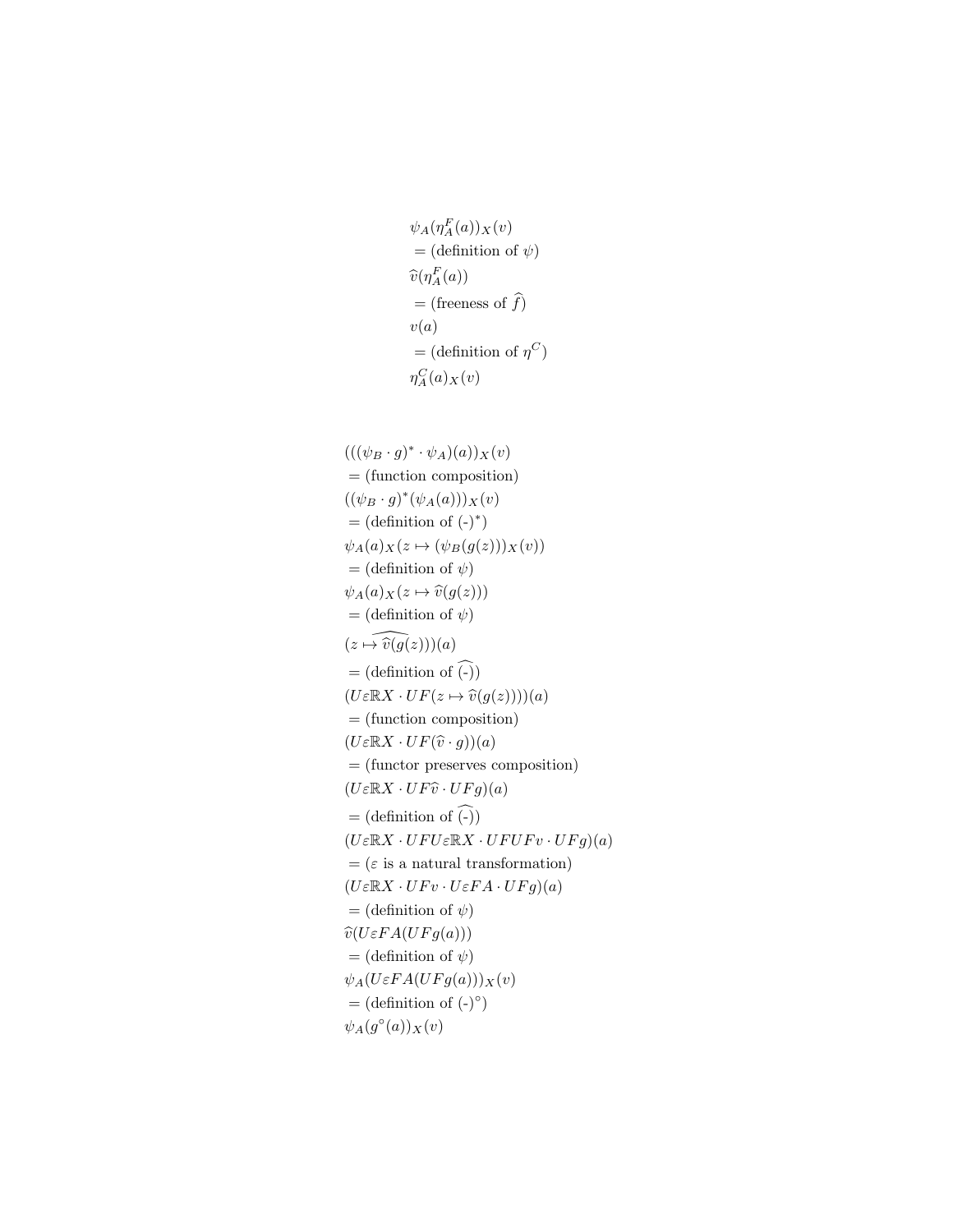```
\psi_A(\eta_A^F(a))_X(v)= (definition of \psi)
\widehat{v}(\eta^F_A(a))= (freeness of \widehat{f})
v(a)= (definition of \eta^C)
\eta_A^C(a)_X(v)
```

```
(((\psi_B \cdot g)^* \cdot \psi_A)(a))_X(v)= (function composition)
((\psi_B \cdot g)^*(\psi_A(a)))_X(v)= (definition of (-)^{*})
\psi_A(a)_X(z \mapsto (\psi_B(g(z)))_X(v))= (definition of \psi)
\psi_A(a)_X(z \mapsto \widehat{v}(g(z)))= (definition of \psi)
(z \mapsto \widehat{\hat{v}(g(z))})(a)= (definition of \widehat{(-)})
(U \in \mathbb{R} X \cdot UF(z \mapsto \hat{v}(g(z))))(a)= (function composition)
(U \varepsilon \mathbb{R} X \cdot UF(\hat{v} \cdot g))(a)= (functor preserves composition)
(U \varepsilon \mathbb{R} X \cdot U F \hat{v} \cdot U F g)(a)= (definition of \widehat{(-)})
(U \varepsilon \mathbb{R} X \cdot U FU \varepsilon \mathbb{R} X \cdot U FU F v \cdot U F g)(a)=(\varepsilon \text{ is a natural transformation})(U \varepsilon \mathbb{R} X \cdot U F v \cdot U \varepsilon F A \cdot U F g)(a)= (definition of \psi)
\widehat{v}(U\varepsilon FA(UFg(a)))= (definition of \psi)
\psi_A( U \varepsilon FA( U F g(a)))_X(v)= (definition of (-)^\circ)
\psi_A(g^{\circ}(a))_X(v)
```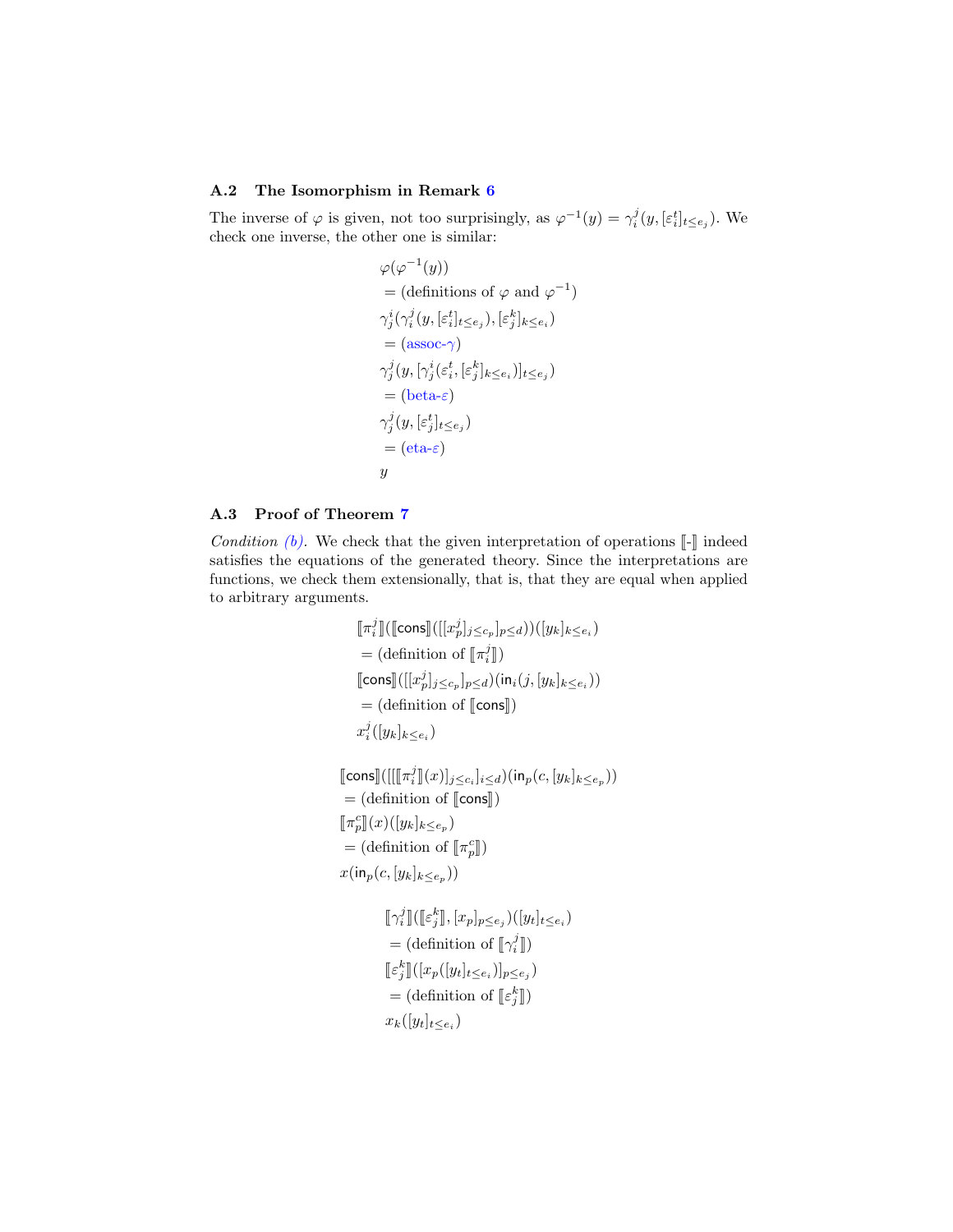### A.2 The Isomorphism in Remark [6](#page-7-7)

The inverse of  $\varphi$  is given, not too surprisingly, as  $\varphi^{-1}(y) = \gamma_i^j(y, [\varepsilon_i^t]_{t \le e_j})$ . We check one inverse, the other one is similar:

$$
\varphi(\varphi^{-1}(y))
$$
  
= (definitions of  $\varphi$  and  $\varphi^{-1}$ )  

$$
\gamma_j^i(\gamma_i^j(y, [\varepsilon_i^t]_{t \leq e_j}), [\varepsilon_j^k]_{k \leq e_i})
$$
  
= (assoc- $\gamma$ )  

$$
\gamma_j^j(y, [\gamma_j^i(\varepsilon_i^t, [\varepsilon_j^k]_{k \leq e_i})]_{t \leq e_j})
$$
  
= (beta- $\varepsilon$ )  

$$
\gamma_j^j(y, [\varepsilon_j^t]_{t \leq e_j})
$$
  
= (eta- $\varepsilon$ )  

$$
y
$$

## A.3 Proof of Theorem [7](#page-8-0)

Condition  $(b)$ . We check that the given interpretation of operations  $\llbracket \cdot \rrbracket$  indeed satisfies the equations of the generated theory. Since the interpretations are functions, we check them extensionally, that is, that they are equal when applied to arbitrary arguments.

$$
\llbracket \pi_i^j \rrbracket(\llbracket \text{cons} \rrbracket([\llbracket x_p^j \rrbracket_{j \leq c_p}]_{p \leq d})([y_k]_{k \leq e_i})
$$
\n
$$
= (\text{definition of } \llbracket \pi_i^j \rrbracket)
$$
\n
$$
\llbracket \text{cons} \rrbracket([\llbracket x_p^j \rrbracket_{j \leq c_p}]_{p \leq d})(\text{in}_i(j, [y_k]_{k \leq e_i}))
$$
\n
$$
= (\text{definition of } \llbracket \text{cons} \rrbracket)
$$
\n
$$
x_i^j([y_k]_{k \leq e_i})
$$
\n
$$
\llbracket \text{cons} \rrbracket((\llbracket \llbracket \pi_i^j \rrbracket(x)]_{j \leq c_i}]_{i \leq d})(\text{in}_p(c, [y_k]_{k \leq e_p}))
$$
\n
$$
= (\text{definition of } \llbracket \pi_p^c \rrbracket)
$$
\n
$$
x(\text{in}_p(c, [y_k]_{k \leq e_p}))
$$
\n
$$
\llbracket \gamma_i^j \rrbracket((\llbracket \varepsilon_j^k \rrbracket, [x_p]_{p \leq e_i})([y_t]_{t \leq e_i})
$$
\n
$$
= (\text{definition of } \llbracket \gamma_i^j \rrbracket)
$$
\n
$$
\llbracket \varepsilon_j^k \rrbracket((x_p([y_t]_{t \leq e_i})_{p \leq e_j})
$$
\n
$$
= (\text{definition of } \llbracket \varepsilon_j^k \rrbracket)
$$
\n
$$
x_k([y_t]_{t \leq e_i})
$$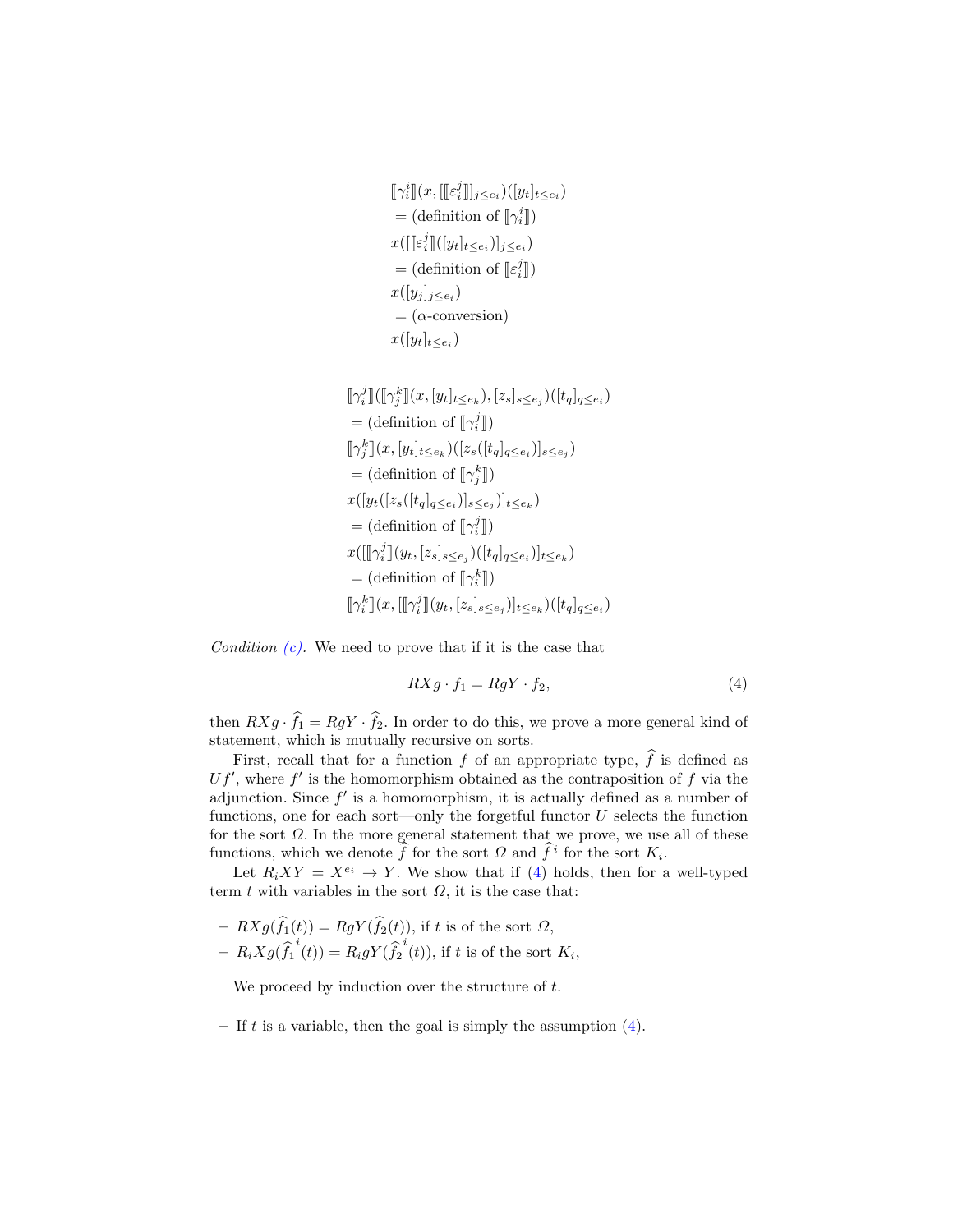$$
\[\gamma_i^i\](x, [\[\varepsilon_i^j\]]_{j \le e_i})([y_t]_{t \le e_i})\]
$$
\n
$$
= (\text{definition of } [\![\gamma_i^i\]])
$$
\n
$$
x([\[\varepsilon_i^j\]]([y_t]_{t \le e_i})]_{j \le e_i})
$$
\n
$$
= (\text{definition of } [\[\varepsilon_i^j\]])
$$
\n
$$
x([y_j]_{j \le e_i})
$$
\n
$$
= (\alpha\text{-conversion})
$$
\n
$$
x([y_t]_{t \le e_i})
$$

$$
\[\gamma_i^j\] (\[\gamma_j^k\] (x, [y_t]_{t \le e_k}), [z_s]_{s \le e_j}) ([t_q]_{q \le e_i})
$$
\n
$$
= (\text{definition of } [\gamma_i^j\])
$$
\n
$$
\[\gamma_j^k\] (x, [y_t]_{t \le e_k}) ([z_s([t_q]_{q \le e_i})]_{s \le e_j})
$$
\n
$$
= (\text{definition of } [\gamma_j^k])
$$
\n
$$
x([y_t([z_s([t_q]_{q \le e_i})]_{s \le e_j})]_{t \le e_k})
$$
\n
$$
= (\text{definition of } [\gamma_i^j\])
$$
\n
$$
x([[\gamma_i^j](y_t, [z_s]_{s \le e_j}) ([t_q]_{q \le e_i})]_{t \le e_k})
$$
\n
$$
= (\text{definition of } [\gamma_i^k\])
$$
\n
$$
[\gamma_i^k](x, [[\gamma_i^j](y_t, [z_s]_{s \le e_j})]_{t \le e_k}) ([t_q]_{q \le e_i})
$$

Condition  $(c)$ . We need to prove that if it is the case that

<span id="page-23-0"></span>
$$
RXg \cdot f_1 = RgY \cdot f_2,\tag{4}
$$

then  $RXg \cdot \hat{f}_1 = RgY \cdot \hat{f}_2$ . In order to do this, we prove a more general kind of statement, which is mutually recursive on sorts.

First, recall that for a function f of an appropriate type,  $\hat{f}$  is defined as  $U f'$ , where  $f'$  is the homomorphism obtained as the contraposition of f via the adjunction. Since  $f'$  is a homomorphism, it is actually defined as a number of functions, one for each sort—only the forgetful functor  $U$  selects the function for the sort  $\Omega$ . In the more general statement that we prove, we use all of these functions, which we denote f for the sort  $\Omega$  and  $\hat{f}^i$  for the sort  $K_i$ .

Let  $R_iXY = X^{e_i} \rightarrow Y$ . We show that if [\(4\)](#page-23-0) holds, then for a well-typed term t with variables in the sort  $\Omega$ , it is the case that:

- $R X g(\hat{f}_1(t)) = R g Y(\hat{f}_2(t)),$  if t is of the sort  $\Omega$ ,
- $-R_iXg(\hat{f_1}^i(t)) = R_igY(\hat{f_2}^i(t))$ , if t is of the sort  $K_i$ ,

We proceed by induction over the structure of  $t$ .

– If t is a variable, then the goal is simply the assumption  $(4)$ .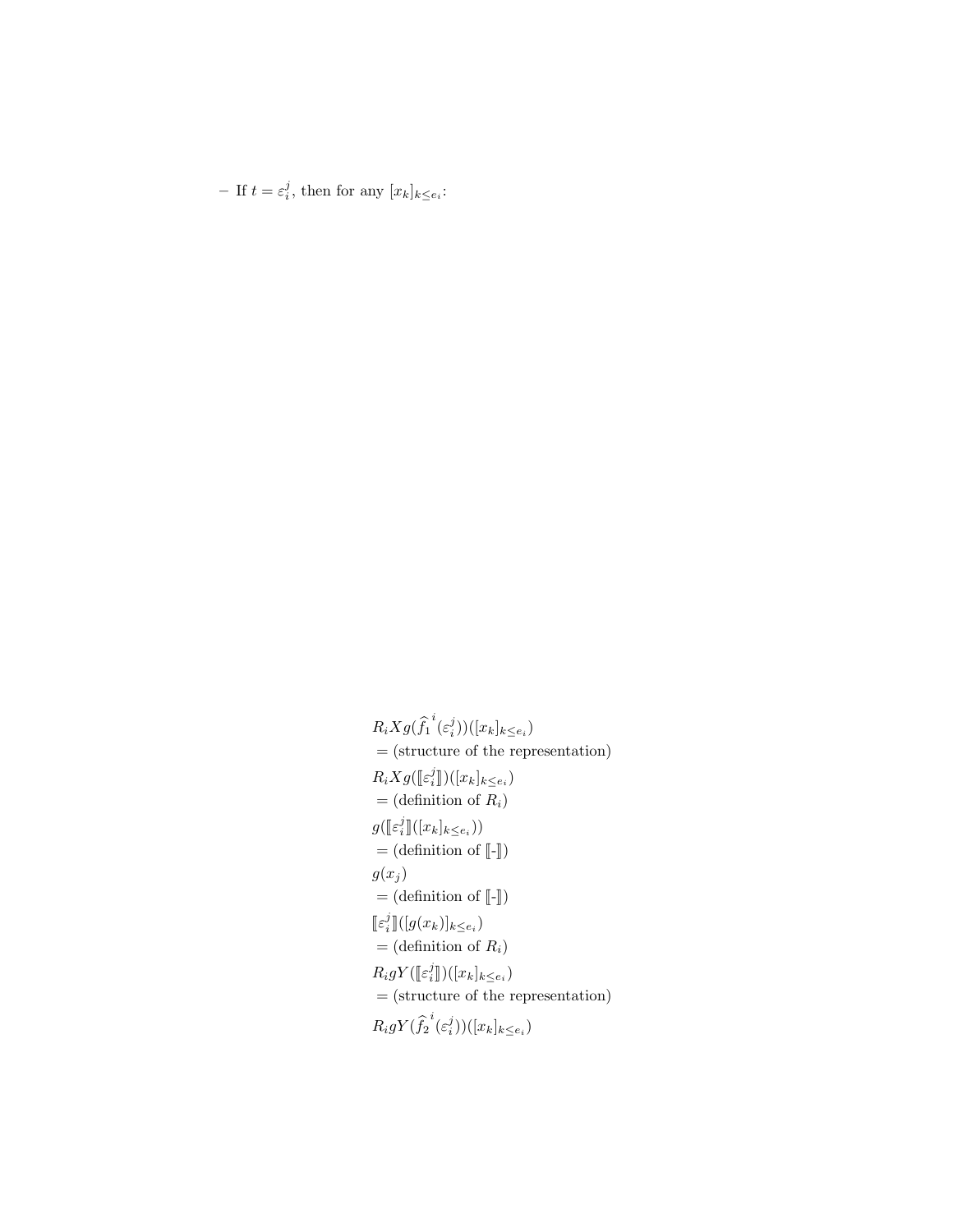- If  $t = \varepsilon_i^j$ , then for any  $[x_k]_{k \leq e_i}$ :

 $R_i X g(\hat{f_1}^i(\varepsilon_i^j))([x_k]_{k \leq e_i})$  $=$  (structure of the representation)  $R_i X g(\llbracket \varepsilon_i^j \rrbracket)([x_k]_{k \leq e_i})$  $=$  (definition of  $R_i$ )  $g(\llbracket \varepsilon_i^j \rrbracket([x_k]_{k \leq e_i}))$  $=$  (definition of  $\llbracket - \rrbracket$ )  $g(x_j)$  $=$  (definition of  $\llbracket - \rrbracket$ )  $\llbracket \varepsilon_i^j \rrbracket ([g(x_k)]_{k \leq e_i})$  $=$  (definition of  $R_i$ )  $R_i g Y(\llbracket \varepsilon_i^j \rrbracket)([x_k]_{k \le e_i})$ = (structure of the representation)  $R_i g Y(\hat{f_2}^i(\varepsilon_i^j))([x_k]_{k \leq e_i})$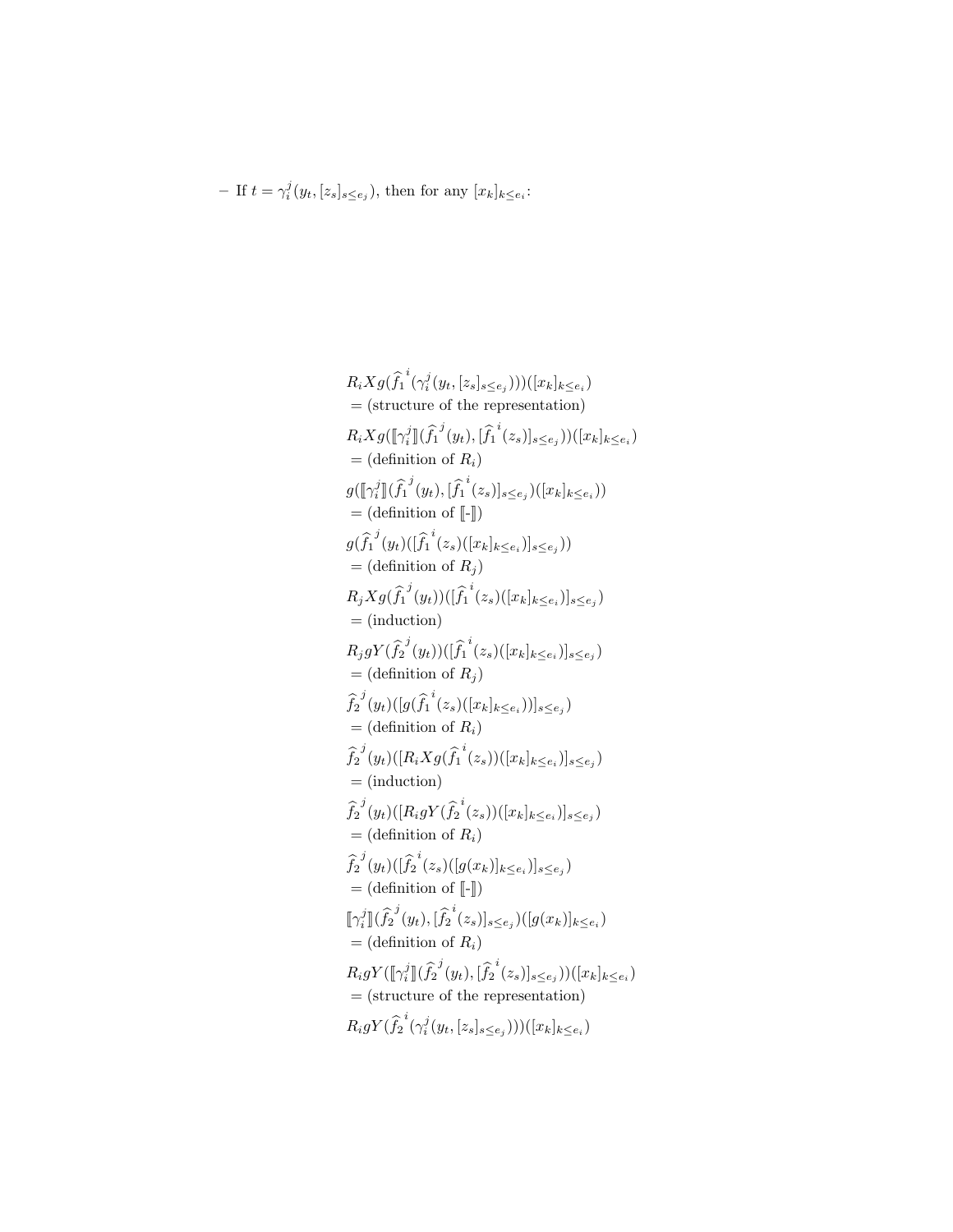- If  $t = \gamma_i^j(y_t, [z_s]_{s \le e_j})$ , then for any  $[x_k]_{k \le e_i}$ :

$$
R_i X g(\hat{f}_1^i (\gamma_i^j (y_t, [z_s]_{s \leq \epsilon_j})))([x_k]_{k \leq \epsilon_i})
$$
  
\n= (structure of the representation)  
\n
$$
R_i X g([\gamma_i^j] (\hat{f}_1^j (y_t), [\hat{f}_1^i (z_s)]_{s \leq \epsilon_j}))([x_k]_{k \leq \epsilon_i})
$$
  
\n= (definition of  $R_i$ )  
\n
$$
g([\gamma_i^j] (\hat{f}_1^j (y_t), [\hat{f}_1^i (z_s)]_{s \leq \epsilon_j})([x_k]_{k \leq \epsilon_i}))
$$
  
\n= (definition of  $[\![\!-]\!])$   
\n
$$
g(\hat{f}_1^j (y_t)([\hat{f}_1^i (z_s)([x_k]_{k \leq \epsilon_i})]_{s \leq \epsilon_j}))
$$
  
\n= (definition of  $R_j$ )  
\n
$$
R_j X g(\hat{f}_1^j (y_t))([\hat{f}_1^i (z_s)([x_k]_{k \leq \epsilon_i})]_{s \leq \epsilon_j})
$$
  
\n= (induction)  
\n
$$
R_j g Y(\hat{f}_2^j (y_t))([\hat{f}_1^i (z_s)([x_k]_{k \leq \epsilon_i})]_{s \leq \epsilon_j})
$$
  
\n= (definition of  $R_j$ )  
\n
$$
\hat{f}_2^j (y_t)([g(\hat{f}_1^i (z_s)([x_k]_{k \leq \epsilon_i})]_{s \leq \epsilon_j})
$$
  
\n= (definition of  $R_i$ )  
\n
$$
\hat{f}_2^j (y_t)([R_i X g(\hat{f}_1^i (z_s))([x_k]_{k \leq \epsilon_i})]_{s \leq \epsilon_j})
$$
  
\n= (induction)  
\n
$$
\hat{f}_2^j (y_t)([R_i g Y(\hat{f}_2^i (z_s))([x_k]_{k \leq \epsilon_i})]_{s \leq \epsilon_j})
$$
  
\n= (definition of  $R_i$ )  
\n
$$
\hat{f}_2^j (y_t)([\hat{f}_2^j (z_s)([g(x_k)]_{k \leq \epsilon_i})]_{s \leq \epsilon_j})
$$
  
\n= (definition of  $R_i$ )  
\n $$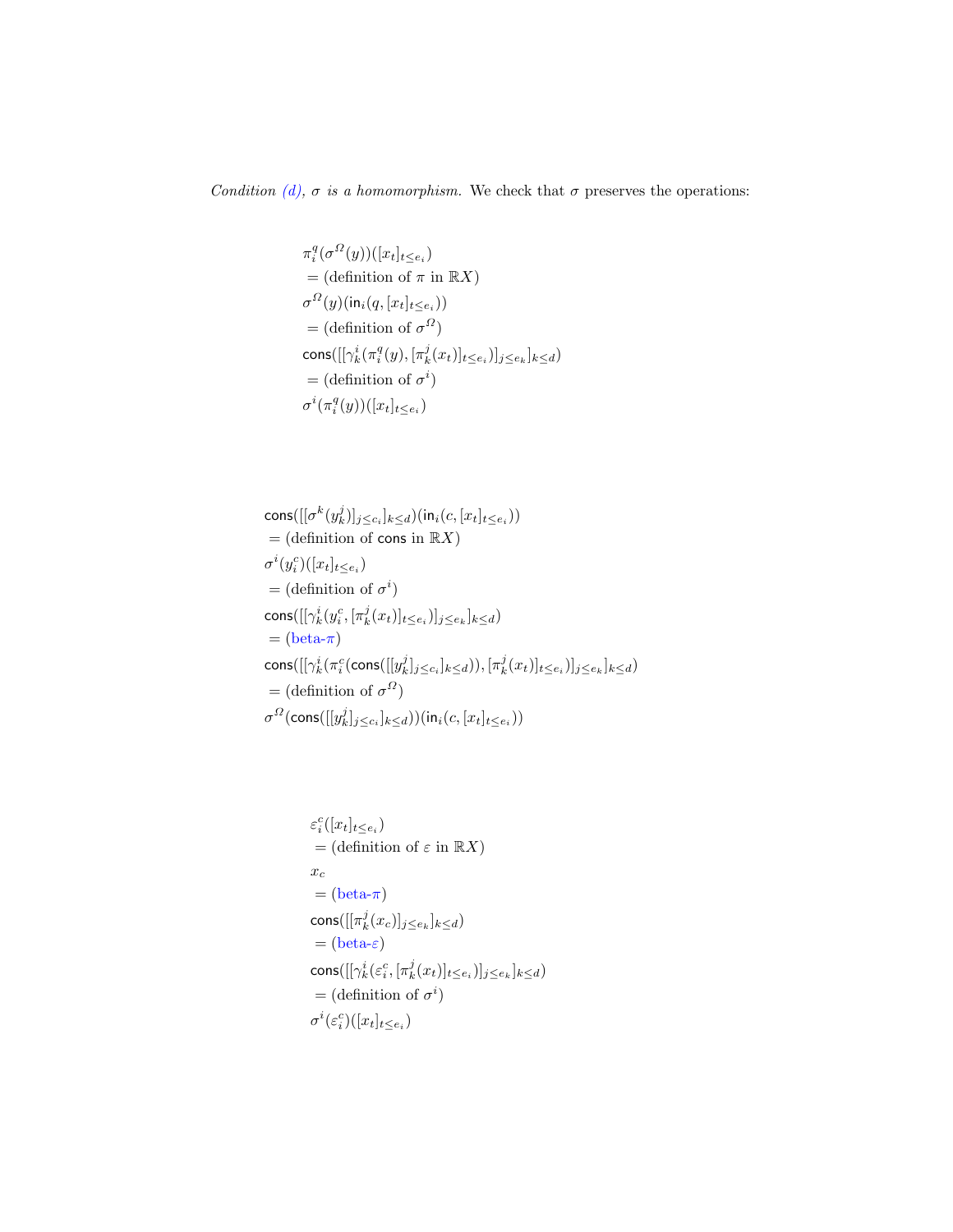Condition [\(d\),](#page-4-4)  $\sigma$  is a homomorphism. We check that  $\sigma$  preserves the operations:

$$
\pi_i^q(\sigma^{\Omega}(y))([x_t]_{t \le e_i})
$$
\n= (definition of  $\pi$  in  $\mathbb{R}X$ )\n
$$
\sigma^{\Omega}(y)(\text{in}_i(q, [x_t]_{t \le e_i}))
$$
\n= (definition of  $\sigma^{\Omega}$ )\n
$$
\text{cons}([[\gamma_k^i(\pi_i^q(y), [\pi_k^j(x_t)]_{t \le e_i})]_{j \le e_k}]_{k \le d})
$$
\n= (definition of  $\sigma^i$ )\n
$$
\sigma^i(\pi_i^q(y))([x_t]_{t \le e_i})
$$

```
\mathsf{cons}([[\sigma^{k}(y_{k}^{j})]_{j\leq c_{i}}]_{k\leq d})(\mathsf{in}_{i}(c,[x_{t}]_{t\leq e_{i}}))= (definition of cons in \mathbb{R}X)
\sigma^{i}(y_i^c)([x_t]_{t\leq e_i})= (definition of \sigma^i)
\mathsf{cons}([[\gamma^i_k(y^c_i,[\pi^j_k(x_t)]_{t\leq e_i})]_{j\leq e_k}]_{k\leq d})=(beta-\pi)
\mathsf{cons}([[\gamma^i_k(\pi^c_i(\mathsf{cons}([[y^j_k]_{j\leq c_i}]_{k\leq d})),[\pi^j_k(x_t)]_{t\leq e_i})]_{j\leq e_k}]_{k\leq d})= (definition of \sigma^{\Omega})
\sigma^\varOmega(\mathsf{cons}([[y^j_k]_{j\leq c_i}]_{k\leq d}))(\mathsf{in}_i(c,[x_t]_{t\leq e_i}))
```

```
\varepsilon_i^c([x_t]_{t\leq e_i})= (definition of \varepsilon in \mathbb{R}X)
\boldsymbol{x_c}=(beta-\pi)
 \mathsf{cons}([[\pi^j_k(x_c)]_{j\leq e_k}]_{k\leq d})=(beta-\varepsilon)
 \mathsf{cons}([[\gamma^i_k(\varepsilon^c_i,[\pi^j_k(x_t)]_{t\leq e_i})]_{j\leq e_k}]_{k\leq d})= (definition of \sigma^i)
 \sigma^{i}(\varepsilon_i^c)([x_t]_{t\leq e_i})
```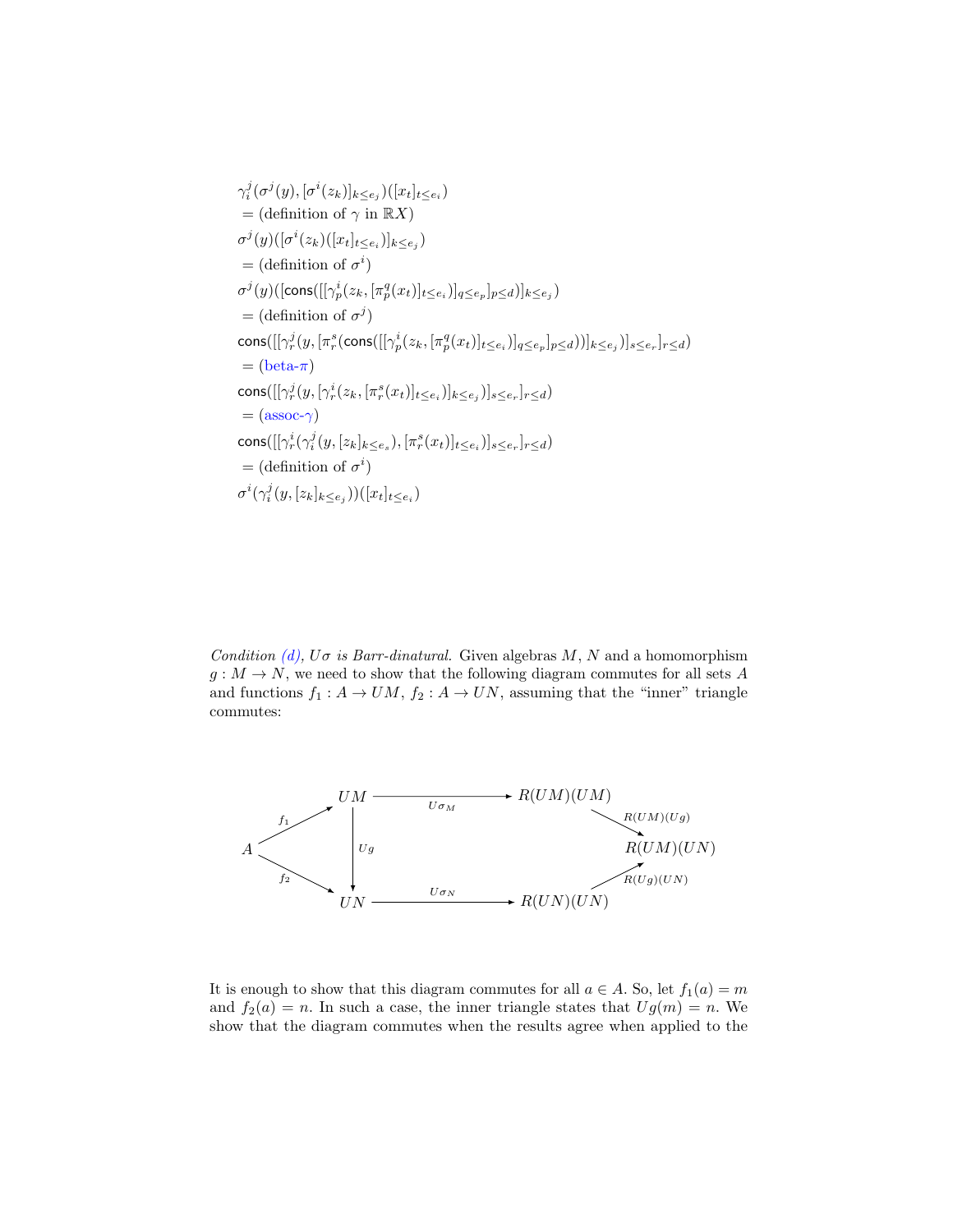$$
\gamma_i^j(\sigma^j(y), [\sigma^i(z_k)]_{k \leq e_j}) ([x_t]_{t \leq e_i})
$$
\n= (definition of  $\gamma$  in  $\mathbb{R}X$ )\n
$$
\sigma^j(y) ([\sigma^i(z_k) ([x_t]_{t \leq e_i})]_{k \leq e_j})
$$
\n= (definition of  $\sigma^i$ )\n
$$
\sigma^j(y) ([\text{cons}([[\gamma_p^i(z_k, [\pi_p^q(x_t)]_{t \leq e_i})]_{q \leq e_p}]_{p \leq d})]_{k \leq e_j})
$$
\n= (definition of  $\sigma^j$ )\n
$$
\text{cons}([[\gamma_r^j(y, [\pi_r^s(\text{cons}([[\gamma_p^i(z_k, [\pi_p^q(x_t)]_{t \leq e_i})]_{q \leq e_p}]_{p \leq d}))]_{k \leq e_j})_{s \leq e_r}]_{r \leq d})
$$
\n= (beta- $\pi$ )\n
$$
\text{cons}([[\gamma_r^j(y, [\gamma_r^i(z_k, [\pi_r^s(x_t)]_{t \leq e_i})]_{k \leq e_j})]_{s \leq e_r}]_{r \leq d})
$$
\n= (associ- $\gamma$ )\n
$$
\text{cons}([[\gamma_r^i(\gamma_i^j(y, [z_k]_{k \leq e_s}), [\pi_r^s(x_t)]_{t \leq e_i})]_{s \leq e_r}]_{r \leq d})
$$
\n= (definition of  $\sigma^i$ )\n
$$
\sigma^i(\gamma_i^j(y, [z_k]_{k \leq e_j}))([x_t]_{t \leq e_i})
$$

Condition  $(d)$ ,  $U\sigma$  is Barr-dinatural. Given algebras M, N and a homomorphism  $g: M \to N$ , we need to show that the following diagram commutes for all sets A and functions  $f_1: A \to UM$ ,  $f_2: A \to UN$ , assuming that the "inner" triangle commutes:



It is enough to show that this diagram commutes for all  $a \in A$ . So, let  $f_1(a) = m$ and  $f_2(a) = n$ . In such a case, the inner triangle states that  $Ug(m) = n$ . We show that the diagram commutes when the results agree when applied to the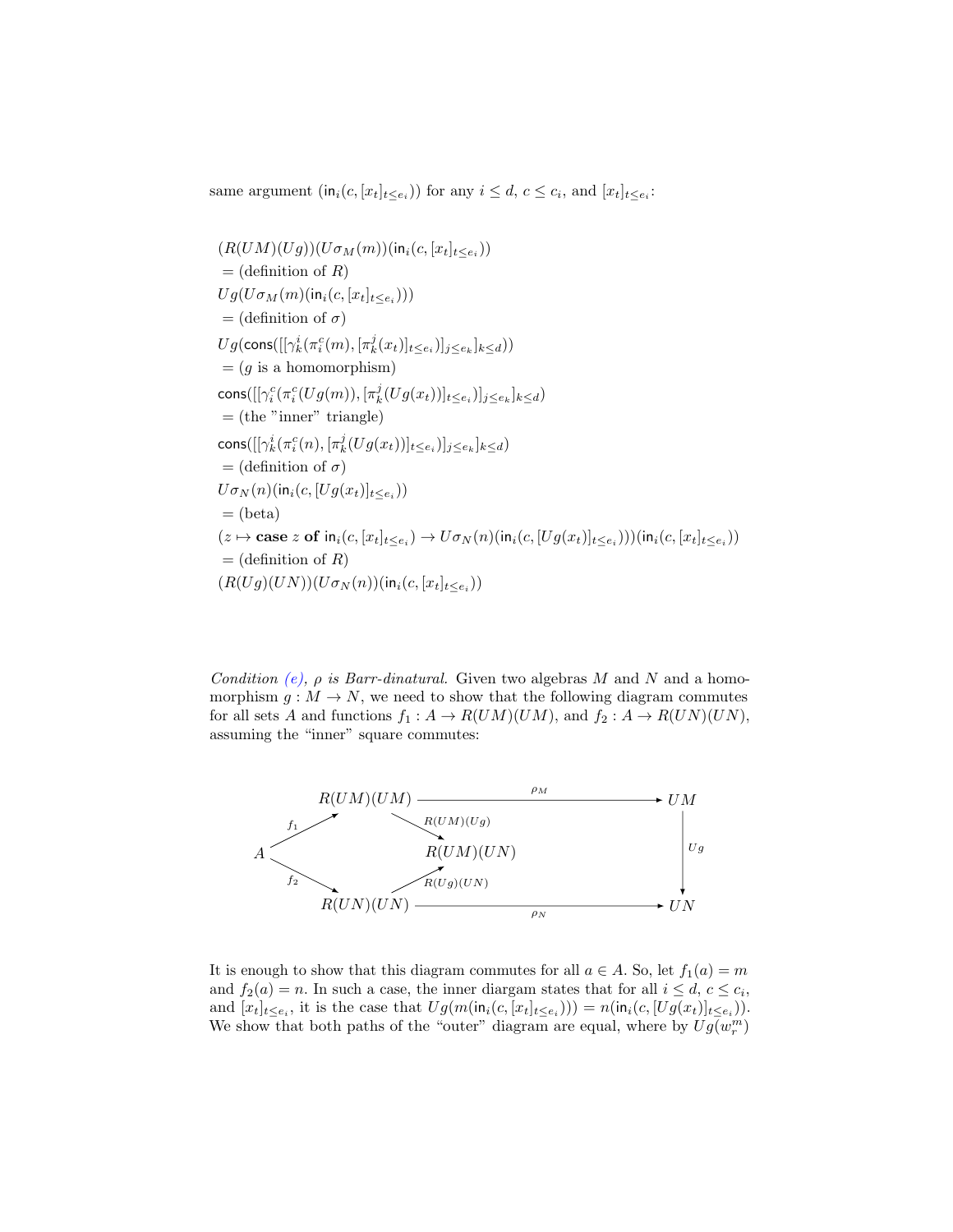same argument  $(\textsf{in}_i(c,[x_t]_{t\leq e_i}))$  for any  $i\leq d, c\leq c_i$ , and  $[x_t]_{t\leq e_i}$ :

$$
(R(UM)(Ug))(U\sigma_M(m))(\text{in}_i(c,[x_t]_{t\leq e_i}))
$$
  
= (definition of R)  

$$
Ug(U\sigma_M(m)(\text{in}_i(c,[x_t]_{t\leq e_i})))
$$
  
= (definition of  $\sigma$ )  

$$
Ug(\text{cons}([[\gamma_k^i(\pi_i^c(m),[\pi_k^j(x_t)]_{t\leq e_i})]_{j\leq e_k}]_{k\leq d}))
$$
  
= (g is a homomorphism)  

$$
\text{cons}([[\gamma_i^c(\pi_i^c(Ug(m)),[\pi_k^j(Ug(x_t))]_{t\leq e_i})]_{j\leq e_k}]_{k\leq d})
$$
  
= (the "inner" triangle)  

$$
\text{cons}([[\gamma_k^i(\pi_i^c(n),[\pi_k^j(Ug(x_t))]_{t\leq e_i})]_{j\leq e_k}]_{k\leq d})
$$
  
= (definition of  $\sigma$ )  

$$
U\sigma_N(n)(\text{in}_i(c,[Ug(x_t)]_{t\leq e_i}))
$$
  
= (beta)  
(z \mapsto case z of in<sub>i</sub>(c,[x\_t]\_{t\leq e\_i}) \rightarrow U\sigma\_N(n)(\text{in}\_i(c,[Ug(x\_t)]\_{t\leq e\_i})))(\text{in}\_i(c,[x\_t]\_{t\leq e\_i}))  
= (definition of R)  
(R(Ug)(UN))(U\sigma\_N(n))(\text{in}\_i(c,[x\_t]\_{t\leq e\_i}))

Condition [\(e\),](#page-4-5)  $\rho$  is Barr-dinatural. Given two algebras M and N and a homomorphism  $g: M \to N$ , we need to show that the following diagram commutes for all sets A and functions  $f_1: A \to R(UM)(UM)$ , and  $f_2: A \to R(UN)(UN)$ , assuming the "inner" square commutes:



It is enough to show that this diagram commutes for all  $a \in A$ . So, let  $f_1(a) = m$ and  $f_2(a) = n$ . In such a case, the inner diargam states that for all  $i \leq d, c \leq c_i$ , and  $[x_t]_{t \leq e_i}$ , it is the case that  $Ug(m(\mathsf{in}_i(c,[x_t]_{t \leq e_i}))) = n(\mathsf{in}_i(c,[Ug(x_t)]_{t \leq e_i})).$ We show that both paths of the "outer" diagram are equal, where by  $Ug(\overline{w_r^m})$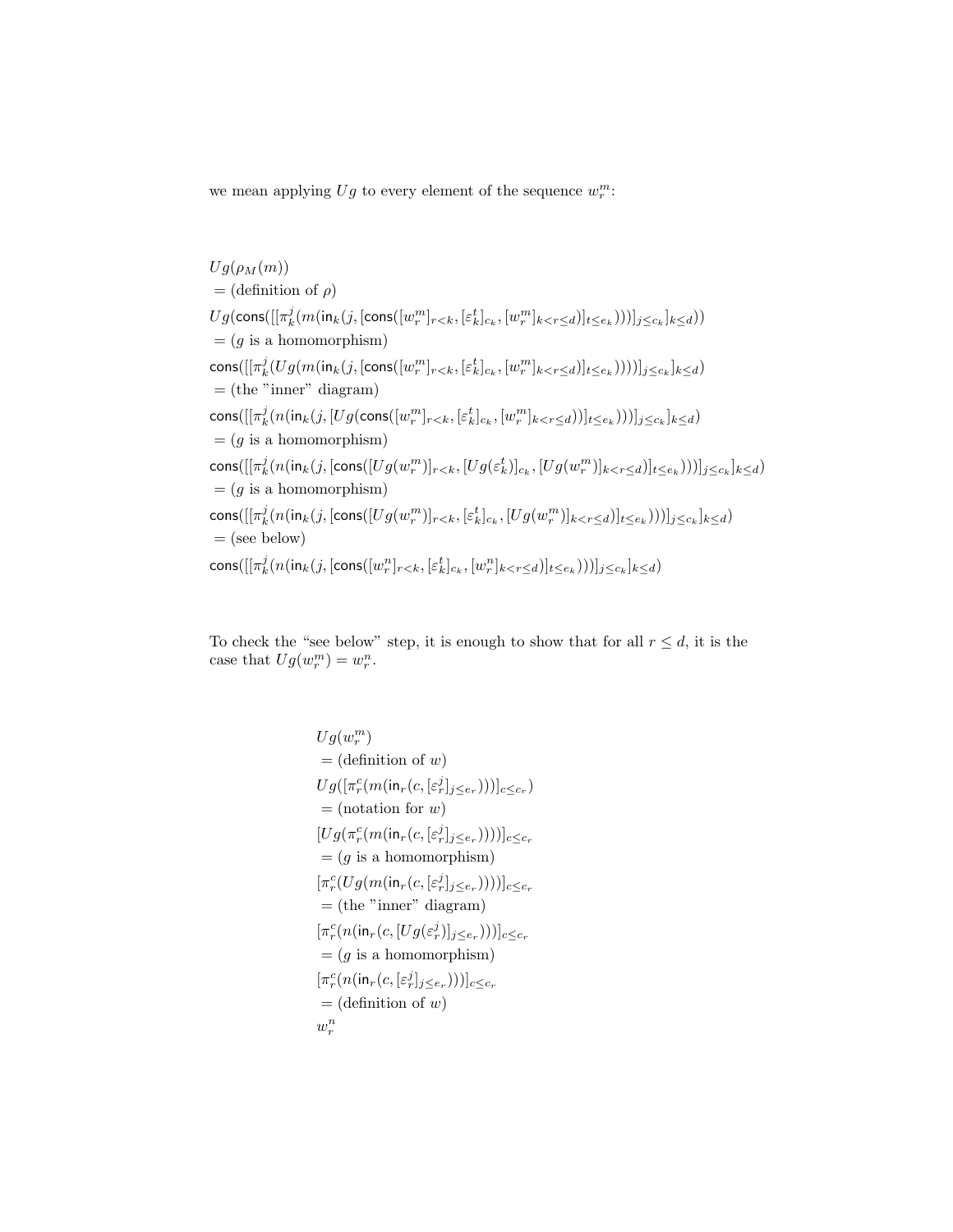we mean applying  $Ug$  to every element of the sequence  $w_r^m$ :

 $Ug(\rho_M(m))$  $=$  (definition of  $\rho$ )  $Ug(\mathsf{cons}([\lceil \pi_k^j(m(\mathsf{in}_k(j,\lceil \mathsf{cons}([\boldsymbol{w}_r^m]_{r < k},[\varepsilon_k^t]_{c_k},[\boldsymbol{w}_r^m]_{k < r \le d})]_{t \le e_k})))\rceil_{j \le c_k}]_{k \le d}))$  $=(g \text{ is a homomorphism})$  $\mathsf{cons}([\pi_k^j (Ug(m(\mathsf{in}_k(j,\mathsf{[cons}([w^m_r]_{r$  $=$  (the "inner" diagram)  $\textsf{cons}([\lceil \pi_k^j(n(\mathsf{in}_k(j,[Ug(\mathsf{cons}([w^m_r]_{r$  $=(g \text{ is a homomorphism})$  $\textsf{cons}([\lceil \pi_k^j(n(\mathsf{in}_k(j,\lceil \mathsf{cons}([Ug(w^m_r)]_{r$  $=(g \text{ is a homomorphism})$  $\mathsf{cons}([\pi_k^j(n(\mathsf{in}_k(j,[\mathsf{cons}([Ug(w^m_r)]_{r$  $=$  (see below)  $\mathsf{cons}([\lceil \pi_k^j(n(\mathsf{in}_k(j,\lceil \mathsf{cons}([w^n_r]_{r$ 

To check the "see below" step, it is enough to show that for all  $r \leq d$ , it is the case that  $Ug(w_r^m) = w_r^n$ .

$$
Ug(w_r^m)
$$
  
= (definition of w)  

$$
Ug([\pi_r^c(m(\text{in}_r(c, [\varepsilon_r^j]_{j \leq e_r}))))]_{c \leq c_r})
$$
  
= (notation for w)  

$$
[Ug(\pi_r^c(m(\text{in}_r(c, [\varepsilon_r^j]_{j \leq e_r})))))]_{c \leq c_r}
$$
  
= (g is a homomorphism)  

$$
[\pi_r^c(Ug(m(\text{in}_r(c, [\varepsilon_r^j]_{j \leq e_r})))))]_{c \leq c_r}
$$
  
= (the "inner" diagram)  

$$
[\pi_r^c(n(\text{in}_r(c, [Ug(\varepsilon_r^j]_{j \leq e_r}))))]_{c \leq c_r}
$$
  
= (g is a homomorphism)  

$$
[\pi_r^c(n(\text{in}_r(c, [\varepsilon_r^j]_{j \leq e_r})))]_{c \leq c_r}
$$
  
= (definition of w)  

$$
w_r^n
$$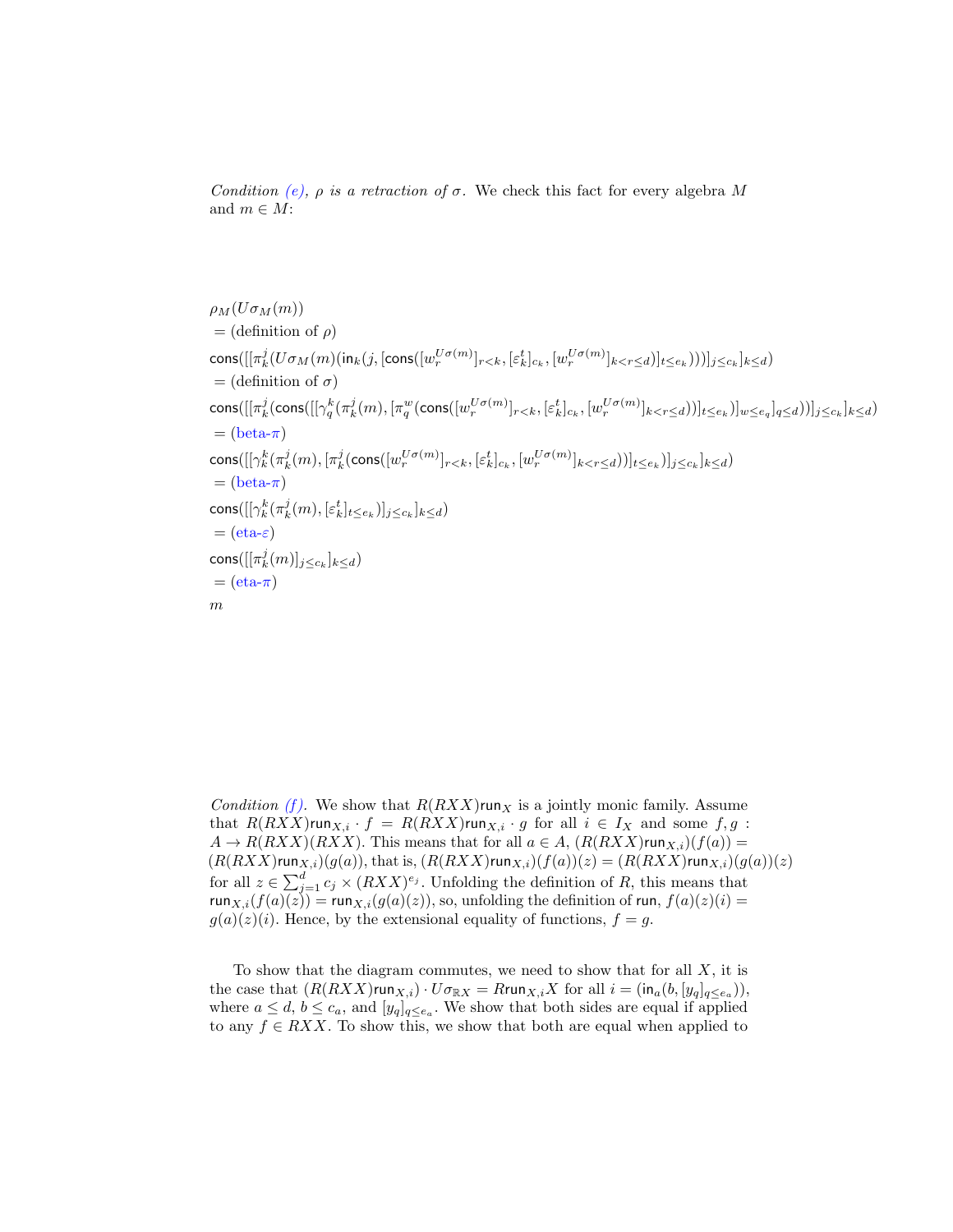Condition [\(e\),](#page-4-5)  $\rho$  is a retraction of  $\sigma$ . We check this fact for every algebra M and  $m \in M$ :

 $\rho_M(U\sigma_M(m))$  $=$  (definition of  $\rho$ )  $\textsf{cons}([\lceil \pi_k^j(U\sigma_M(m)(\textsf{in}_k(j,[\textsf{cons}([\textcolor{black} w_r^{U\sigma(m)}]_{r< k},[\varepsilon_k^t]_{c_k},[\textcolor{black} w_r^{U\sigma(m)}]_{k< r\leq d})]_{t\leq e_k})))|_{j\leq c_k}]_{k\leq d})$  $=$  (definition of  $\sigma$ )  $\text{cons}([\lceil \pi_k^j(\text{cons}([\lceil \gamma_q^k(\pi_k^j(m),[\pi_q^w(\text{cons}([\textcolor{black} w_r^{U\sigma(m)}]_{r$  $=$  [\(beta-](#page-7-4) $\pi$ )  $\textsf{cons}([\gamma_k^k(\pi_k^j(m),[\pi_k^j(\textsf{cons}([\boldsymbol{w}_r^{U\sigma(m)}]_{r< k},[\varepsilon_k^t]_{c_k},[\boldsymbol{w}_r^{U\sigma(m)}]_{k< r\le d}))]_{i\le e_k})]_{j\le c_k}]_{k\le d})$  $=$  [\(beta-](#page-7-4) $\pi$ )  $\mathsf{cons}([[\gamma^k_k(\pi^j_k(m),[\varepsilon^t_k]_{t\leq e_k})]_{j\leq c_k}]_{k\leq d})$  $=$  [\(eta-](#page-7-1) $\varepsilon$ )  $\mathsf{cons}([[\pi^j_k(m)]_{j\leq c_k}]_{k\leq d})$  $=$  [\(eta-](#page-7-5) $\pi$ ) m

*Condition (f)*. We show that  $R(RXX)$ run<sub>X</sub> is a jointly monic family. Assume that  $R(RXX)$ run $_{X,i} \cdot f = R(RXX)$ run $_{X,i} \cdot g$  for all  $i \in I_X$  and some  $f, g$ :  $A \to R(RXX)(RXX)$ . This means that for all  $a \in A$ ,  $(R(RXX)$ run $_{X,i})(f(a)) =$  $(R(RXX)$ run $_{X,i})(g(a))$ , that is,  $(R(RXX)$ run $_{X,i})(f(a))(z) = (R(RXX)$ run $_{X,i})(g(a))(z)$ for all  $z \in \sum_{j=1}^d c_j \times (RXX)^{e_j}$ . Unfolding the definition of R, this means that run $_{X,i}(f(a)(z)) =$ run $_{X,i}(g(a)(z))$ , so, unfolding the definition of run,  $f(a)(z)(i) =$  $g(a)(z)(i)$ . Hence, by the extensional equality of functions,  $f = g$ .

To show that the diagram commutes, we need to show that for all  $X$ , it is the case that  $(R(RXX)$ run $_{X,i}) \cdot U \sigma_{\mathbb{R}X} = R$ run $_{X,i}X$  for all  $i = (\text{in}_a(b, [y_q]_{q \leq e_a})),$ where  $a \leq d$ ,  $b \leq c_a$ , and  $[y_q]_{q \leq e_a}$ . We show that both sides are equal if applied to any  $f \in RXX$ . To show this, we show that both are equal when applied to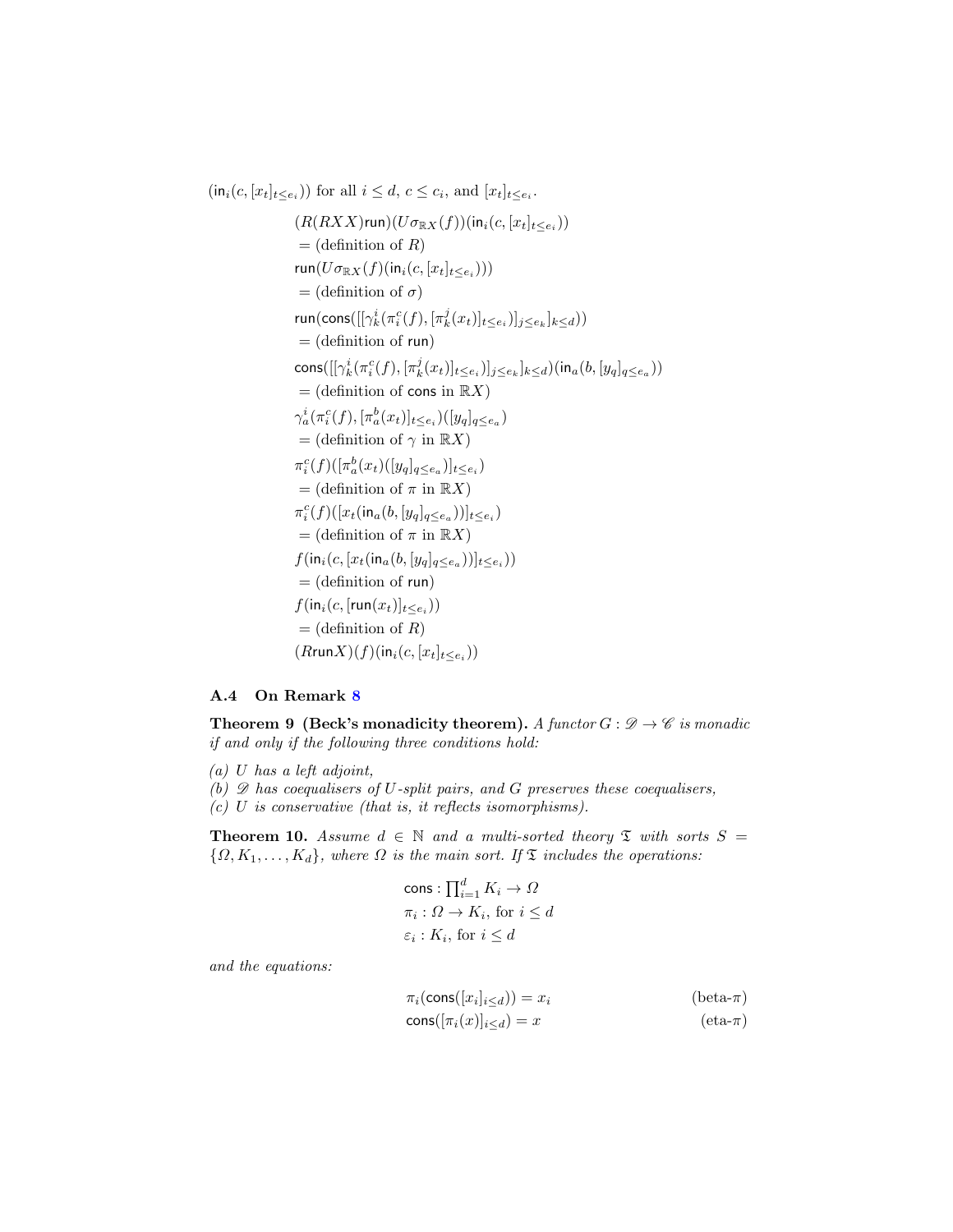$(\textsf{in}_i(c,[x_t]_{t\leq e_i}))$  for all  $i\leq d, c\leq c_i$ , and  $[x_t]_{t\leq e_i}$ .

$$
(R(RXX) \text{run})(U\sigma_{\mathbb{R}X}(f))(\text{in}_{i}(c,[x_{t}]_{t \leq e_{i}}))
$$
\n= (definition of R)\n
$$
\text{run}(U\sigma_{\mathbb{R}X}(f)(\text{in}_{i}(c,[x_{t}]_{t \leq e_{i}})))
$$
\n= (definition of  $\sigma$ )\n
$$
\text{run}(\text{cons}([[\gamma_{k}^{i}(\pi_{i}^{c}(f),[\pi_{k}^{j}(x_{t})]_{t \leq e_{i}}]_{j \leq e_{k}}]_{k \leq d}))
$$
\n= (definition of run)\n
$$
\text{cons}([[\gamma_{k}^{i}(\pi_{i}^{c}(f),[\pi_{k}^{j}(x_{t})]_{t \leq e_{i}}]_{j \leq e_{k}}]_{k \leq d})(\text{in}_{a}(b,[y_{q}]_{q \leq e_{a}}))
$$
\n= (definition of cons in  $\mathbb{R}X$ )\n
$$
\gamma_{a}^{i}(\pi_{i}^{c}(f),[\pi_{a}^{b}(x_{t})]_{t \leq e_{i}})([y_{q}]_{q \leq e_{a}})
$$
\n= (definition of  $\gamma$  in  $\mathbb{R}X$ )\n
$$
\pi_{i}^{c}(f)([\pi_{a}^{b}(x_{t})([y_{q}]_{q \leq e_{a}})]_{t \leq e_{i}})
$$
\n= (definition of  $\pi$  in  $\mathbb{R}X$ )\n
$$
\pi_{i}^{c}(f)([x_{t}(\text{in}_{a}(b,[y_{q}]_{q \leq e_{a}}))]_{t \leq e_{i}})
$$
\n= (definition of  $\pi$  in  $\mathbb{R}X$ )\n
$$
f(\text{in}_{i}(c,[x_{t}(\text{in}_{a}(b,[y_{q}]_{q \leq e_{a}}))]_{t \leq e_{i}}))
$$
\n= (definition of run)\n
$$
f(\text{in}_{i}(c,[\text{run}(x_{t})]_{t \leq e_{i}}))
$$
\n= (definition of R)\n
$$
(R\text{run}X)(f)(\text{in}_{i}(c,[x_{t}]_{t \leq e_{i}}))
$$

## A.4 On Remark [8](#page-9-1)

**Theorem 9 (Beck's monadicity theorem).** A functor  $G : \mathcal{D} \to \mathcal{C}$  is monadic if and only if the following three conditions hold:

- <span id="page-31-0"></span>(a) U has a left adjoint,
- <span id="page-31-1"></span>(b)  $\mathscr D$  has coequalisers of U-split pairs, and G preserves these coequalisers,
- <span id="page-31-4"></span> $(c)$  U is conservative (that is, it reflects isomorphisms).

**Theorem 10.** Assume  $d \in \mathbb{N}$  and a multi-sorted theory  $\mathfrak{T}$  with sorts  $S =$  $\{\Omega, K_1, \ldots, K_d\}$ , where  $\Omega$  is the main sort. If  $\mathfrak T$  includes the operations:

$$
\begin{aligned}\n\text{cons}: \prod_{i=1}^d K_i &\to \Omega \\
\pi_i: \Omega &\to K_i, \text{ for } i \leq d \\
\varepsilon_i: K_i, \text{ for } i \leq d\n\end{aligned}
$$

and the equations:

<span id="page-31-3"></span><span id="page-31-2"></span>
$$
\pi_i(\text{cons}([x_i]_{i \le d})) = x_i
$$
 (beta- $\pi$ )  
cons
$$
([ \pi_i(x) ]_{i \le d}) = x
$$
 (eta- $\pi$ )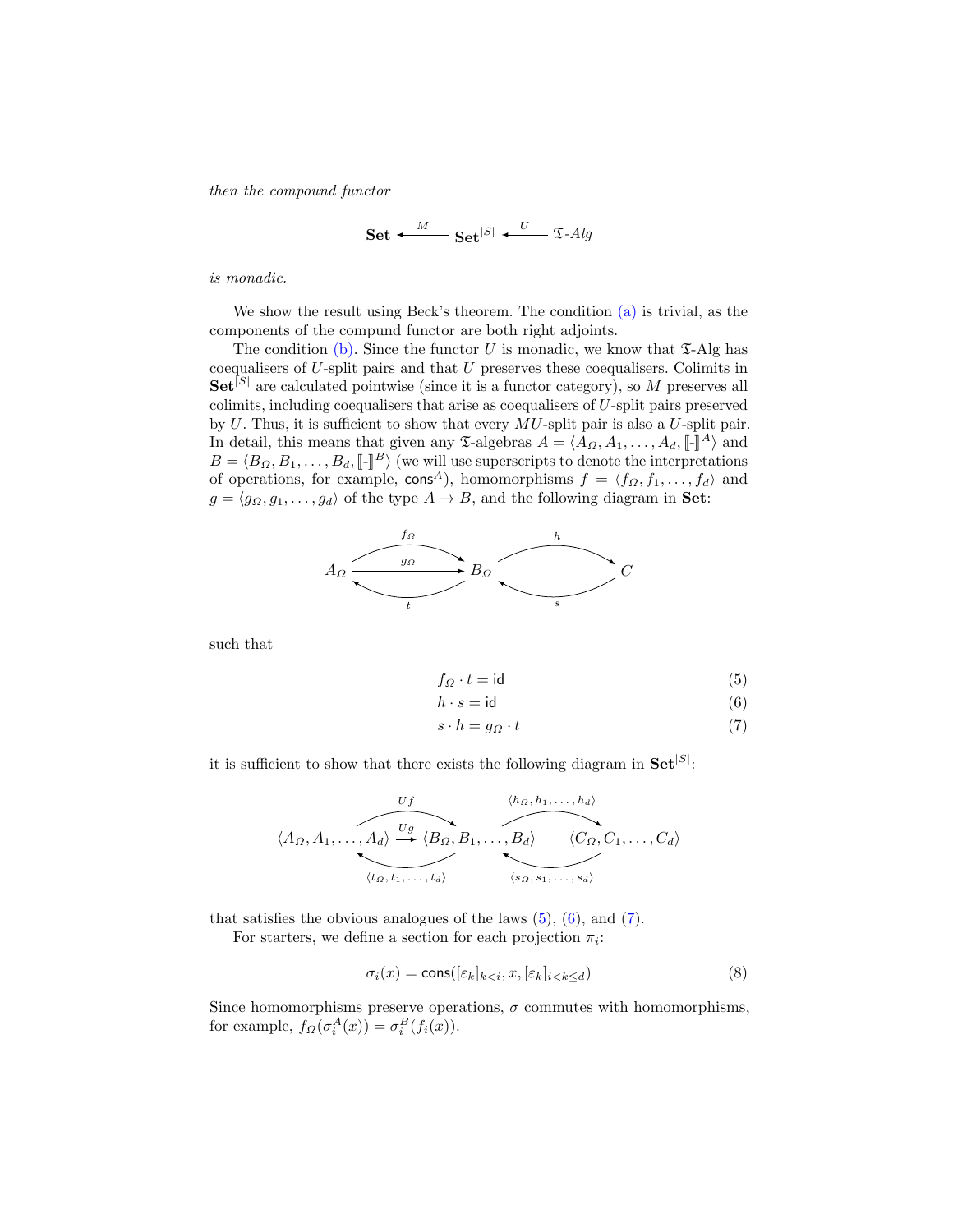then the compound functor

Set 
$$
\leftarrow
$$
  $\mathbf{Set}^{|S|}$   $\leftarrow$   $\mathbf{Set}^{|S|}$   $\leftarrow$   $\mathbf{Set}^{|S|}$ 

is monadic.

We show the result using Beck's theorem. The condition [\(a\)](#page-31-0) is trivial, as the components of the compund functor are both right adjoints.

The condition [\(b\).](#page-31-1) Since the functor U is monadic, we know that  $\Sigma$ -Alg has coequalisers of U-split pairs and that U preserves these coequalisers. Colimits in  $\mathbf{Set}^{[S]}$  are calculated pointwise (since it is a functor category), so M preserves all colimits, including coequalisers that arise as coequalisers of  $U$ -split pairs preserved by  $U$ . Thus, it is sufficient to show that every  $MU$ -split pair is also a  $U$ -split pair. In detail, this means that given any  $\mathfrak{T}$ -algebras  $A = \langle A_{\Omega}, A_1, \ldots, A_d, \llbracket \cdot \rrbracket^A \rangle$  and  $B = \langle B_-, B_-, \llbracket \cdot \rrbracket^B \rangle$  (we will use superscripts to denote the interpretations)  $B = \langle B_{\Omega}, B_1, \ldots, B_d, \llbracket \cdot \rrbracket^B \rangle$  (we will use superscripts to denote the interpretations of operations of operations of  $\Box$  (f) and of operations, for example, cons<sup>A</sup>), homomorphisms  $f = \langle f_{\Omega}, f_1, \ldots, f_d \rangle$  and  $g = \langle g_{\Omega}, g_1, \ldots, g_d \rangle$  of the type  $A \rightarrow B$ , and the following diagram in Set:



such that

<span id="page-32-1"></span><span id="page-32-0"></span>
$$
f_{\Omega} \cdot t = \text{id} \tag{5}
$$

<span id="page-32-2"></span>
$$
h \cdot s = \text{id} \tag{6}
$$

$$
s \cdot h = g_{\Omega} \cdot t \tag{7}
$$

it is sufficient to show that there exists the following diagram in  $\textbf{Set}^{[S]}$ :

$$
\langle A_{\Omega}, A_1, \ldots, A_d \rangle \xrightarrow{U_g} \langle B_{\Omega}, B_1, \ldots, B_d \rangle \qquad \langle C_{\Omega}, C_1, \ldots, C_d \rangle
$$
  
\n
$$
\langle A_{\Omega}, A_1, \ldots, A_d \rangle \xrightarrow{\langle B_{\Omega}, B_1, \ldots, B_d \rangle} \langle C_{\Omega}, C_1, \ldots, C_d \rangle
$$

that satisfies the obvious analogues of the laws  $(5)$ ,  $(6)$ , and  $(7)$ .

For starters, we define a section for each projection  $\pi_i$ :

$$
\sigma_i(x) = \text{cons}([\varepsilon_k]_{k < i}, x, [\varepsilon_k]_{i < k \le d})\tag{8}
$$

Since homomorphisms preserve operations,  $\sigma$  commutes with homomorphisms, for example,  $f_{\Omega}(\sigma_i^A(x)) = \sigma_i^B(f_i(x)).$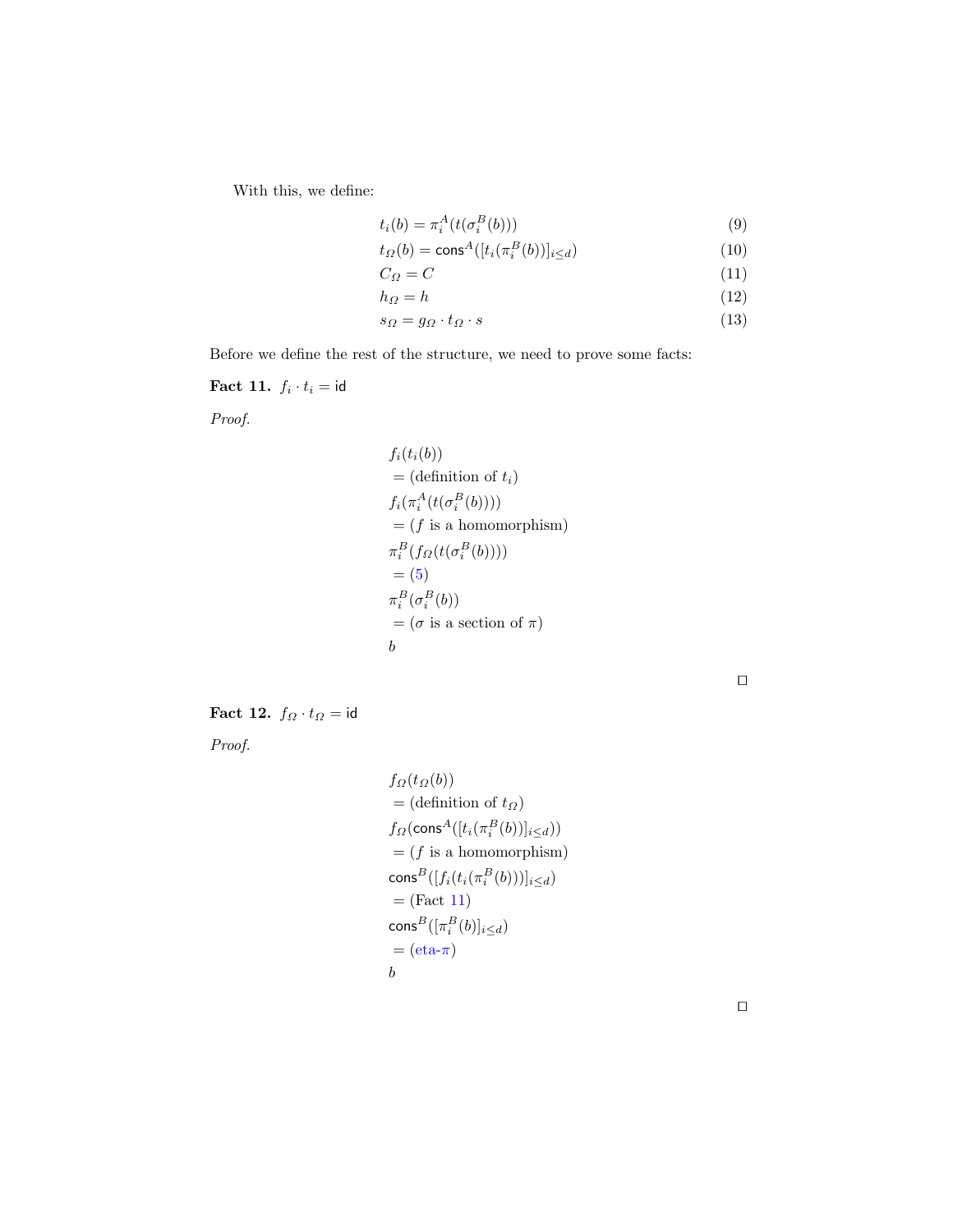With this, we define:

$$
t_i(b) = \pi_i^A(t(\sigma_i^B(b)))
$$
\n(9)

$$
t_{\Omega}(b) = \text{cons}^A([t_i(\pi_i^B(b))]_{i \le d})\tag{10}
$$

$$
C_{\Omega} = C \tag{11}
$$

$$
h_{\Omega} = h \tag{12}
$$

$$
s_{\Omega} = g_{\Omega} \cdot t_{\Omega} \cdot s \tag{13}
$$

Before we define the rest of the structure, we need to prove some facts:

<span id="page-33-0"></span>Fact 11.  $f_i \cdot t_i = \mathsf{id}$ 

Proof.

$$
f_i(t_i(b))
$$
  
= (definition of  $t_i$ )  

$$
f_i(\pi_i^A(t(\sigma_i^B(b))))
$$
  
=  $(f$  is a homomorphism)  

$$
\pi_i^B(f_{\Omega}(t(\sigma_i^B(b))))
$$
  
=  $(5)$   

$$
\pi_i^B(\sigma_i^B(b))
$$
  
=  $(\sigma$  is a section of  $\pi$ )  
 $b$ 

 $\Box$ 

<span id="page-33-1"></span>Fact 12.  $f_{\Omega} \cdot t_{\Omega} = id$ 

Proof.

$$
f_{\Omega}(t_{\Omega}(b))
$$
  
= (definition of  $t_{\Omega}$ )  

$$
f_{\Omega}(\cos^{A}([t_{i}(\pi_{i}^{B}(b))]_{i\leq d}))
$$
  
= (f is a homomorphism)  

$$
\cos^{B}([f_{i}(t_{i}(\pi_{i}^{B}(b)))]_{i\leq d})
$$
  
= (Fact 11)  

$$
\cos^{B}([\pi_{i}^{B}(b)]_{i\leq d})
$$
  
= (eta- $\pi$ )  

$$
b
$$

 $\Box$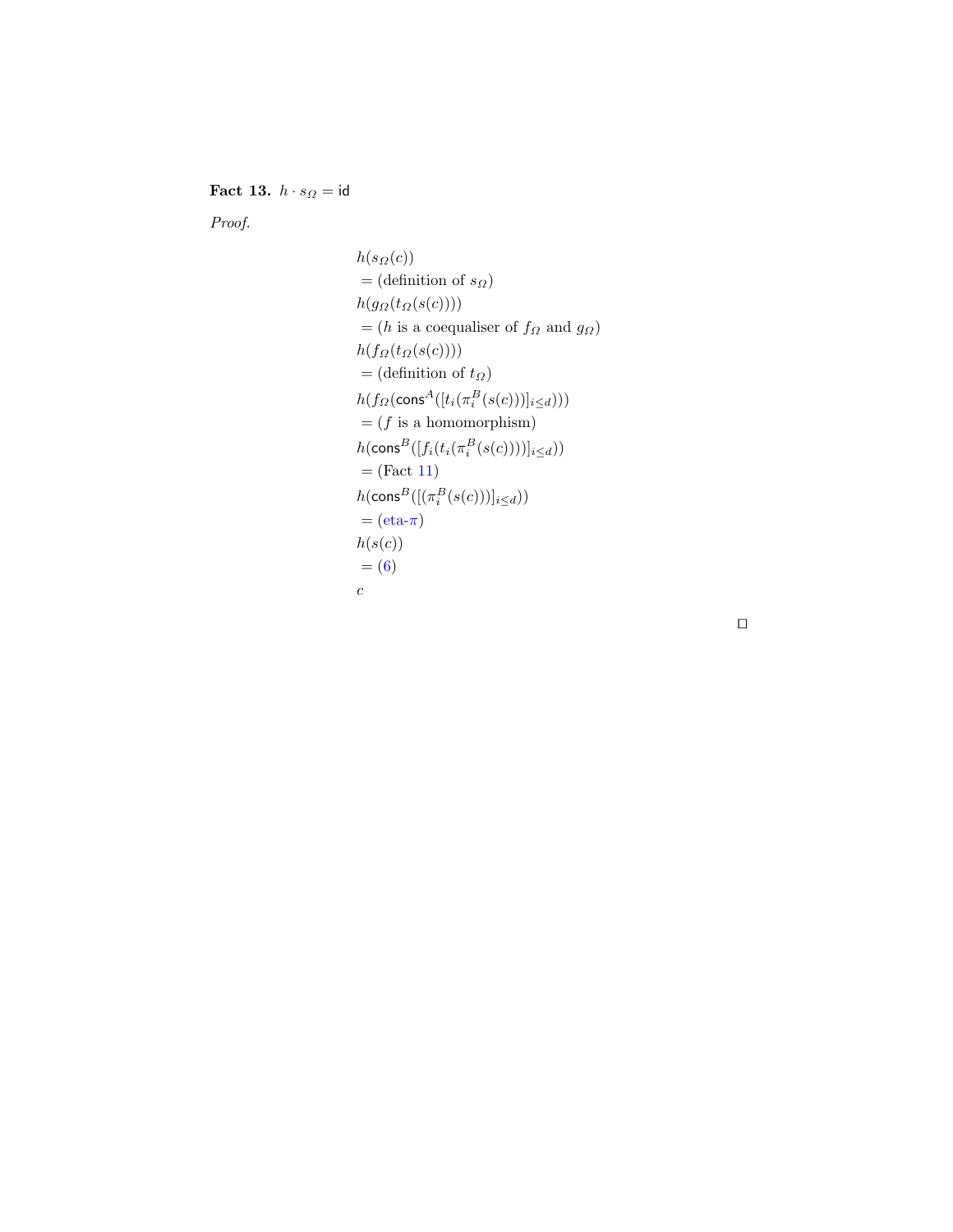<span id="page-34-0"></span>Fact 13.  $h \cdot s_{\varOmega} = \mathsf{id}$ 

Proof.

$$
h(s_{\Omega}(c))
$$
  
= (definition of  $s_{\Omega}$ )  

$$
h(g_{\Omega}(t_{\Omega}(s(c))))
$$
  
= (h is a coequaliser of  $f_{\Omega}$  and  $g_{\Omega}$ )  

$$
h(f_{\Omega}(t_{\Omega}(s(c))))
$$
  
= (definition of  $t_{\Omega}$ )  

$$
h(f_{\Omega}(\cos^A([t_i(\pi_i^B(s(c)))]_{i\leq d})))
$$
  
= (f is a homomorphism)  

$$
h(\cos^B([f_i(t_i(\pi_i^B(s(c)))]_{i\leq d}))
$$
  
= (Fact 11)  

$$
h(\cos^B([(\pi_i^B(s(c)))]_{i\leq d}))
$$
  
= (eta- $\pi$ )  

$$
h(s(c))
$$
  
= (6)  
c

 $\Box$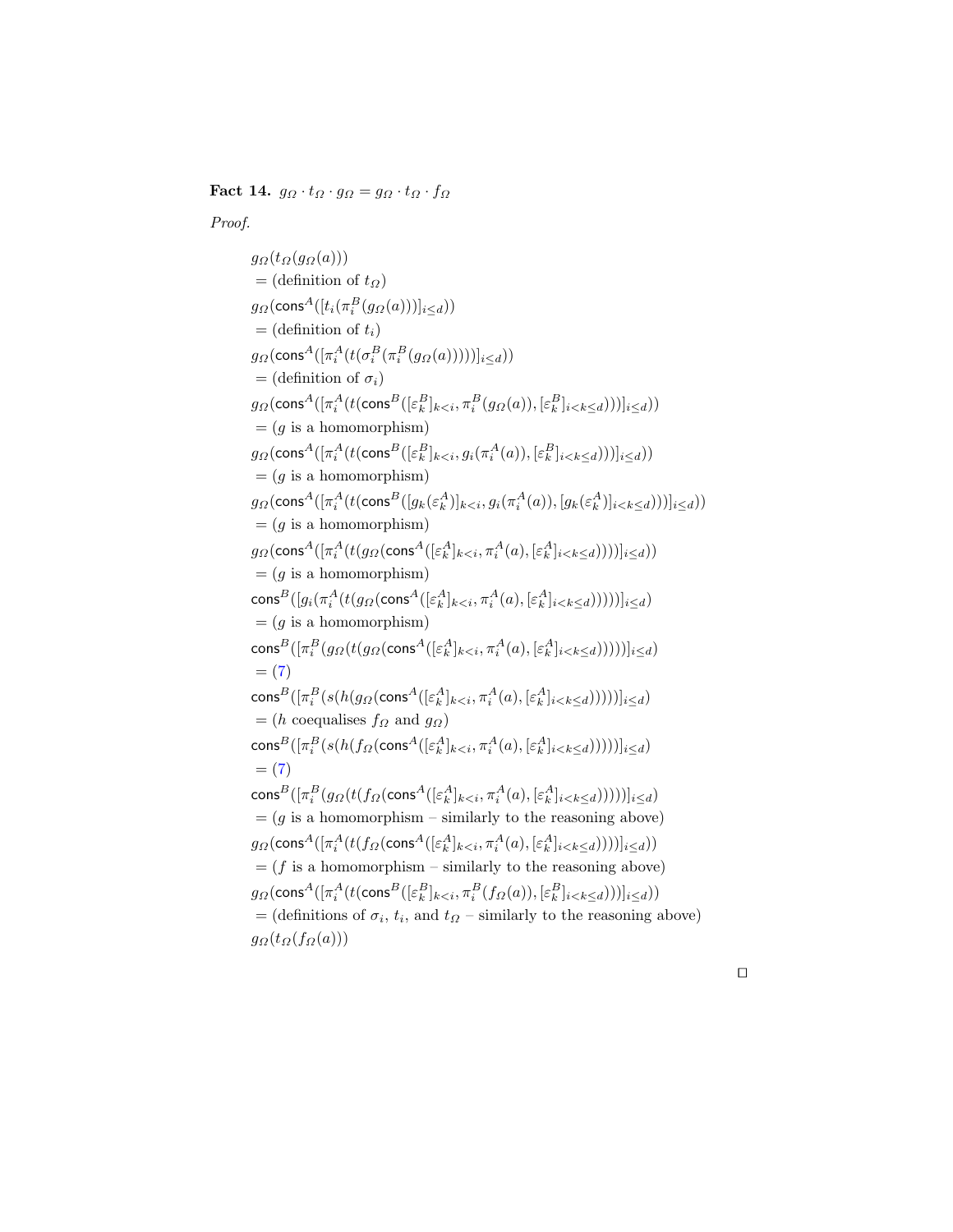<span id="page-35-0"></span>Fact 14.  $g_{\Omega} \cdot t_{\Omega} \cdot g_{\Omega} = g_{\Omega} \cdot t_{\Omega} \cdot f_{\Omega}$ 

Proof.

 $g_{\Omega}(t_{\Omega}(g_{\Omega}(a)))$  $=$  (definition of  $t_{\Omega}$ )  $g_{\varOmega}(\mathsf{cons}^A([t_i(\pi^B_i(g_{\varOmega}(a)))]_{i\le d}))$  $=$  (definition of  $t_i$ )  $g_{\varOmega}(\mathsf{cons}^A([\pi^A_i(t(\sigma^B_i(\pi^B_i(g_{\varOmega}(a)))))]_{i\leq d}))$  $=$  (definition of  $\sigma_i$ )  $g_{\varOmega}(\mathsf{cons}^A([\pi^A_i(t(\mathsf{cons}^B([\varepsilon^B_k]_{k < i}, \pi^B_i(g_{\varOmega}(a)), [\varepsilon^B_k]_{i < k \le d})))]_{i \le d}))$  $=(q \text{ is a homomorphism})$  $g_{\Omega}(\mathsf{cons}^A([\pi^A_i(t(\mathsf{cons}^B([\varepsilon^B_k]_{k < i},g_i(\pi^A_i(a)),[\varepsilon^B_k]_{i < k \le d})))]_{i \le d}))$  $=(g \text{ is a homomorphism})$  $g_{\varOmega}(\mathsf{cons}^A([\pi^A_i(t(\mathsf{cons}^B([g_k(\varepsilon^A_k)]_{k < i},g_i(\pi^A_i(a)),[g_k(\varepsilon^A_k)]_{i < k \le d})))|_{i \le d}))$  $=(q \text{ is a homomorphism})$  $g_{\varOmega}(\mathsf{cons}^A([\pi^A_i(t(g_{\varOmega}(\mathsf{cons}^A([\varepsilon^A_k]_{k < i}, \pi^A_i(a), [\varepsilon^A_k]_{i < k \le d}))))]_{i \le d}))$  $=(g \text{ is a homomorphism})$  $\mathsf{cons}^B([g_i(\pi^A_i(t(g_{\varOmega}(\mathsf{cons}^A([\varepsilon^A_k]_{k < i}, \pi^A_i(a), [\varepsilon^A_k]_{i < k \le d})))))]_{i \le d})$  $=(q \text{ is a homomorphism})$  ${\sf cons}^B([\pi^B_i(g_\varOmega(t(g_\varOmega({\sf cons}^A([\varepsilon^A_k]_{k< i},\pi^A_i(a),[\varepsilon^A_k]_{i$  $= (7)$  $= (7)$  $\mathsf{cons}^B([\pi^B_i(s(h(g_{\Omega}(\mathsf{cons}^A([\varepsilon^A_k]_{k < i}, \pi^A_i(a), [\varepsilon^A_k]_{i < k \le d})))))]_{i \le d})$  $=(h \text{ coequalises } f_{\Omega} \text{ and } g_{\Omega})$  $\mathsf{cons}^B([\pi^B_i(s(h(f_\Omega(\mathsf{cons}^A([\varepsilon^A_k]_{k < i}, \pi^A_i(a), [\varepsilon^A_k]_{i < k \le d})))))]_{i \le d})$  $= (7)$  $= (7)$  ${\sf cons}^B([ \pi^B_i(g_\Omega(t(f_\Omega({\sf cons}^A([\varepsilon^A_k]_{k< i}, \pi^A_i(a),[\varepsilon^A_k]_{i$  $=(g \text{ is a homomorphism}-\text{similarly to the reasoning above})$  $g_{\Omega}(\mathsf{cons}^A([\pi^A_i(t(f_{\Omega}(\mathsf{cons}^A([\varepsilon^A_k]_{k < i}, \pi^A_i(a),[\varepsilon^A_k]_{i < k \le d}))))]_{i \le d}))$  $= (f \text{ is a homomorphism - similarly to the reasoning above})$  $g_{\Omega}(\mathsf{cons}^A([\pi^A_i(t(\mathsf{cons}^B([\varepsilon^B_k]_{k < i}, \pi^B_i(f_{\Omega}(a)), [\varepsilon^B_k]_{i < k \le d})))]_{i \le d}))$ = (definitions of  $\sigma_i$ ,  $t_i$ , and  $t_{\Omega}$  – similarly to the reasoning above)  $g_{\Omega}(t_{\Omega}(f_{\Omega}(a)))$ 

 $\Box$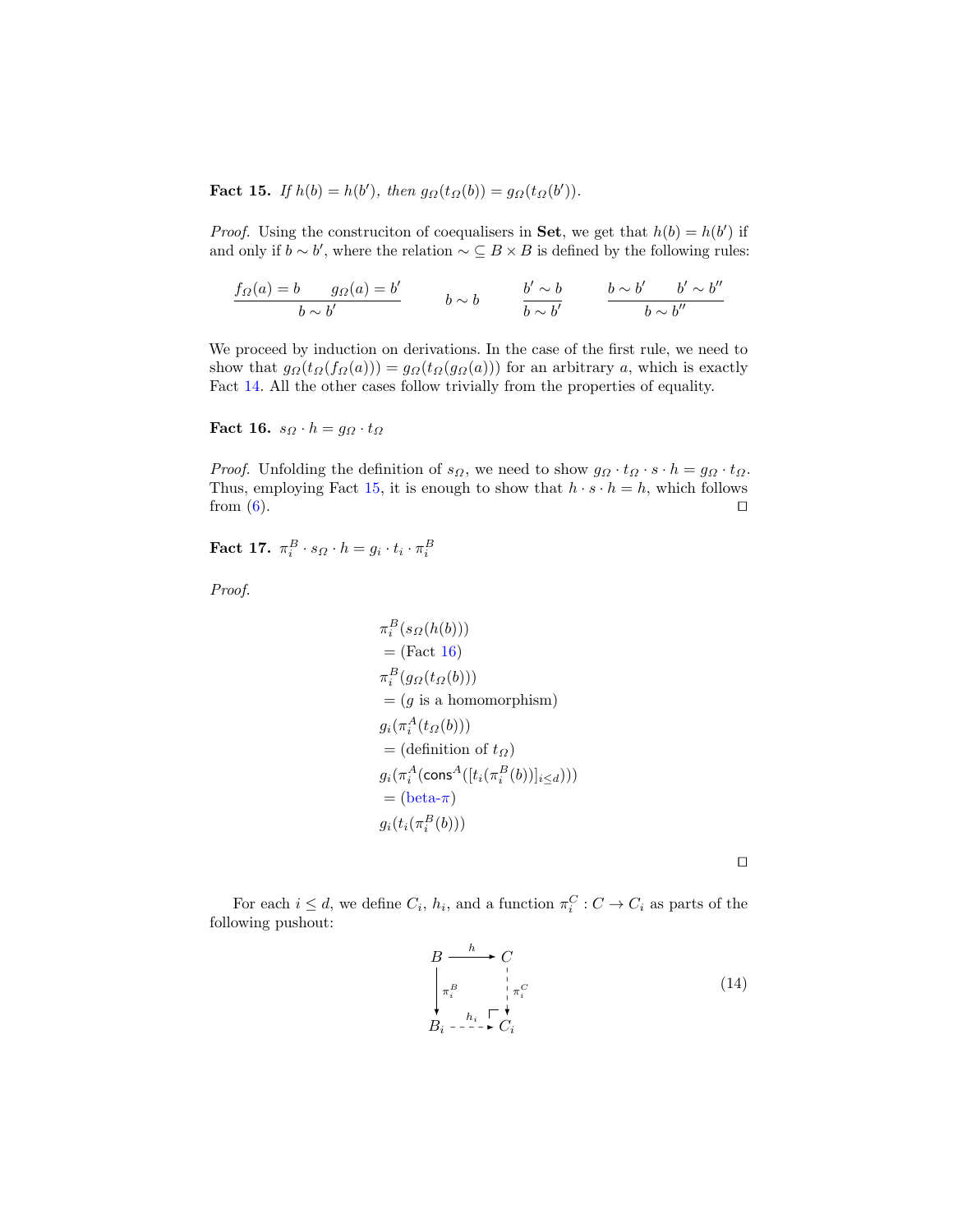<span id="page-36-0"></span>**Fact 15.** If  $h(b) = h(b')$ , then  $g_{\Omega}(t_{\Omega}(b)) = g_{\Omega}(t_{\Omega}(b'))$ .

*Proof.* Using the construction of coequalisers in **Set**, we get that  $h(b) = h(b')$  if and only if  $b \sim b'$ , where the relation  $\sim \subseteq B \times B$  is defined by the following rules:

$$
\frac{f_{\varOmega}(a)=b\qquad g_{\varOmega}(a)=b'}{b\sim b'}\qquad\quad b\sim b\qquad\quad\frac{b'\sim b}{b\sim b'}\qquad\frac{b\sim b'\quad b'\sim b''}{b\sim b''}
$$

We proceed by induction on derivations. In the case of the first rule, we need to show that  $g_{\Omega}(t_{\Omega}(f_{\Omega}(a))) = g_{\Omega}(t_{\Omega}(g_{\Omega}(a)))$  for an arbitrary a, which is exactly Fact [14.](#page-35-0) All the other cases follow trivially from the properties of equality.

<span id="page-36-1"></span>Fact 16.  $s_{\Omega} \cdot h = g_{\Omega} \cdot t_{\Omega}$ 

*Proof.* Unfolding the definition of  $s_{\Omega}$ , we need to show  $g_{\Omega} \cdot t_{\Omega} \cdot s \cdot h = g_{\Omega} \cdot t_{\Omega}$ . Thus, employing Fact [15,](#page-36-0) it is enough to show that  $h \cdot s \cdot h = h$ , which follows from  $(6)$ .

<span id="page-36-2"></span>Fact 17.  $\pi_i^B \cdot s_{\Omega} \cdot h = g_i \cdot t_i \cdot \pi_i^B$ 

Proof.

$$
\pi_i^B(s_{\Omega}(h(b)))
$$
\n= (Fact 16)  
\n
$$
\pi_i^B(g_{\Omega}(t_{\Omega}(b)))
$$
\n= (g is a homomorphism)  
\n
$$
g_i(\pi_i^A(t_{\Omega}(b)))
$$
\n= (definition of  $t_{\Omega}$ )  
\n
$$
g_i(\pi_i^A(\text{cons}^A([t_i(\pi_i^B(b))]_{i\leq d})))
$$
\n= (beta- $\pi$ )  
\n
$$
g_i(t_i(\pi_i^B(b)))
$$

 $\Box$ 

For each  $i \leq d$ , we define  $C_i$ ,  $h_i$ , and a function  $\pi_i^C : C \to C_i$  as parts of the following pushout:

<span id="page-36-3"></span>
$$
B \xrightarrow{h} C
$$
  
\n
$$
\begin{array}{ccc}\n & \uparrow & \cdots & \uparrow \\
\pi_i^B & & \uparrow & \pi_i^C \\
\downarrow & & \uparrow & \uparrow \\
B_i & - \cdots & - \cdots & C_i\n\end{array}
$$
\n(14)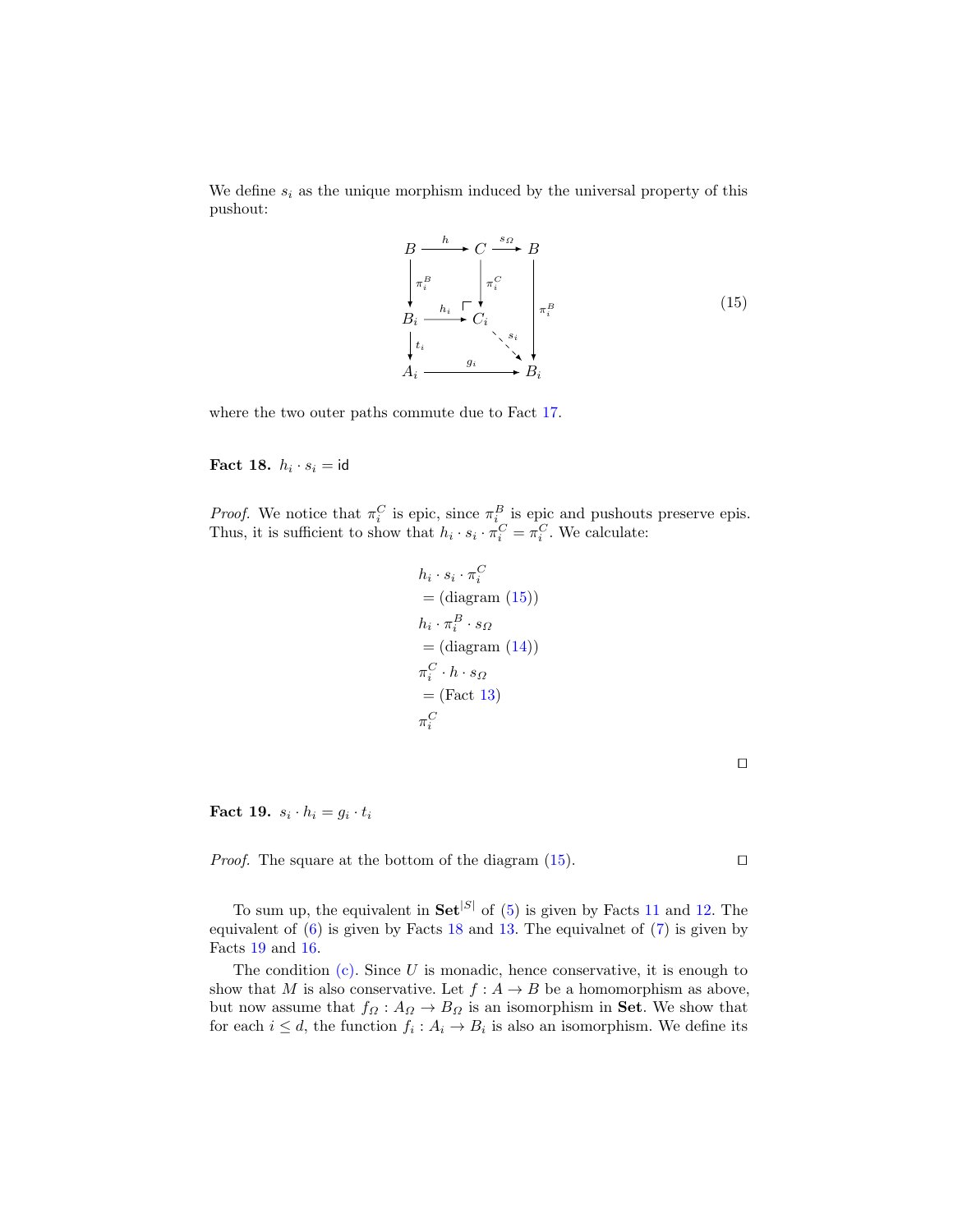We define  $s_i$  as the unique morphism induced by the universal property of this pushout:

<span id="page-37-0"></span>
$$
B \xrightarrow{h} C \xrightarrow{s_{\Omega}} B
$$
\n
$$
\begin{array}{ccc}\n & & & \\
\pi_i^B & & & \\
B_i & & & \\
\downarrow t_i & & & \\
A_i & & & \\
\end{array}
$$
\n
$$
\begin{array}{ccc}\n & & & \\
\pi_i^C & & & \\
\pi_i^B & & & \\
\downarrow t_i & & & \\
\downarrow t_i & & & \\
\end{array}
$$
\n
$$
(15)
$$

<span id="page-37-1"></span>where the two outer paths commute due to Fact [17.](#page-36-2)

**Fact 18.**  $h_i \cdot s_i = \mathsf{id}$ 

*Proof.* We notice that  $\pi_i^C$  is epic, since  $\pi_i^B$  is epic and pushouts preserve epis. Thus, it is sufficient to show that  $h_i \cdot s_i \cdot \pi_i^C = \pi_i^C$ . We calculate:

$$
h_i \cdot s_i \cdot \pi_i^C
$$
  
= (diagram (15))  

$$
h_i \cdot \pi_i^B \cdot s_{\Omega}
$$
  
= (diagram (14))  

$$
\pi_i^C \cdot h \cdot s_{\Omega}
$$
  
= (Fact 13)  

$$
\pi_i^C
$$

|  | ۰ |  |  |
|--|---|--|--|
|  |   |  |  |
|  |   |  |  |
|  |   |  |  |

<span id="page-37-2"></span>Fact 19.  $s_i \cdot h_i = g_i \cdot t_i$ 

*Proof.* The square at the bottom of the diagram  $(15)$ .

To sum up, the equivalent in  $\mathbf{Set}^{[S]}$  of [\(5\)](#page-32-0) is given by Facts [11](#page-33-0) and [12.](#page-33-1) The equivalent of  $(6)$  is given by Facts [18](#page-37-1) and [13.](#page-34-0) The equivalnet of  $(7)$  is given by Facts [19](#page-37-2) and [16.](#page-36-1)

The condition  $(c)$ . Since U is monadic, hence conservative, it is enough to show that M is also conservative. Let  $f : A \to B$  be a homomorphism as above, but now assume that  $f_{\Omega}: A_{\Omega} \to B_{\Omega}$  is an isomorphism in **Set**. We show that for each  $i \leq d$ , the function  $f_i : A_i \to B_i$  is also an isomorphism. We define its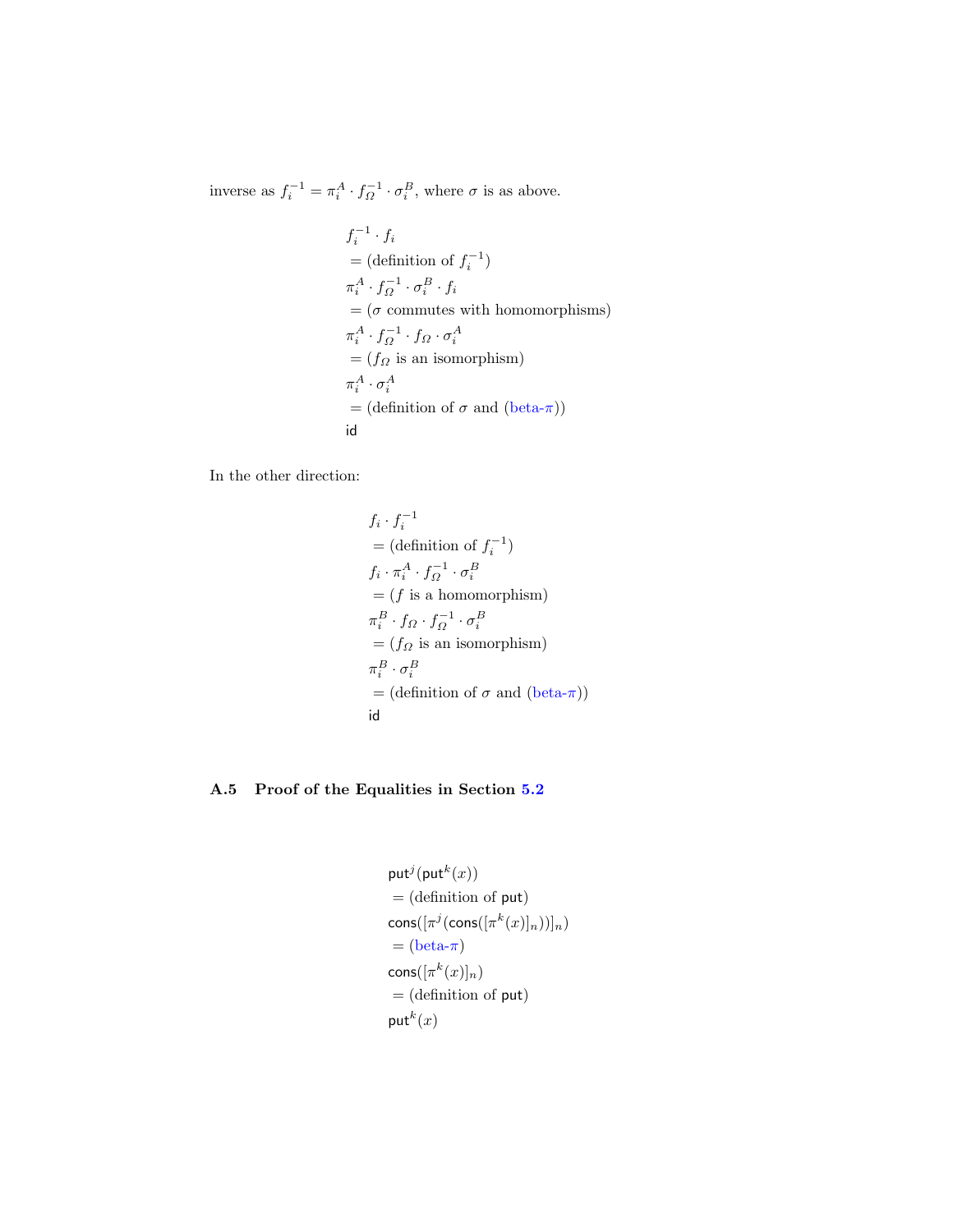inverse as  $f_i^{-1} = \pi_i^A \cdot f_{\Omega}^{-1} \cdot \sigma_i^B$ , where  $\sigma$  is as above.

$$
f_i^{-1} \cdot f_i
$$
  
= (definition of  $f_i^{-1}$ )  

$$
\pi_i^A \cdot f_{\Omega}^{-1} \cdot \sigma_i^B \cdot f_i
$$
  
= ( $\sigma$  commutes with homomorphisms)  

$$
\pi_i^A \cdot f_{\Omega}^{-1} \cdot f_{\Omega} \cdot \sigma_i^A
$$
  
= ( $f_{\Omega}$  is an isomorphism)  

$$
\pi_i^A \cdot \sigma_i^A
$$
  
= (definition of  $\sigma$  and (beta- $\pi$ ))  
id

In the other direction:

$$
f_i \cdot f_i^{-1}
$$
  
= (definition of  $f_i^{-1}$ )  

$$
f_i \cdot \pi_i^A \cdot f_{\Omega}^{-1} \cdot \sigma_i^B
$$
  
=  $(f$  is a homomorphism)  

$$
\pi_i^B \cdot f_{\Omega} \cdot f_{\Omega}^{-1} \cdot \sigma_i^B
$$
  
=  $(f_{\Omega}$  is an isomorphism)  

$$
\pi_i^B \cdot \sigma_i^B
$$
  
= (definition of  $\sigma$  and (beta- $\pi$ ))  
id

# A.5 Proof of the Equalities in Section [5.2](#page-10-0)

$$
put^{j}(\text{put}^{k}(x))
$$
  
= (definition of put)  
cons([ $\pi^{j}$ (cons([ $\pi^{k}(x)$ ]<sub>n</sub>))]<sub>n</sub>)  
= (beta- $\pi$ )  
cons([ $\pi^{k}(x)$ ]<sub>n</sub>)  
= (definition of put)  
put<sup>k</sup>(x)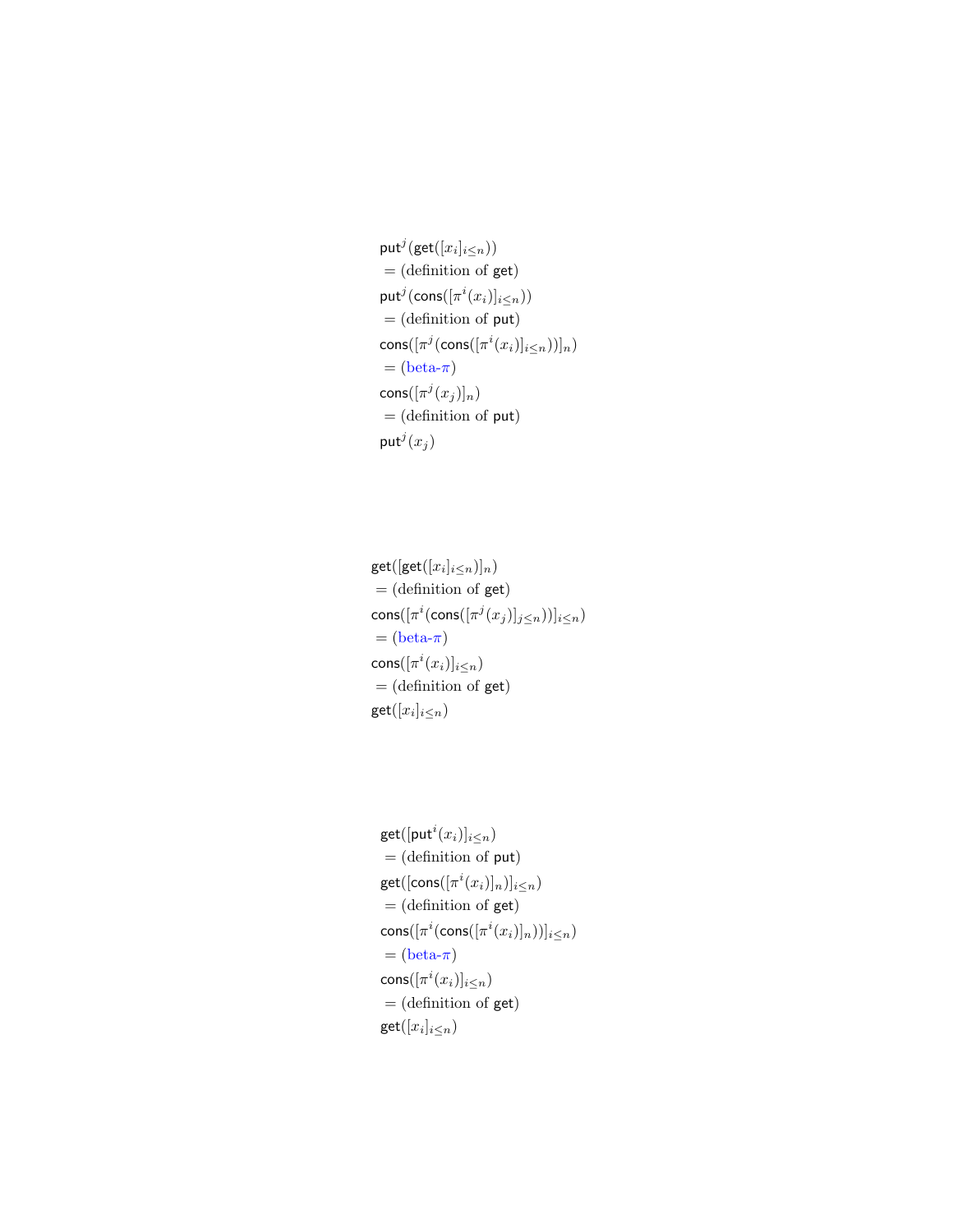```
\mathsf{put}^j(\mathsf{get}([x_i]_{i\leq n}))= (definition of get)\mathsf{put}^j(\mathsf{cons}([\pi^i(x_i)]_{i\leq n}))= (definition of put)
\mathsf{cons}([\pi^j(\mathsf{cons}([\pi^i(x_i)]_{i\leq n}))]_n)=(beta-\pi)
\mathsf{cons}([\pi^j(x_j)]_n)= (definition of put)
put^j(x_j)
```
 $\mathsf{get}([\mathsf{get}([x_i]_{i\leq n})]_n)$  $=$  (definition of  $get)$  $\mathsf{cons}([\pi^i(\mathsf{cons}([\pi^j(x_j)]_{j\le n}))]_{i\le n})$  $=$  [\(beta-](#page-7-4) $\pi$ )  $\mathsf{cons}([\pi^i(x_i)]_{i\le n})$  $=$  (definition of  $get)$  $\mathsf{get}([x_i]_{i\leq n})$ 

```
\mathsf{get}([\mathsf{put}^i(x_i)]_{i\leq n})= (definition of put)
\mathsf{get}([\mathsf{cons}([\pi^i(x_i)]_n)]_{i\leq n})= (definition of get)
\mathsf{cons}([\pi^i(\mathsf{cons}([\pi^i(x_i)]_n))]_{i\leq n})=(beta-\pi)
\mathsf{cons}([\pi^i(x_i)]_{i\leq n})= (definition of get))
\mathsf{get}([x_i]_{i\leq n})
```